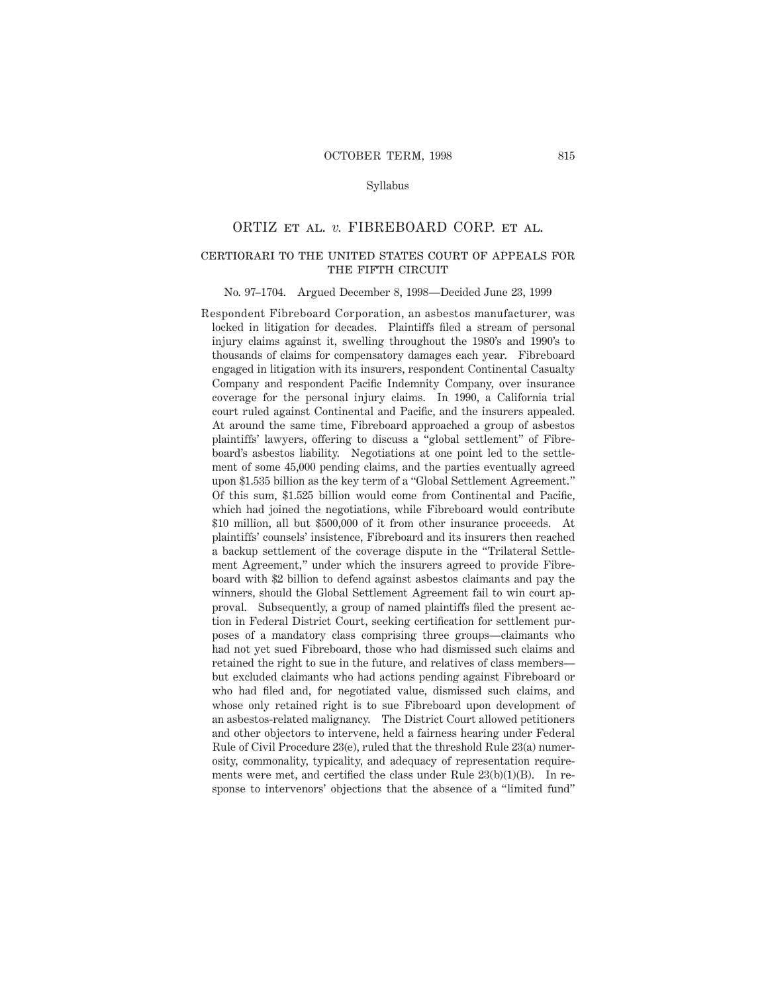### ORTIZ et al. *v.* FIBREBOARD CORP. et al.

# certiorari to the united states court of appeals for THE FIFTH CIRCUIT

#### No. 97–1704. Argued December 8, 1998—Decided June 23, 1999

Respondent Fibreboard Corporation, an asbestos manufacturer, was locked in litigation for decades. Plaintiffs filed a stream of personal injury claims against it, swelling throughout the 1980's and 1990's to thousands of claims for compensatory damages each year. Fibreboard engaged in litigation with its insurers, respondent Continental Casualty Company and respondent Pacific Indemnity Company, over insurance coverage for the personal injury claims. In 1990, a California trial court ruled against Continental and Pacific, and the insurers appealed. At around the same time, Fibreboard approached a group of asbestos plaintiffs' lawyers, offering to discuss a "global settlement" of Fibreboard's asbestos liability. Negotiations at one point led to the settlement of some 45,000 pending claims, and the parties eventually agreed upon \$1.535 billion as the key term of a "Global Settlement Agreement." Of this sum, \$1.525 billion would come from Continental and Pacific, which had joined the negotiations, while Fibreboard would contribute \$10 million, all but \$500,000 of it from other insurance proceeds. At plaintiffs' counsels' insistence, Fibreboard and its insurers then reached a backup settlement of the coverage dispute in the "Trilateral Settlement Agreement," under which the insurers agreed to provide Fibreboard with \$2 billion to defend against asbestos claimants and pay the winners, should the Global Settlement Agreement fail to win court approval. Subsequently, a group of named plaintiffs filed the present action in Federal District Court, seeking certification for settlement purposes of a mandatory class comprising three groups—claimants who had not yet sued Fibreboard, those who had dismissed such claims and retained the right to sue in the future, and relatives of class members but excluded claimants who had actions pending against Fibreboard or who had filed and, for negotiated value, dismissed such claims, and whose only retained right is to sue Fibreboard upon development of an asbestos-related malignancy. The District Court allowed petitioners and other objectors to intervene, held a fairness hearing under Federal Rule of Civil Procedure 23(e), ruled that the threshold Rule 23(a) numerosity, commonality, typicality, and adequacy of representation requirements were met, and certified the class under Rule 23(b)(1)(B). In response to intervenors' objections that the absence of a "limited fund"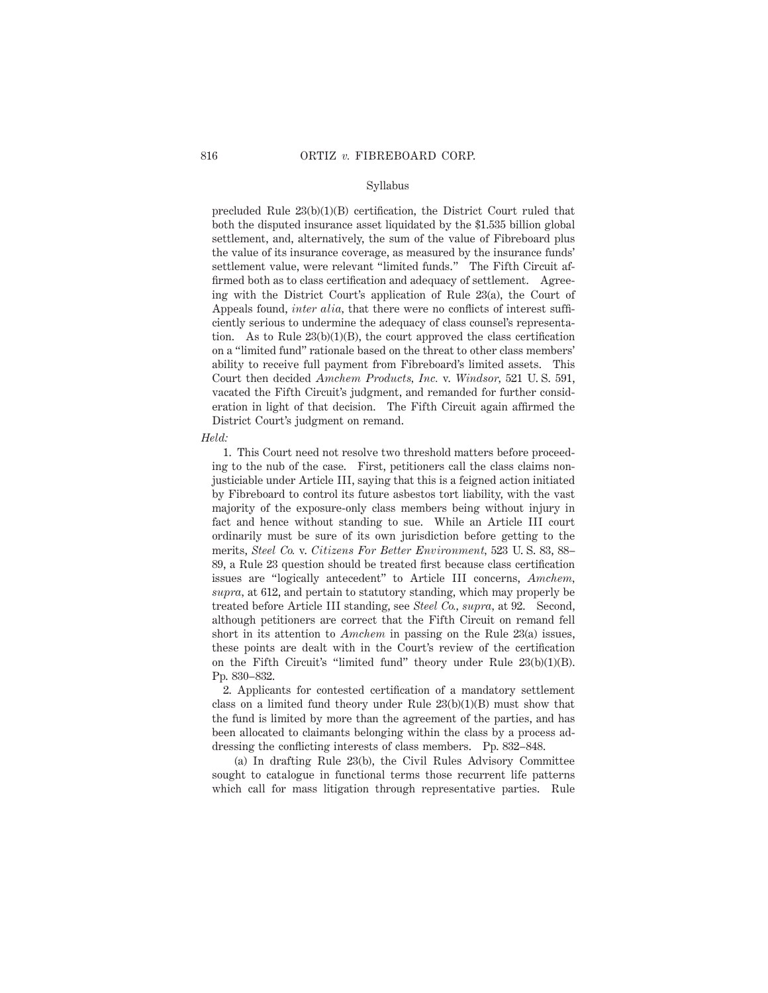precluded Rule 23(b)(1)(B) certification, the District Court ruled that both the disputed insurance asset liquidated by the \$1.535 billion global settlement, and, alternatively, the sum of the value of Fibreboard plus the value of its insurance coverage, as measured by the insurance funds' settlement value, were relevant "limited funds." The Fifth Circuit affirmed both as to class certification and adequacy of settlement. Agreeing with the District Court's application of Rule 23(a), the Court of Appeals found, *inter alia,* that there were no conflicts of interest sufficiently serious to undermine the adequacy of class counsel's representation. As to Rule 23(b)(1)(B), the court approved the class certification on a "limited fund" rationale based on the threat to other class members' ability to receive full payment from Fibreboard's limited assets. This Court then decided *Amchem Products, Inc.* v. *Windsor,* 521 U. S. 591, vacated the Fifth Circuit's judgment, and remanded for further consideration in light of that decision. The Fifth Circuit again affirmed the District Court's judgment on remand.

#### *Held:*

1. This Court need not resolve two threshold matters before proceeding to the nub of the case. First, petitioners call the class claims nonjusticiable under Article III, saying that this is a feigned action initiated by Fibreboard to control its future asbestos tort liability, with the vast majority of the exposure-only class members being without injury in fact and hence without standing to sue. While an Article III court ordinarily must be sure of its own jurisdiction before getting to the merits, *Steel Co.* v. *Citizens For Better Environment,* 523 U. S. 83, 88– 89, a Rule 23 question should be treated first because class certification issues are "logically antecedent" to Article III concerns, *Amchem, supra,* at 612, and pertain to statutory standing, which may properly be treated before Article III standing, see *Steel Co., supra,* at 92. Second, although petitioners are correct that the Fifth Circuit on remand fell short in its attention to *Amchem* in passing on the Rule 23(a) issues, these points are dealt with in the Court's review of the certification on the Fifth Circuit's "limited fund" theory under Rule 23(b)(1)(B). Pp. 830–832.

2. Applicants for contested certification of a mandatory settlement class on a limited fund theory under Rule 23(b)(1)(B) must show that the fund is limited by more than the agreement of the parties, and has been allocated to claimants belonging within the class by a process addressing the conflicting interests of class members. Pp. 832–848.

(a) In drafting Rule 23(b), the Civil Rules Advisory Committee sought to catalogue in functional terms those recurrent life patterns which call for mass litigation through representative parties. Rule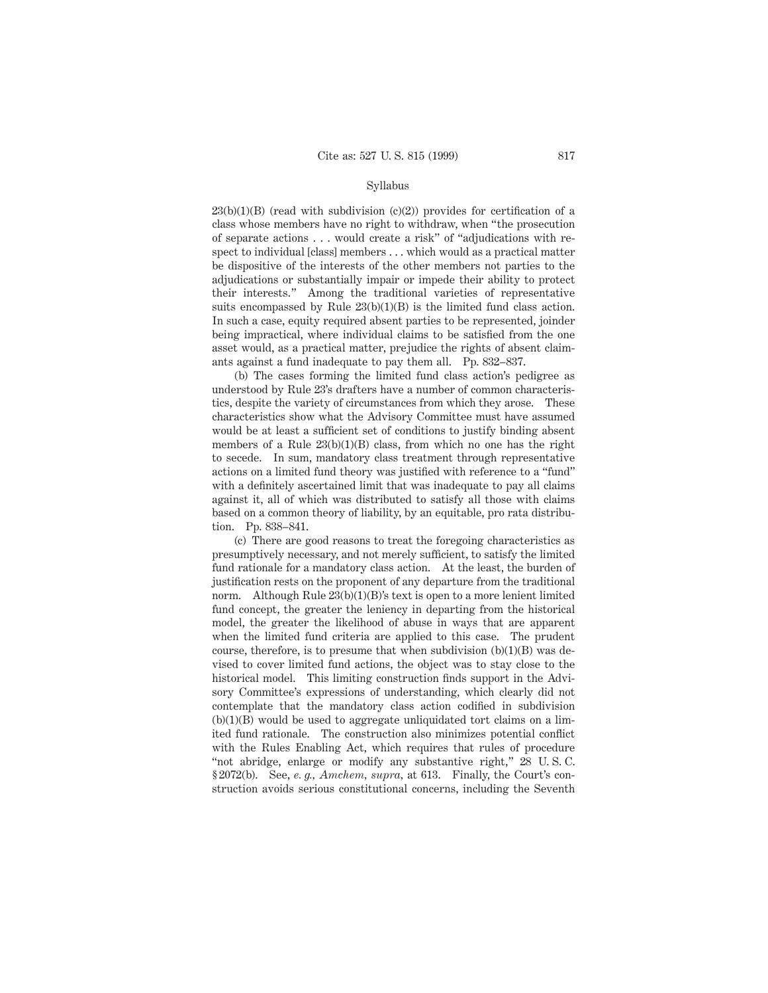$23(b)(1)(B)$  (read with subdivision  $(c)(2)$ ) provides for certification of a class whose members have no right to withdraw, when "the prosecution of separate actions . . . would create a risk" of "adjudications with respect to individual [class] members . . . which would as a practical matter be dispositive of the interests of the other members not parties to the adjudications or substantially impair or impede their ability to protect their interests." Among the traditional varieties of representative suits encompassed by Rule  $23(b)(1)(B)$  is the limited fund class action. In such a case, equity required absent parties to be represented, joinder being impractical, where individual claims to be satisfied from the one asset would, as a practical matter, prejudice the rights of absent claimants against a fund inadequate to pay them all. Pp. 832–837.

(b) The cases forming the limited fund class action's pedigree as understood by Rule 23's drafters have a number of common characteristics, despite the variety of circumstances from which they arose. These characteristics show what the Advisory Committee must have assumed would be at least a sufficient set of conditions to justify binding absent members of a Rule  $23(b)(1)(B)$  class, from which no one has the right to secede. In sum, mandatory class treatment through representative actions on a limited fund theory was justified with reference to a "fund" with a definitely ascertained limit that was inadequate to pay all claims against it, all of which was distributed to satisfy all those with claims based on a common theory of liability, by an equitable, pro rata distribution. Pp. 838–841.

(c) There are good reasons to treat the foregoing characteristics as presumptively necessary, and not merely sufficient, to satisfy the limited fund rationale for a mandatory class action. At the least, the burden of justification rests on the proponent of any departure from the traditional norm. Although Rule  $23(b)(1)(B)$ 's text is open to a more lenient limited fund concept, the greater the leniency in departing from the historical model, the greater the likelihood of abuse in ways that are apparent when the limited fund criteria are applied to this case. The prudent course, therefore, is to presume that when subdivision  $(b)(1)(B)$  was devised to cover limited fund actions, the object was to stay close to the historical model. This limiting construction finds support in the Advisory Committee's expressions of understanding, which clearly did not contemplate that the mandatory class action codified in subdivision  $(b)(1)(B)$  would be used to aggregate unliquidated tort claims on a limited fund rationale. The construction also minimizes potential conflict with the Rules Enabling Act, which requires that rules of procedure "not abridge, enlarge or modify any substantive right," 28 U. S. C. § 2072(b). See, *e. g., Amchem, supra,* at 613. Finally, the Court's construction avoids serious constitutional concerns, including the Seventh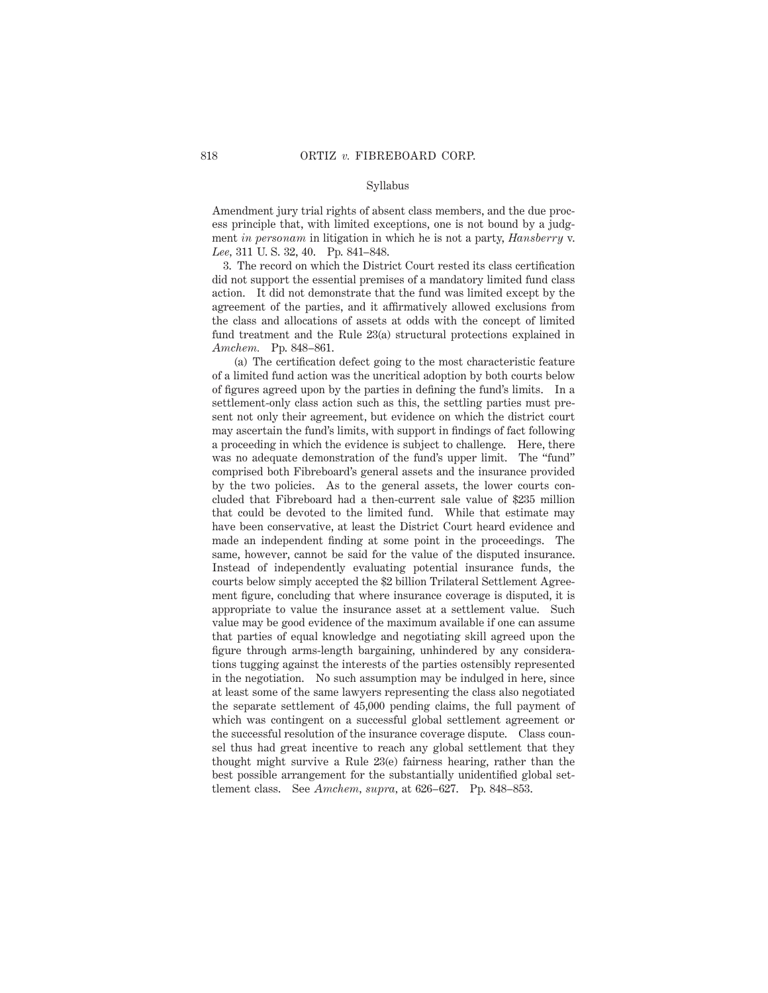Amendment jury trial rights of absent class members, and the due process principle that, with limited exceptions, one is not bound by a judgment *in personam* in litigation in which he is not a party, *Hansberry* v. *Lee,* 311 U. S. 32, 40. Pp. 841–848.

3. The record on which the District Court rested its class certification did not support the essential premises of a mandatory limited fund class action. It did not demonstrate that the fund was limited except by the agreement of the parties, and it affirmatively allowed exclusions from the class and allocations of assets at odds with the concept of limited fund treatment and the Rule 23(a) structural protections explained in *Amchem.* Pp. 848–861.

(a) The certification defect going to the most characteristic feature of a limited fund action was the uncritical adoption by both courts below of figures agreed upon by the parties in defining the fund's limits. In a settlement-only class action such as this, the settling parties must present not only their agreement, but evidence on which the district court may ascertain the fund's limits, with support in findings of fact following a proceeding in which the evidence is subject to challenge. Here, there was no adequate demonstration of the fund's upper limit. The "fund" comprised both Fibreboard's general assets and the insurance provided by the two policies. As to the general assets, the lower courts concluded that Fibreboard had a then-current sale value of \$235 million that could be devoted to the limited fund. While that estimate may have been conservative, at least the District Court heard evidence and made an independent finding at some point in the proceedings. The same, however, cannot be said for the value of the disputed insurance. Instead of independently evaluating potential insurance funds, the courts below simply accepted the \$2 billion Trilateral Settlement Agreement figure, concluding that where insurance coverage is disputed, it is appropriate to value the insurance asset at a settlement value. Such value may be good evidence of the maximum available if one can assume that parties of equal knowledge and negotiating skill agreed upon the figure through arms-length bargaining, unhindered by any considerations tugging against the interests of the parties ostensibly represented in the negotiation. No such assumption may be indulged in here, since at least some of the same lawyers representing the class also negotiated the separate settlement of 45,000 pending claims, the full payment of which was contingent on a successful global settlement agreement or the successful resolution of the insurance coverage dispute. Class counsel thus had great incentive to reach any global settlement that they thought might survive a Rule 23(e) fairness hearing, rather than the best possible arrangement for the substantially unidentified global settlement class. See *Amchem, supra,* at 626–627. Pp. 848–853.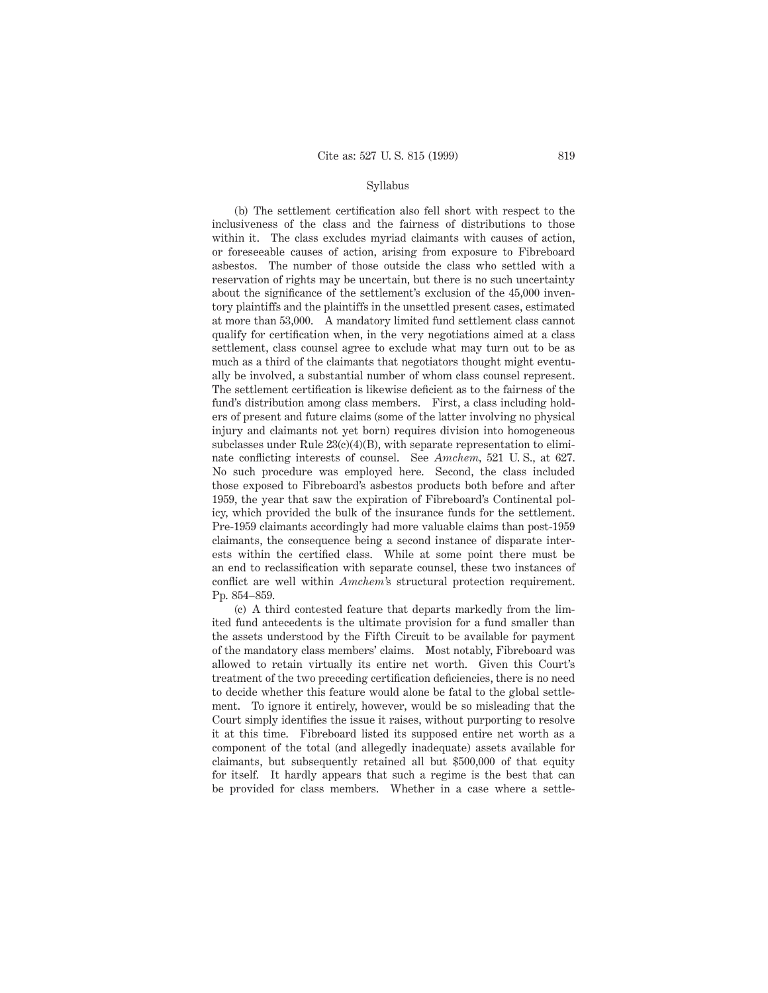(b) The settlement certification also fell short with respect to the inclusiveness of the class and the fairness of distributions to those within it. The class excludes myriad claimants with causes of action, or foreseeable causes of action, arising from exposure to Fibreboard asbestos. The number of those outside the class who settled with a reservation of rights may be uncertain, but there is no such uncertainty about the significance of the settlement's exclusion of the 45,000 inventory plaintiffs and the plaintiffs in the unsettled present cases, estimated at more than 53,000. A mandatory limited fund settlement class cannot qualify for certification when, in the very negotiations aimed at a class settlement, class counsel agree to exclude what may turn out to be as much as a third of the claimants that negotiators thought might eventually be involved, a substantial number of whom class counsel represent. The settlement certification is likewise deficient as to the fairness of the fund's distribution among class members. First, a class including holders of present and future claims (some of the latter involving no physical injury and claimants not yet born) requires division into homogeneous subclasses under Rule  $23(c)(4)(B)$ , with separate representation to eliminate conflicting interests of counsel. See *Amchem,* 521 U. S., at 627. No such procedure was employed here. Second, the class included those exposed to Fibreboard's asbestos products both before and after 1959, the year that saw the expiration of Fibreboard's Continental policy, which provided the bulk of the insurance funds for the settlement. Pre-1959 claimants accordingly had more valuable claims than post-1959 claimants, the consequence being a second instance of disparate interests within the certified class. While at some point there must be an end to reclassification with separate counsel, these two instances of conflict are well within *Amchem'*s structural protection requirement. Pp. 854–859.

(c) A third contested feature that departs markedly from the limited fund antecedents is the ultimate provision for a fund smaller than the assets understood by the Fifth Circuit to be available for payment of the mandatory class members' claims. Most notably, Fibreboard was allowed to retain virtually its entire net worth. Given this Court's treatment of the two preceding certification deficiencies, there is no need to decide whether this feature would alone be fatal to the global settlement. To ignore it entirely, however, would be so misleading that the Court simply identifies the issue it raises, without purporting to resolve it at this time. Fibreboard listed its supposed entire net worth as a component of the total (and allegedly inadequate) assets available for claimants, but subsequently retained all but \$500,000 of that equity for itself. It hardly appears that such a regime is the best that can be provided for class members. Whether in a case where a settle-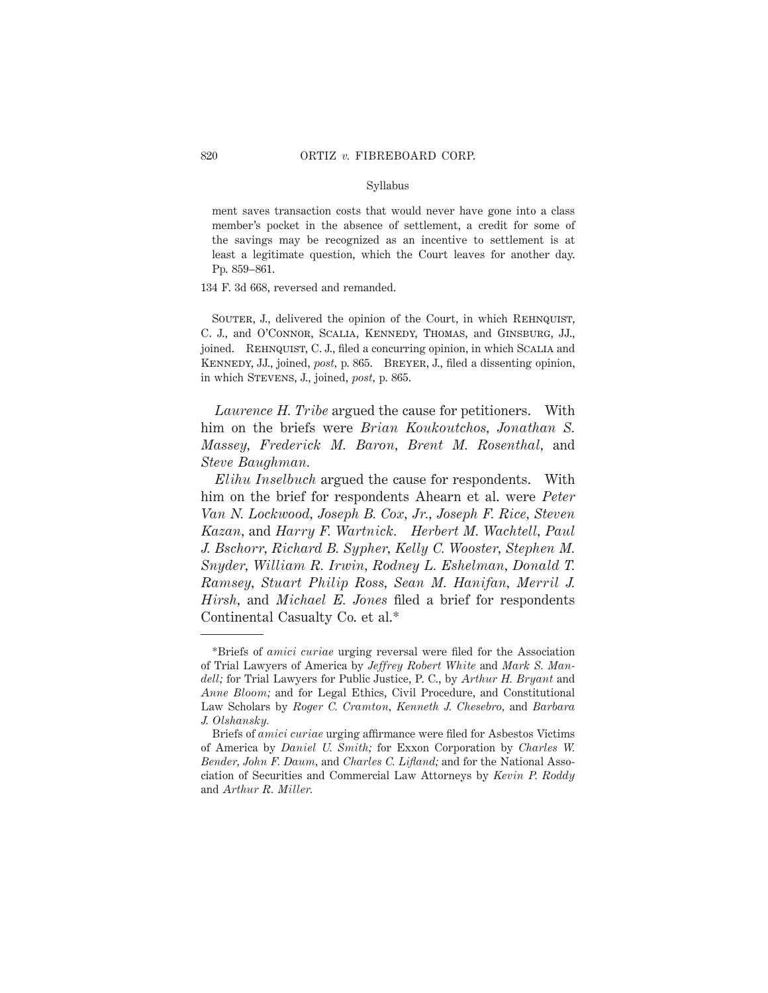ment saves transaction costs that would never have gone into a class member's pocket in the absence of settlement, a credit for some of the savings may be recognized as an incentive to settlement is at least a legitimate question, which the Court leaves for another day. Pp. 859–861.

134 F. 3d 668, reversed and remanded.

SOUTER, J., delivered the opinion of the Court, in which REHNQUIST, C. J., and O'Connor, Scalia, Kennedy, Thomas, and Ginsburg, JJ., joined. REHNQUIST, C. J., filed a concurring opinion, in which SCALIA and Kennedy, JJ., joined, *post,* p. 865. Breyer, J., filed a dissenting opinion, in which Stevens, J., joined, *post,* p. 865.

*Laurence H. Tribe* argued the cause for petitioners. With him on the briefs were *Brian Koukoutchos, Jonathan S. Massey, Frederick M. Baron, Brent M. Rosenthal,* and *Steve Baughman.*

*Elihu Inselbuch* argued the cause for respondents. With him on the brief for respondents Ahearn et al. were *Peter Van N. Lockwood, Joseph B. Cox, Jr., Joseph F. Rice, Steven Kazan,* and *Harry F. Wartnick. Herbert M. Wachtell, Paul J. Bschorr, Richard B. Sypher, Kelly C. Wooster, Stephen M. Snyder, William R. Irwin, Rodney L. Eshelman, Donald T. Ramsey, Stuart Philip Ross, Sean M. Hanifan, Merril J. Hirsh,* and *Michael E. Jones* filed a brief for respondents Continental Casualty Co. et al.\*

<sup>\*</sup>Briefs of *amici curiae* urging reversal were filed for the Association of Trial Lawyers of America by *Jeffrey Robert White* and *Mark S. Mandell;* for Trial Lawyers for Public Justice, P. C., by *Arthur H. Bryant* and *Anne Bloom;* and for Legal Ethics, Civil Procedure, and Constitutional Law Scholars by *Roger C. Cramton, Kenneth J. Chesebro,* and *Barbara J. Olshansky.*

Briefs of *amici curiae* urging affirmance were filed for Asbestos Victims of America by *Daniel U. Smith;* for Exxon Corporation by *Charles W. Bender, John F. Daum,* and *Charles C. Lifland;* and for the National Association of Securities and Commercial Law Attorneys by *Kevin P. Roddy* and *Arthur R. Miller.*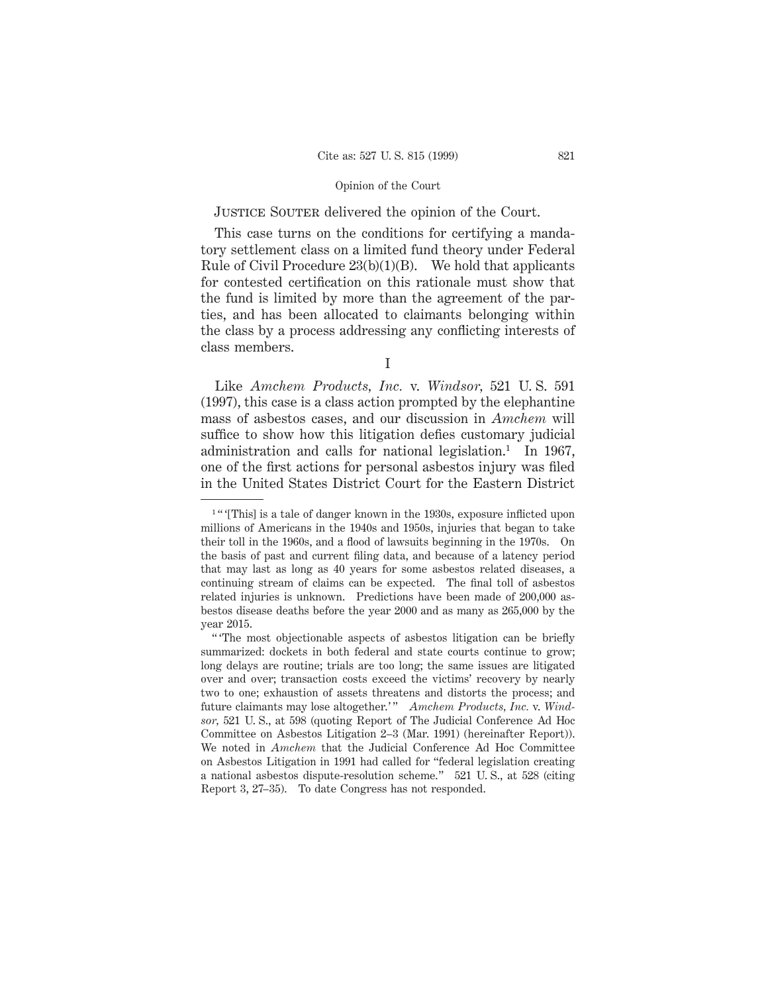# JUSTICE SOUTER delivered the opinion of the Court.

This case turns on the conditions for certifying a mandatory settlement class on a limited fund theory under Federal Rule of Civil Procedure  $23(b)(1)(B)$ . We hold that applicants for contested certification on this rationale must show that the fund is limited by more than the agreement of the parties, and has been allocated to claimants belonging within the class by a process addressing any conflicting interests of class members.

I

Like *Amchem Products, Inc.* v. *Windsor,* 521 U. S. 591 (1997), this case is a class action prompted by the elephantine mass of asbestos cases, and our discussion in *Amchem* will suffice to show how this litigation defies customary judicial administration and calls for national legislation.<sup>1</sup> In 1967, one of the first actions for personal asbestos injury was filed in the United States District Court for the Eastern District

<sup>&</sup>lt;sup>1</sup> " (This] is a tale of danger known in the 1930s, exposure inflicted upon millions of Americans in the 1940s and 1950s, injuries that began to take their toll in the 1960s, and a flood of lawsuits beginning in the 1970s. On the basis of past and current filing data, and because of a latency period that may last as long as 40 years for some asbestos related diseases, a continuing stream of claims can be expected. The final toll of asbestos related injuries is unknown. Predictions have been made of 200,000 asbestos disease deaths before the year 2000 and as many as 265,000 by the year 2015.

<sup>&</sup>quot; 'The most objectionable aspects of asbestos litigation can be briefly summarized: dockets in both federal and state courts continue to grow; long delays are routine; trials are too long; the same issues are litigated over and over; transaction costs exceed the victims' recovery by nearly two to one; exhaustion of assets threatens and distorts the process; and future claimants may lose altogether.'" Amchem Products, Inc. v. Wind*sor,* 521 U. S., at 598 (quoting Report of The Judicial Conference Ad Hoc Committee on Asbestos Litigation 2–3 (Mar. 1991) (hereinafter Report)). We noted in *Amchem* that the Judicial Conference Ad Hoc Committee on Asbestos Litigation in 1991 had called for "federal legislation creating a national asbestos dispute-resolution scheme." 521 U. S., at 528 (citing Report 3, 27–35). To date Congress has not responded.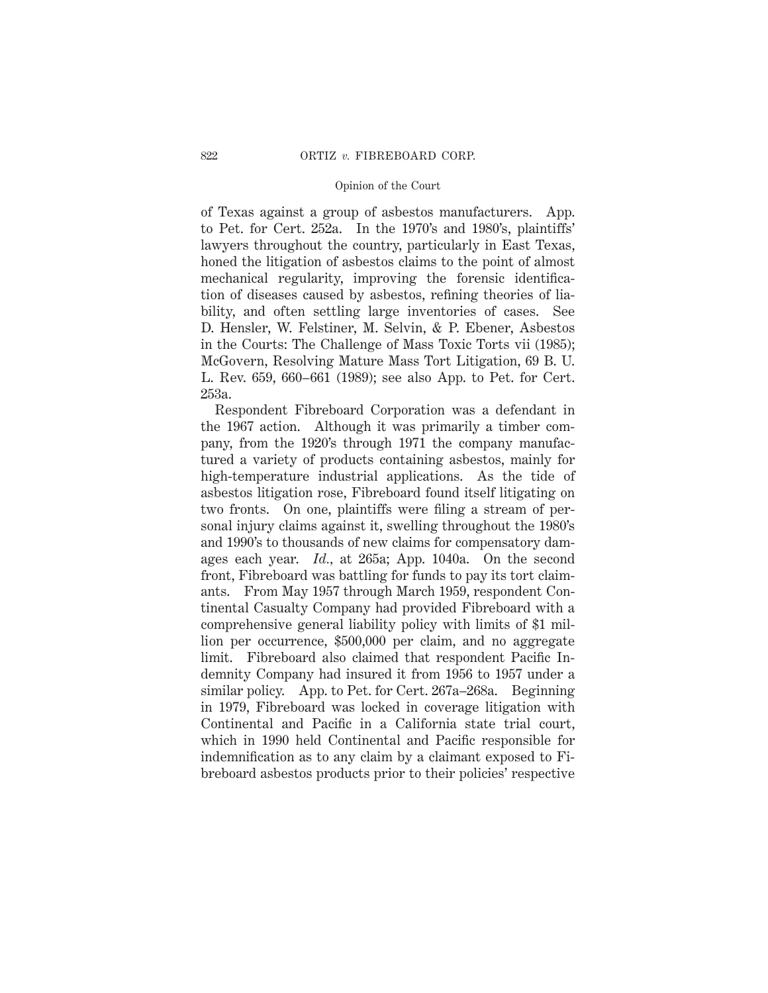of Texas against a group of asbestos manufacturers. App. to Pet. for Cert. 252a. In the 1970's and 1980's, plaintiffs' lawyers throughout the country, particularly in East Texas, honed the litigation of asbestos claims to the point of almost mechanical regularity, improving the forensic identification of diseases caused by asbestos, refining theories of liability, and often settling large inventories of cases. See D. Hensler, W. Felstiner, M. Selvin, & P. Ebener, Asbestos in the Courts: The Challenge of Mass Toxic Torts vii (1985); McGovern, Resolving Mature Mass Tort Litigation, 69 B. U. L. Rev. 659, 660–661 (1989); see also App. to Pet. for Cert. 253a.

Respondent Fibreboard Corporation was a defendant in the 1967 action. Although it was primarily a timber company, from the 1920's through 1971 the company manufactured a variety of products containing asbestos, mainly for high-temperature industrial applications. As the tide of asbestos litigation rose, Fibreboard found itself litigating on two fronts. On one, plaintiffs were filing a stream of personal injury claims against it, swelling throughout the 1980's and 1990's to thousands of new claims for compensatory damages each year. *Id.,* at 265a; App. 1040a. On the second front, Fibreboard was battling for funds to pay its tort claimants. From May 1957 through March 1959, respondent Continental Casualty Company had provided Fibreboard with a comprehensive general liability policy with limits of \$1 million per occurrence, \$500,000 per claim, and no aggregate limit. Fibreboard also claimed that respondent Pacific Indemnity Company had insured it from 1956 to 1957 under a similar policy. App. to Pet. for Cert. 267a–268a. Beginning in 1979, Fibreboard was locked in coverage litigation with Continental and Pacific in a California state trial court, which in 1990 held Continental and Pacific responsible for indemnification as to any claim by a claimant exposed to Fibreboard asbestos products prior to their policies' respective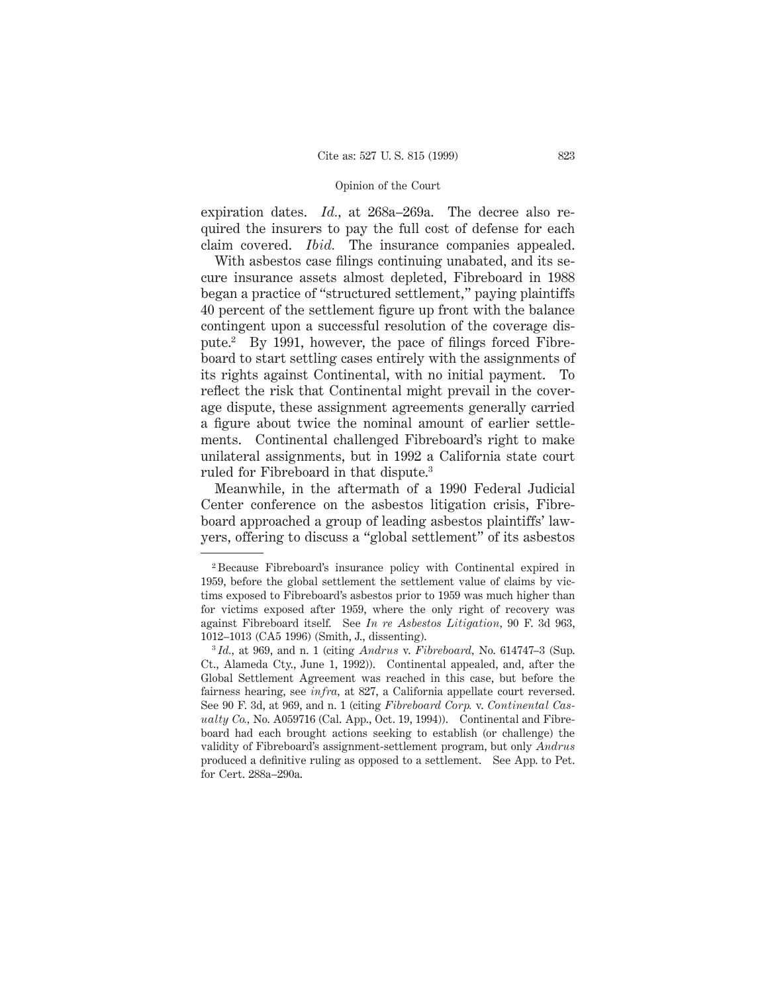expiration dates. *Id.,* at 268a–269a. The decree also required the insurers to pay the full cost of defense for each claim covered. *Ibid.* The insurance companies appealed.

With asbestos case filings continuing unabated, and its secure insurance assets almost depleted, Fibreboard in 1988 began a practice of "structured settlement," paying plaintiffs 40 percent of the settlement figure up front with the balance contingent upon a successful resolution of the coverage dispute.2 By 1991, however, the pace of filings forced Fibreboard to start settling cases entirely with the assignments of its rights against Continental, with no initial payment. To reflect the risk that Continental might prevail in the coverage dispute, these assignment agreements generally carried a figure about twice the nominal amount of earlier settlements. Continental challenged Fibreboard's right to make unilateral assignments, but in 1992 a California state court ruled for Fibreboard in that dispute.3

Meanwhile, in the aftermath of a 1990 Federal Judicial Center conference on the asbestos litigation crisis, Fibreboard approached a group of leading asbestos plaintiffs' lawyers, offering to discuss a "global settlement" of its asbestos

<sup>2</sup> Because Fibreboard's insurance policy with Continental expired in 1959, before the global settlement the settlement value of claims by victims exposed to Fibreboard's asbestos prior to 1959 was much higher than for victims exposed after 1959, where the only right of recovery was against Fibreboard itself. See *In re Asbestos Litigation,* 90 F. 3d 963, 1012–1013 (CA5 1996) (Smith, J., dissenting).

<sup>3</sup> *Id.,* at 969, and n. 1 (citing *Andrus* v. *Fibreboard,* No. 614747–3 (Sup. Ct., Alameda Cty., June 1, 1992)). Continental appealed, and, after the Global Settlement Agreement was reached in this case, but before the fairness hearing, see *infra,* at 827, a California appellate court reversed. See 90 F. 3d, at 969, and n. 1 (citing *Fibreboard Corp.* v. *Continental Casualty Co.,* No. A059716 (Cal. App., Oct. 19, 1994)). Continental and Fibreboard had each brought actions seeking to establish (or challenge) the validity of Fibreboard's assignment-settlement program, but only *Andrus* produced a definitive ruling as opposed to a settlement. See App. to Pet. for Cert. 288a–290a.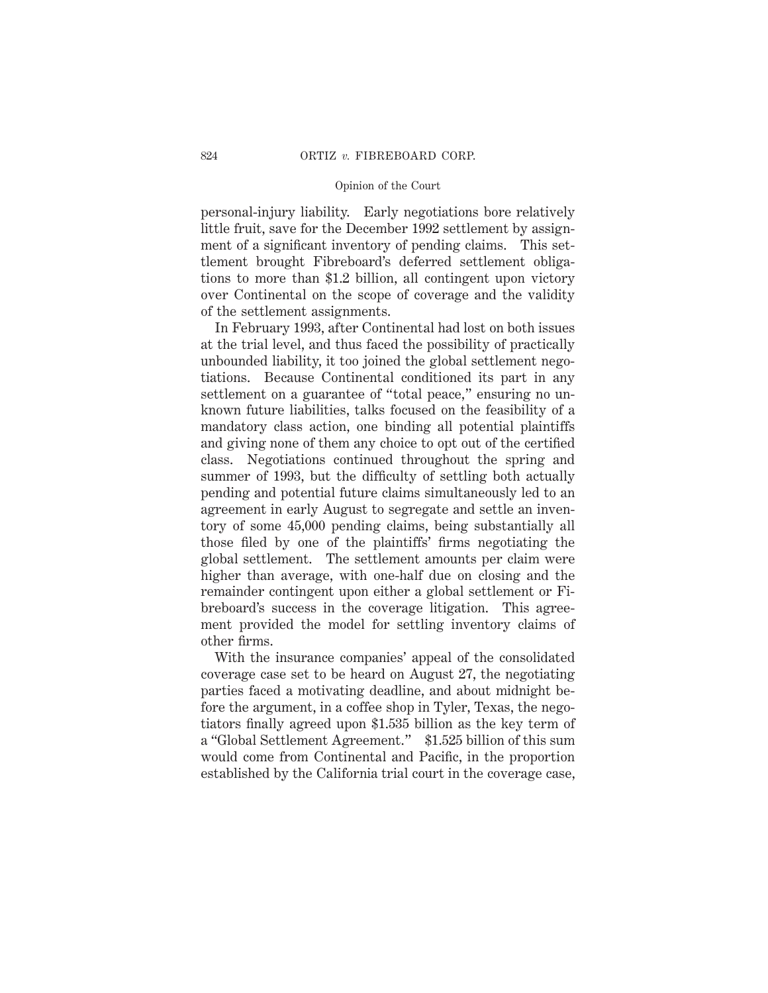personal-injury liability. Early negotiations bore relatively little fruit, save for the December 1992 settlement by assignment of a significant inventory of pending claims. This settlement brought Fibreboard's deferred settlement obligations to more than \$1.2 billion, all contingent upon victory over Continental on the scope of coverage and the validity of the settlement assignments.

In February 1993, after Continental had lost on both issues at the trial level, and thus faced the possibility of practically unbounded liability, it too joined the global settlement negotiations. Because Continental conditioned its part in any settlement on a guarantee of "total peace," ensuring no unknown future liabilities, talks focused on the feasibility of a mandatory class action, one binding all potential plaintiffs and giving none of them any choice to opt out of the certified class. Negotiations continued throughout the spring and summer of 1993, but the difficulty of settling both actually pending and potential future claims simultaneously led to an agreement in early August to segregate and settle an inventory of some 45,000 pending claims, being substantially all those filed by one of the plaintiffs' firms negotiating the global settlement. The settlement amounts per claim were higher than average, with one-half due on closing and the remainder contingent upon either a global settlement or Fibreboard's success in the coverage litigation. This agreement provided the model for settling inventory claims of other firms.

With the insurance companies' appeal of the consolidated coverage case set to be heard on August 27, the negotiating parties faced a motivating deadline, and about midnight before the argument, in a coffee shop in Tyler, Texas, the negotiators finally agreed upon \$1.535 billion as the key term of a "Global Settlement Agreement." \$1.525 billion of this sum would come from Continental and Pacific, in the proportion established by the California trial court in the coverage case,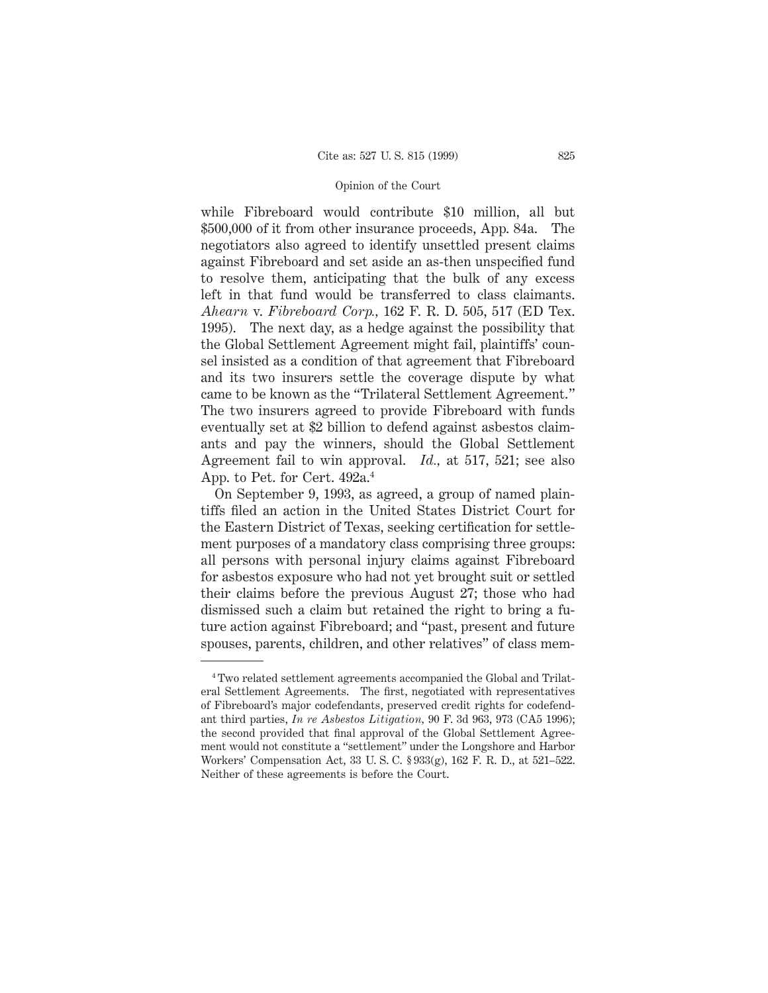while Fibreboard would contribute \$10 million, all but \$500,000 of it from other insurance proceeds, App. 84a. The negotiators also agreed to identify unsettled present claims against Fibreboard and set aside an as-then unspecified fund to resolve them, anticipating that the bulk of any excess left in that fund would be transferred to class claimants. *Ahearn* v. *Fibreboard Corp.,* 162 F. R. D. 505, 517 (ED Tex. 1995). The next day, as a hedge against the possibility that the Global Settlement Agreement might fail, plaintiffs' counsel insisted as a condition of that agreement that Fibreboard and its two insurers settle the coverage dispute by what came to be known as the "Trilateral Settlement Agreement." The two insurers agreed to provide Fibreboard with funds eventually set at \$2 billion to defend against asbestos claimants and pay the winners, should the Global Settlement Agreement fail to win approval. *Id.,* at 517, 521; see also App. to Pet. for Cert. 492a.4

On September 9, 1993, as agreed, a group of named plaintiffs filed an action in the United States District Court for the Eastern District of Texas, seeking certification for settlement purposes of a mandatory class comprising three groups: all persons with personal injury claims against Fibreboard for asbestos exposure who had not yet brought suit or settled their claims before the previous August 27; those who had dismissed such a claim but retained the right to bring a future action against Fibreboard; and "past, present and future spouses, parents, children, and other relatives" of class mem-

<sup>4</sup> Two related settlement agreements accompanied the Global and Trilateral Settlement Agreements. The first, negotiated with representatives of Fibreboard's major codefendants, preserved credit rights for codefendant third parties, *In re Asbestos Litigation,* 90 F. 3d 963, 973 (CA5 1996); the second provided that final approval of the Global Settlement Agreement would not constitute a "settlement" under the Longshore and Harbor Workers' Compensation Act, 33 U. S. C. § 933(g), 162 F. R. D., at 521–522. Neither of these agreements is before the Court.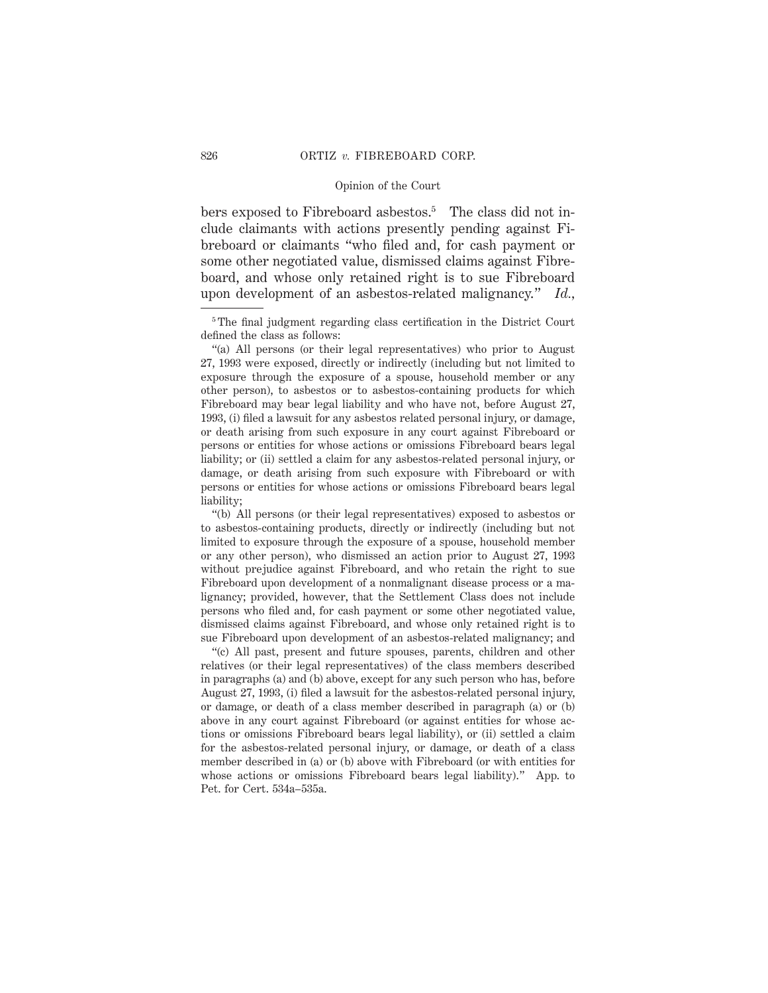bers exposed to Fibreboard asbestos.<sup>5</sup> The class did not include claimants with actions presently pending against Fibreboard or claimants "who filed and, for cash payment or some other negotiated value, dismissed claims against Fibreboard, and whose only retained right is to sue Fibreboard upon development of an asbestos-related malignancy." *Id.,*

"(b) All persons (or their legal representatives) exposed to asbestos or to asbestos-containing products, directly or indirectly (including but not limited to exposure through the exposure of a spouse, household member or any other person), who dismissed an action prior to August 27, 1993 without prejudice against Fibreboard, and who retain the right to sue Fibreboard upon development of a nonmalignant disease process or a malignancy; provided, however, that the Settlement Class does not include persons who filed and, for cash payment or some other negotiated value, dismissed claims against Fibreboard, and whose only retained right is to sue Fibreboard upon development of an asbestos-related malignancy; and

"(c) All past, present and future spouses, parents, children and other relatives (or their legal representatives) of the class members described in paragraphs (a) and (b) above, except for any such person who has, before August 27, 1993, (i) filed a lawsuit for the asbestos-related personal injury, or damage, or death of a class member described in paragraph (a) or (b) above in any court against Fibreboard (or against entities for whose actions or omissions Fibreboard bears legal liability), or (ii) settled a claim for the asbestos-related personal injury, or damage, or death of a class member described in (a) or (b) above with Fibreboard (or with entities for whose actions or omissions Fibreboard bears legal liability)." App. to Pet. for Cert. 534a–535a.

<sup>&</sup>lt;sup>5</sup>The final judgment regarding class certification in the District Court defined the class as follows:

<sup>&</sup>quot;(a) All persons (or their legal representatives) who prior to August 27, 1993 were exposed, directly or indirectly (including but not limited to exposure through the exposure of a spouse, household member or any other person), to asbestos or to asbestos-containing products for which Fibreboard may bear legal liability and who have not, before August 27, 1993, (i) filed a lawsuit for any asbestos related personal injury, or damage, or death arising from such exposure in any court against Fibreboard or persons or entities for whose actions or omissions Fibreboard bears legal liability; or (ii) settled a claim for any asbestos-related personal injury, or damage, or death arising from such exposure with Fibreboard or with persons or entities for whose actions or omissions Fibreboard bears legal liability;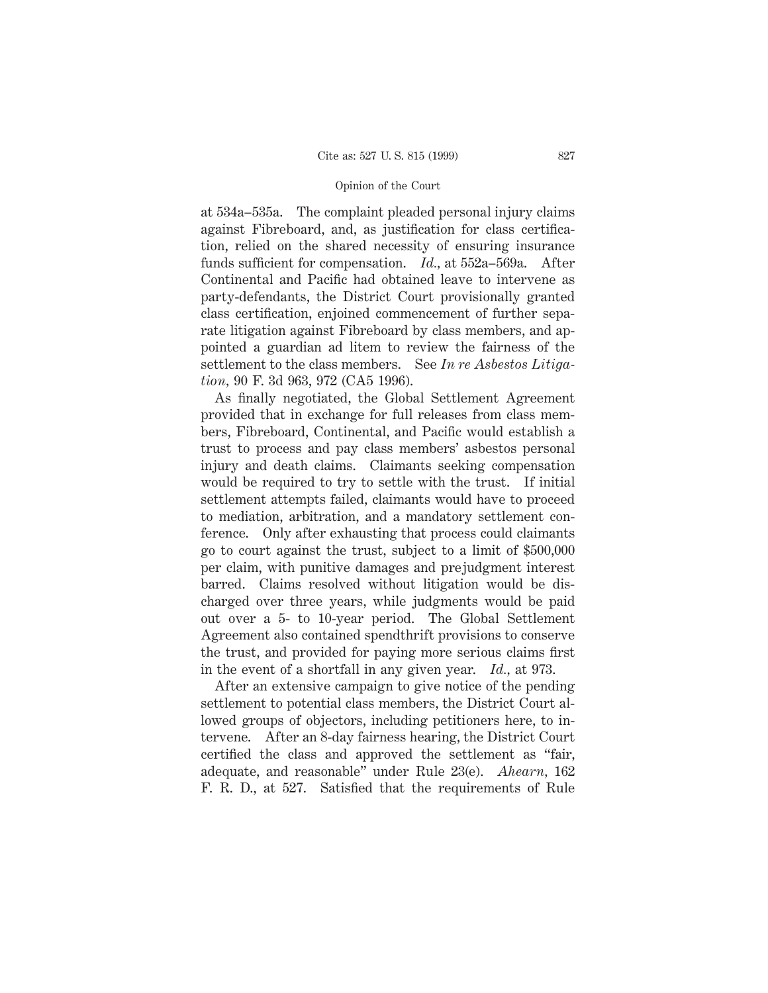at 534a–535a. The complaint pleaded personal injury claims against Fibreboard, and, as justification for class certification, relied on the shared necessity of ensuring insurance funds sufficient for compensation. *Id.,* at 552a–569a. After Continental and Pacific had obtained leave to intervene as party-defendants, the District Court provisionally granted class certification, enjoined commencement of further separate litigation against Fibreboard by class members, and appointed a guardian ad litem to review the fairness of the settlement to the class members. See *In re Asbestos Litigation,* 90 F. 3d 963, 972 (CA5 1996).

As finally negotiated, the Global Settlement Agreement provided that in exchange for full releases from class members, Fibreboard, Continental, and Pacific would establish a trust to process and pay class members' asbestos personal injury and death claims. Claimants seeking compensation would be required to try to settle with the trust. If initial settlement attempts failed, claimants would have to proceed to mediation, arbitration, and a mandatory settlement conference. Only after exhausting that process could claimants go to court against the trust, subject to a limit of \$500,000 per claim, with punitive damages and prejudgment interest barred. Claims resolved without litigation would be discharged over three years, while judgments would be paid out over a 5- to 10-year period. The Global Settlement Agreement also contained spendthrift provisions to conserve the trust, and provided for paying more serious claims first in the event of a shortfall in any given year. *Id.,* at 973.

After an extensive campaign to give notice of the pending settlement to potential class members, the District Court allowed groups of objectors, including petitioners here, to intervene. After an 8-day fairness hearing, the District Court certified the class and approved the settlement as "fair, adequate, and reasonable" under Rule 23(e). *Ahearn,* 162 F. R. D., at 527. Satisfied that the requirements of Rule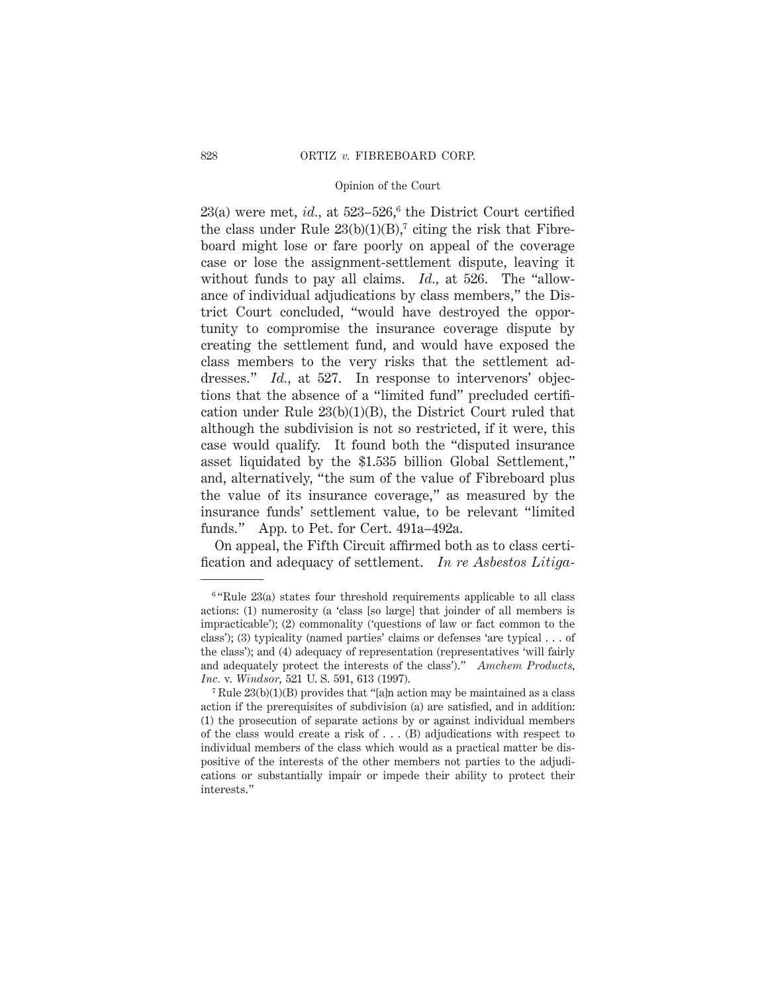$23(a)$  were met, *id.*, at  $523-526$ <sup>6</sup> the District Court certified the class under Rule  $23(b)(1)(B)$ ,<sup>7</sup> citing the risk that Fibreboard might lose or fare poorly on appeal of the coverage case or lose the assignment-settlement dispute, leaving it without funds to pay all claims. *Id.,* at 526. The "allowance of individual adjudications by class members," the District Court concluded, "would have destroyed the opportunity to compromise the insurance coverage dispute by creating the settlement fund, and would have exposed the class members to the very risks that the settlement addresses." *Id.,* at 527. In response to intervenors' objections that the absence of a "limited fund" precluded certification under Rule 23(b)(1)(B), the District Court ruled that although the subdivision is not so restricted, if it were, this case would qualify. It found both the "disputed insurance asset liquidated by the \$1.535 billion Global Settlement," and, alternatively, "the sum of the value of Fibreboard plus the value of its insurance coverage," as measured by the insurance funds' settlement value, to be relevant "limited funds." App. to Pet. for Cert. 491a–492a.

On appeal, the Fifth Circuit affirmed both as to class certification and adequacy of settlement. *In re Asbestos Litiga-*

<sup>&</sup>lt;sup>6</sup> "Rule 23(a) states four threshold requirements applicable to all class actions: (1) numerosity (a 'class [so large] that joinder of all members is impracticable'); (2) commonality ('questions of law or fact common to the class'); (3) typicality (named parties' claims or defenses 'are typical . . . of the class'); and (4) adequacy of representation (representatives 'will fairly and adequately protect the interests of the class')." *Amchem Products, Inc.* v. *Windsor,* 521 U. S. 591, 613 (1997).

<sup>&</sup>lt;sup>7</sup> Rule  $23(b)(1)(B)$  provides that "[a]n action may be maintained as a class action if the prerequisites of subdivision (a) are satisfied, and in addition: (1) the prosecution of separate actions by or against individual members of the class would create a risk of  $\dots$  (B) adjudications with respect to individual members of the class which would as a practical matter be dispositive of the interests of the other members not parties to the adjudications or substantially impair or impede their ability to protect their interests."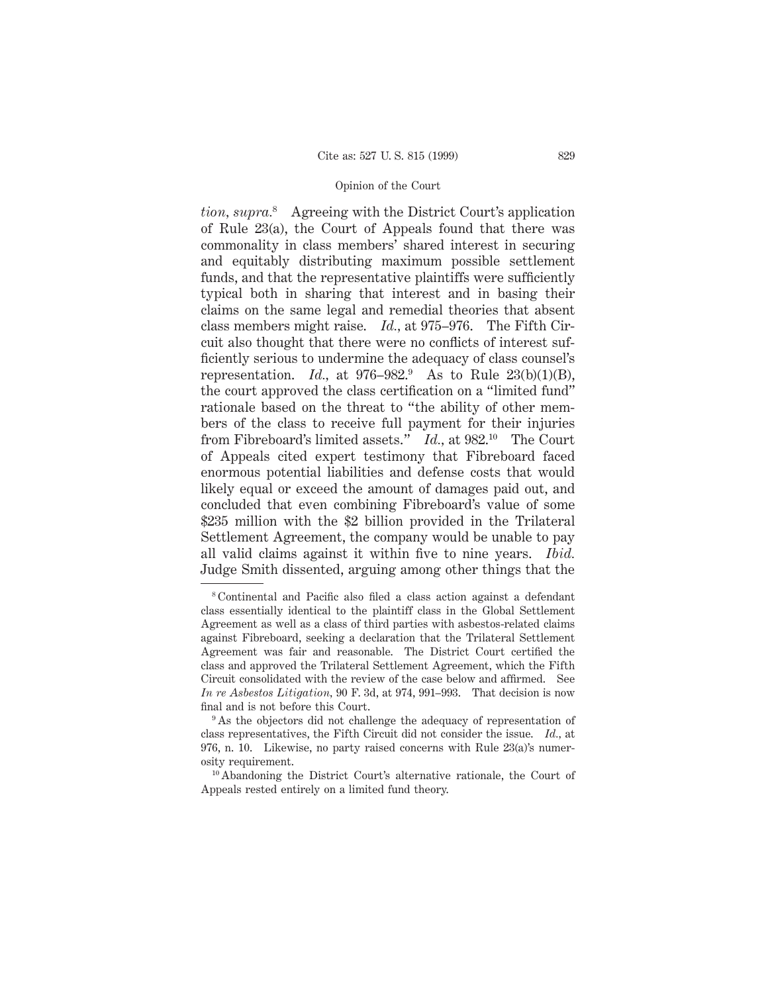*tion, supra.*<sup>8</sup> Agreeing with the District Court's application of Rule 23(a), the Court of Appeals found that there was commonality in class members' shared interest in securing and equitably distributing maximum possible settlement funds, and that the representative plaintiffs were sufficiently typical both in sharing that interest and in basing their claims on the same legal and remedial theories that absent class members might raise. *Id.,* at 975–976. The Fifth Circuit also thought that there were no conflicts of interest sufficiently serious to undermine the adequacy of class counsel's representation. *Id.*, at  $976-982$ <sup>9</sup> As to Rule 23(b)(1)(B), the court approved the class certification on a "limited fund" rationale based on the threat to "the ability of other members of the class to receive full payment for their injuries from Fibreboard's limited assets." *Id.,* at 982.10 The Court of Appeals cited expert testimony that Fibreboard faced enormous potential liabilities and defense costs that would likely equal or exceed the amount of damages paid out, and concluded that even combining Fibreboard's value of some \$235 million with the \$2 billion provided in the Trilateral Settlement Agreement, the company would be unable to pay all valid claims against it within five to nine years. *Ibid.* Judge Smith dissented, arguing among other things that the

<sup>8</sup> Continental and Pacific also filed a class action against a defendant class essentially identical to the plaintiff class in the Global Settlement Agreement as well as a class of third parties with asbestos-related claims against Fibreboard, seeking a declaration that the Trilateral Settlement Agreement was fair and reasonable. The District Court certified the class and approved the Trilateral Settlement Agreement, which the Fifth Circuit consolidated with the review of the case below and affirmed. See *In re Asbestos Litigation,* 90 F. 3d, at 974, 991–993. That decision is now final and is not before this Court.

<sup>&</sup>lt;sup>9</sup> As the objectors did not challenge the adequacy of representation of class representatives, the Fifth Circuit did not consider the issue. *Id.,* at 976, n. 10. Likewise, no party raised concerns with Rule 23(a)'s numerosity requirement.

<sup>10</sup> Abandoning the District Court's alternative rationale, the Court of Appeals rested entirely on a limited fund theory.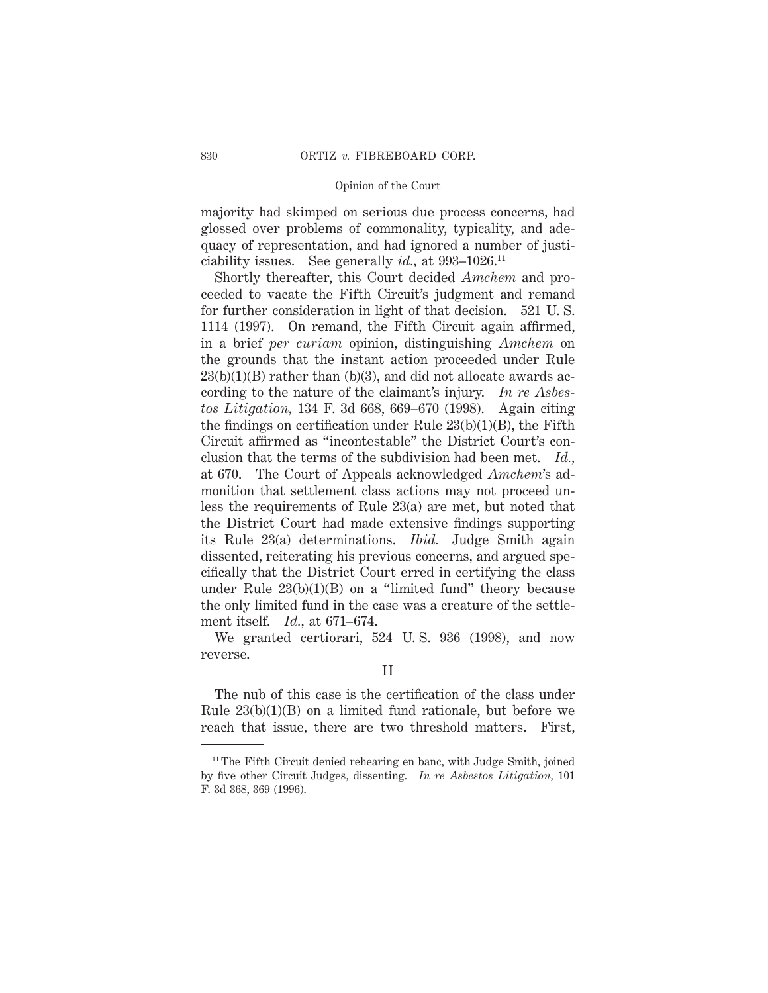majority had skimped on serious due process concerns, had glossed over problems of commonality, typicality, and adequacy of representation, and had ignored a number of justiciability issues. See generally *id.,* at 993–1026.11

Shortly thereafter, this Court decided *Amchem* and proceeded to vacate the Fifth Circuit's judgment and remand for further consideration in light of that decision. 521 U. S. 1114 (1997). On remand, the Fifth Circuit again affirmed, in a brief *per curiam* opinion, distinguishing *Amchem* on the grounds that the instant action proceeded under Rule  $23(b)(1)(B)$  rather than (b)(3), and did not allocate awards according to the nature of the claimant's injury. *In re Asbestos Litigation,* 134 F. 3d 668, 669–670 (1998). Again citing the findings on certification under Rule  $23(b)(1)(B)$ , the Fifth Circuit affirmed as "incontestable" the District Court's conclusion that the terms of the subdivision had been met. *Id.,* at 670. The Court of Appeals acknowledged *Amchem*'s admonition that settlement class actions may not proceed unless the requirements of Rule 23(a) are met, but noted that the District Court had made extensive findings supporting its Rule 23(a) determinations. *Ibid.* Judge Smith again dissented, reiterating his previous concerns, and argued specifically that the District Court erred in certifying the class under Rule  $23(b)(1)(B)$  on a "limited fund" theory because the only limited fund in the case was a creature of the settlement itself. *Id.,* at 671–674.

We granted certiorari, 524 U. S. 936 (1998), and now reverse.

# II

The nub of this case is the certification of the class under Rule 23(b)(1)(B) on a limited fund rationale, but before we reach that issue, there are two threshold matters. First,

<sup>&</sup>lt;sup>11</sup> The Fifth Circuit denied rehearing en banc, with Judge Smith, joined by five other Circuit Judges, dissenting. *In re Asbestos Litigation,* 101 F. 3d 368, 369 (1996).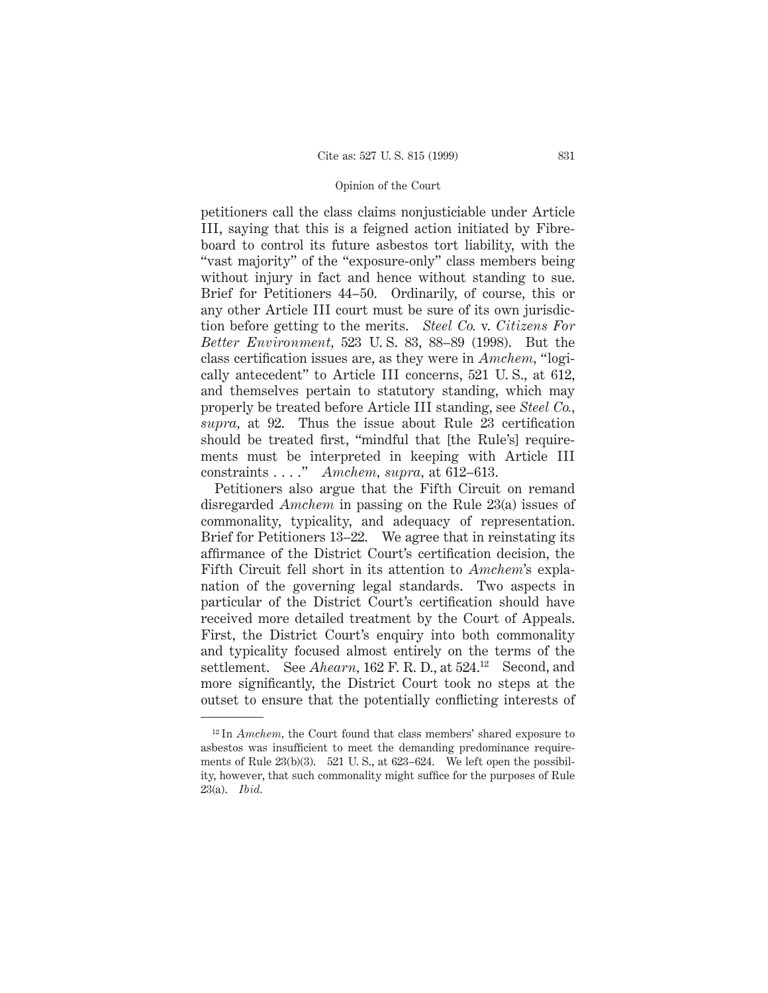petitioners call the class claims nonjusticiable under Article III, saying that this is a feigned action initiated by Fibreboard to control its future asbestos tort liability, with the "vast majority" of the "exposure-only" class members being without injury in fact and hence without standing to sue. Brief for Petitioners 44–50. Ordinarily, of course, this or any other Article III court must be sure of its own jurisdiction before getting to the merits. *Steel Co.* v. *Citizens For Better Environment,* 523 U. S. 83, 88–89 (1998). But the class certification issues are, as they were in *Amchem,* "logically antecedent" to Article III concerns, 521 U. S., at 612, and themselves pertain to statutory standing, which may properly be treated before Article III standing, see *Steel Co., supra,* at 92. Thus the issue about Rule 23 certification should be treated first, "mindful that [the Rule's] requirements must be interpreted in keeping with Article III constraints . . . ." *Amchem, supra,* at 612–613.

Petitioners also argue that the Fifth Circuit on remand disregarded *Amchem* in passing on the Rule 23(a) issues of commonality, typicality, and adequacy of representation. Brief for Petitioners 13–22. We agree that in reinstating its affirmance of the District Court's certification decision, the Fifth Circuit fell short in its attention to *Amchem*'s explanation of the governing legal standards. Two aspects in particular of the District Court's certification should have received more detailed treatment by the Court of Appeals. First, the District Court's enquiry into both commonality and typicality focused almost entirely on the terms of the settlement. See *Ahearn*, 162 F. R. D., at 524.<sup>12</sup> Second, and more significantly, the District Court took no steps at the outset to ensure that the potentially conflicting interests of

<sup>12</sup> In *Amchem,* the Court found that class members' shared exposure to asbestos was insufficient to meet the demanding predominance requirements of Rule 23(b)(3). 521 U. S., at 623–624. We left open the possibility, however, that such commonality might suffice for the purposes of Rule 23(a). *Ibid.*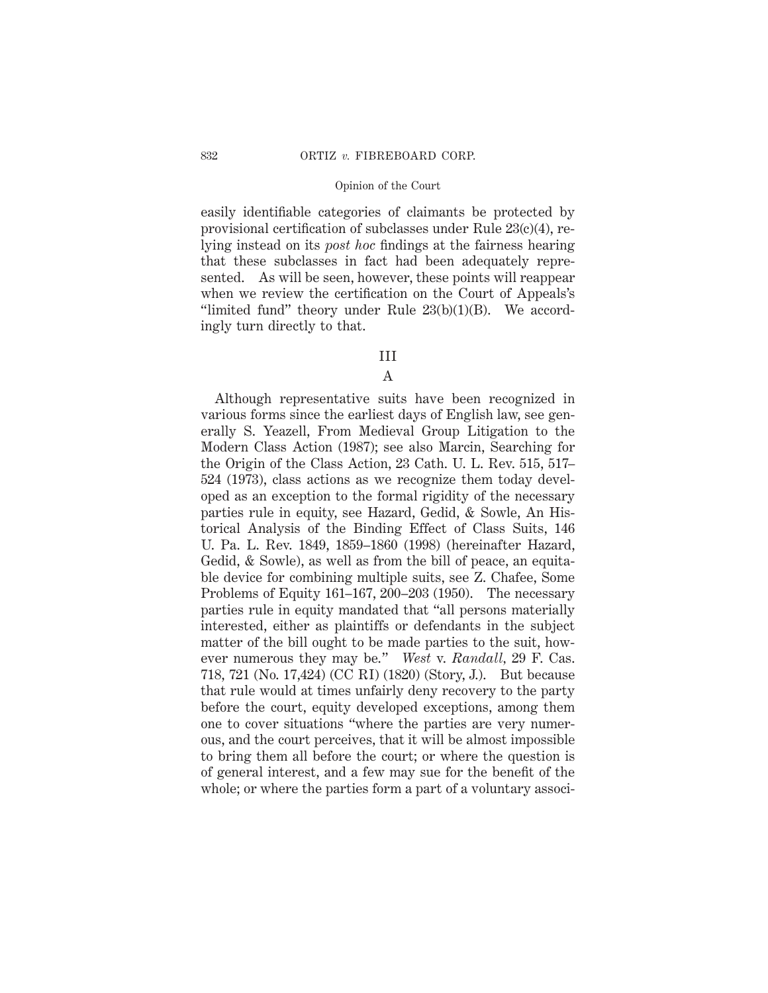easily identifiable categories of claimants be protected by provisional certification of subclasses under Rule 23(c)(4), relying instead on its *post hoc* findings at the fairness hearing that these subclasses in fact had been adequately represented. As will be seen, however, these points will reappear when we review the certification on the Court of Appeals's "limited fund" theory under Rule  $23(b)(1)(B)$ . We accordingly turn directly to that.

### III

# A

Although representative suits have been recognized in various forms since the earliest days of English law, see generally S. Yeazell, From Medieval Group Litigation to the Modern Class Action (1987); see also Marcin, Searching for the Origin of the Class Action, 23 Cath. U. L. Rev. 515, 517– 524 (1973), class actions as we recognize them today developed as an exception to the formal rigidity of the necessary parties rule in equity, see Hazard, Gedid, & Sowle, An Historical Analysis of the Binding Effect of Class Suits, 146 U. Pa. L. Rev. 1849, 1859–1860 (1998) (hereinafter Hazard, Gedid, & Sowle), as well as from the bill of peace, an equitable device for combining multiple suits, see Z. Chafee, Some Problems of Equity 161–167, 200–203 (1950). The necessary parties rule in equity mandated that "all persons materially interested, either as plaintiffs or defendants in the subject matter of the bill ought to be made parties to the suit, however numerous they may be." *West* v. *Randall,* 29 F. Cas. 718, 721 (No. 17,424) (CC RI) (1820) (Story, J.). But because that rule would at times unfairly deny recovery to the party before the court, equity developed exceptions, among them one to cover situations "where the parties are very numerous, and the court perceives, that it will be almost impossible to bring them all before the court; or where the question is of general interest, and a few may sue for the benefit of the whole; or where the parties form a part of a voluntary associ-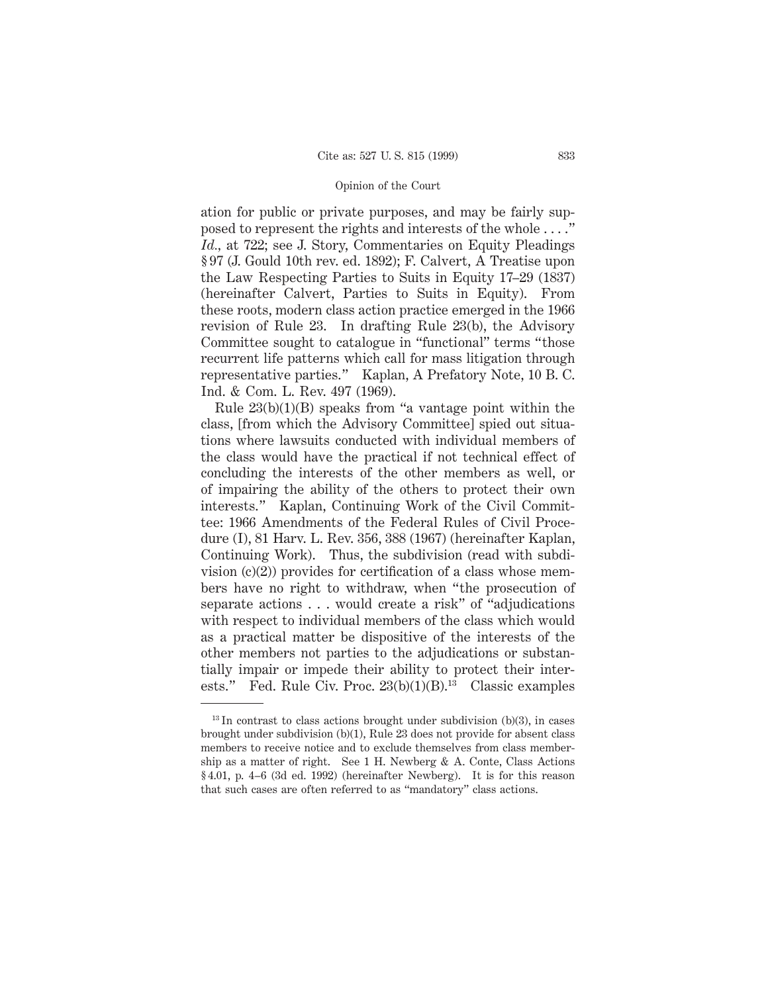ation for public or private purposes, and may be fairly supposed to represent the rights and interests of the whole . . . ." *Id.,* at 722; see J. Story, Commentaries on Equity Pleadings § 97 (J. Gould 10th rev. ed. 1892); F. Calvert, A Treatise upon the Law Respecting Parties to Suits in Equity 17–29 (1837) (hereinafter Calvert, Parties to Suits in Equity). From these roots, modern class action practice emerged in the 1966 revision of Rule 23. In drafting Rule 23(b), the Advisory Committee sought to catalogue in "functional" terms "those recurrent life patterns which call for mass litigation through representative parties." Kaplan, A Prefatory Note, 10 B. C. Ind. & Com. L. Rev. 497 (1969).

Rule  $23(b)(1)(B)$  speaks from "a vantage point within the class, [from which the Advisory Committee] spied out situations where lawsuits conducted with individual members of the class would have the practical if not technical effect of concluding the interests of the other members as well, or of impairing the ability of the others to protect their own interests." Kaplan, Continuing Work of the Civil Committee: 1966 Amendments of the Federal Rules of Civil Procedure (I), 81 Harv. L. Rev. 356, 388 (1967) (hereinafter Kaplan, Continuing Work). Thus, the subdivision (read with subdivision  $(c)(2)$  provides for certification of a class whose members have no right to withdraw, when "the prosecution of separate actions . . . would create a risk" of "adjudications with respect to individual members of the class which would as a practical matter be dispositive of the interests of the other members not parties to the adjudications or substantially impair or impede their ability to protect their interests." Fed. Rule Civ. Proc.  $23(b)(1)(B)$ .<sup>13</sup> Classic examples

 $13$  In contrast to class actions brought under subdivision (b)(3), in cases brought under subdivision (b)(1), Rule 23 does not provide for absent class members to receive notice and to exclude themselves from class membership as a matter of right. See 1 H. Newberg & A. Conte, Class Actions § 4.01, p. 4–6 (3d ed. 1992) (hereinafter Newberg). It is for this reason that such cases are often referred to as "mandatory" class actions.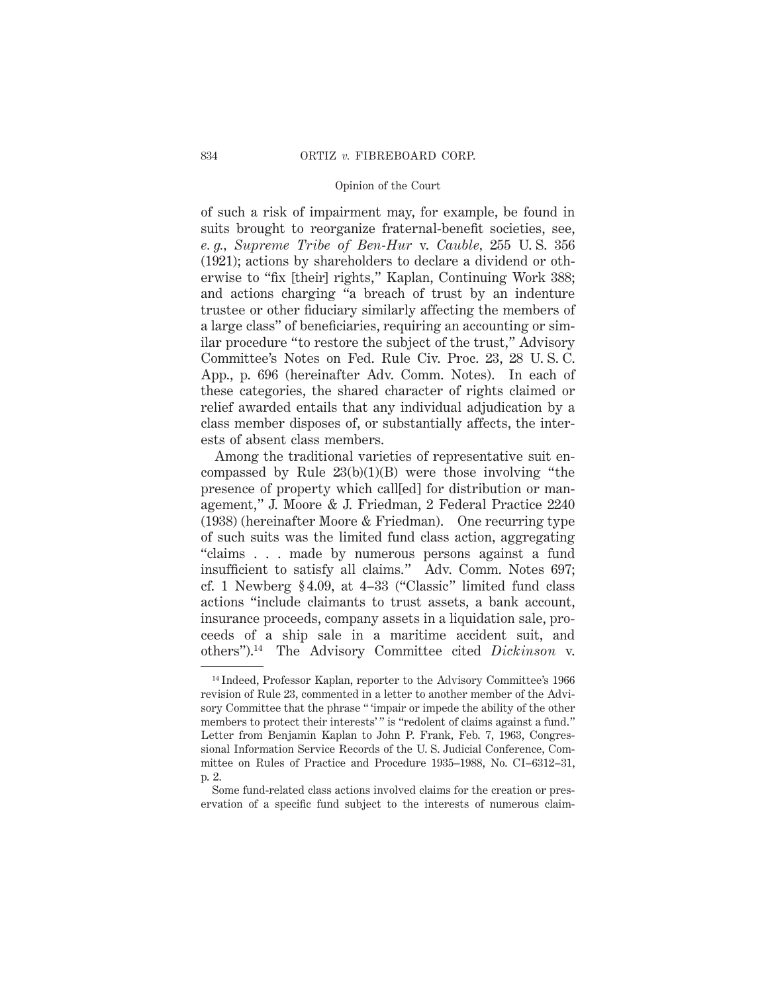of such a risk of impairment may, for example, be found in suits brought to reorganize fraternal-benefit societies, see, *e. g., Supreme Tribe of Ben-Hur* v. *Cauble,* 255 U. S. 356 (1921); actions by shareholders to declare a dividend or otherwise to "fix [their] rights," Kaplan, Continuing Work 388; and actions charging "a breach of trust by an indenture trustee or other fiduciary similarly affecting the members of a large class" of beneficiaries, requiring an accounting or similar procedure "to restore the subject of the trust," Advisory Committee's Notes on Fed. Rule Civ. Proc. 23, 28 U. S. C. App., p. 696 (hereinafter Adv. Comm. Notes). In each of these categories, the shared character of rights claimed or relief awarded entails that any individual adjudication by a class member disposes of, or substantially affects, the interests of absent class members.

Among the traditional varieties of representative suit encompassed by Rule  $23(b)(1)(B)$  were those involving "the presence of property which call[ed] for distribution or management," J. Moore & J. Friedman, 2 Federal Practice 2240 (1938) (hereinafter Moore & Friedman). One recurring type of such suits was the limited fund class action, aggregating "claims . . . made by numerous persons against a fund insufficient to satisfy all claims." Adv. Comm. Notes 697; cf. 1 Newberg § 4.09, at 4–33 ("Classic" limited fund class actions "include claimants to trust assets, a bank account, insurance proceeds, company assets in a liquidation sale, proceeds of a ship sale in a maritime accident suit, and others").14 The Advisory Committee cited *Dickinson* v.

<sup>&</sup>lt;sup>14</sup> Indeed, Professor Kaplan, reporter to the Advisory Committee's 1966 revision of Rule 23, commented in a letter to another member of the Advisory Committee that the phrase " 'impair or impede the ability of the other members to protect their interests'" is "redolent of claims against a fund." Letter from Benjamin Kaplan to John P. Frank, Feb. 7, 1963, Congressional Information Service Records of the U. S. Judicial Conference, Committee on Rules of Practice and Procedure 1935–1988, No. CI–6312–31, p. 2.

Some fund-related class actions involved claims for the creation or preservation of a specific fund subject to the interests of numerous claim-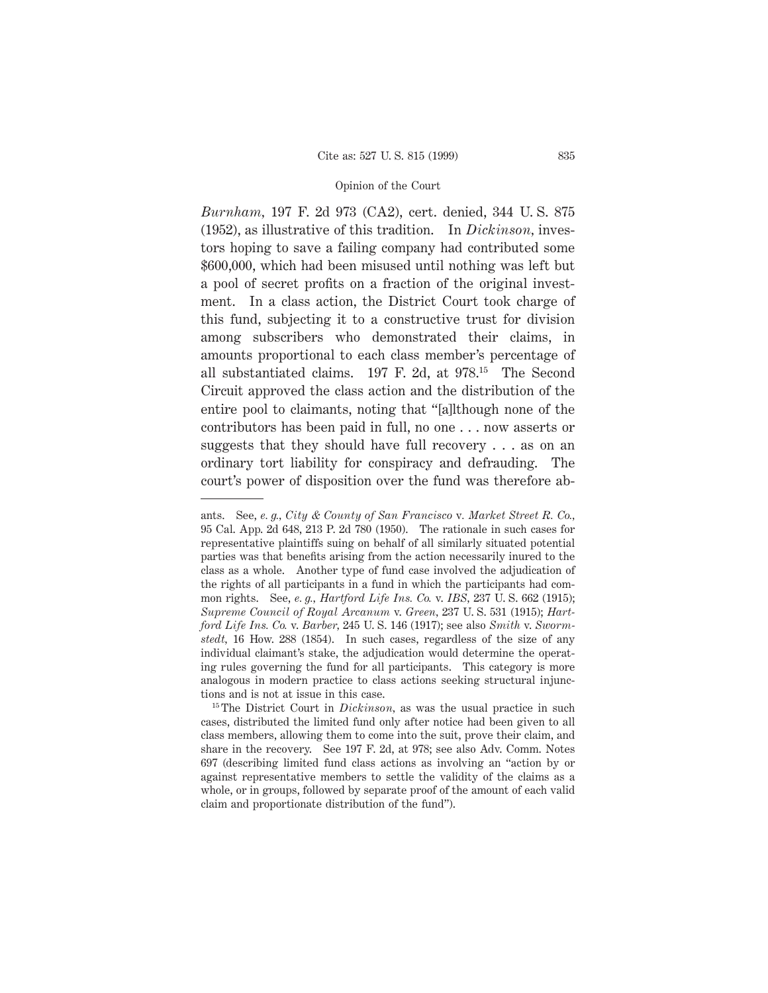*Burnham,* 197 F. 2d 973 (CA2), cert. denied, 344 U. S. 875 (1952), as illustrative of this tradition. In *Dickinson,* investors hoping to save a failing company had contributed some \$600,000, which had been misused until nothing was left but a pool of secret profits on a fraction of the original investment. In a class action, the District Court took charge of this fund, subjecting it to a constructive trust for division among subscribers who demonstrated their claims, in amounts proportional to each class member's percentage of all substantiated claims. 197 F. 2d, at 978.15 The Second Circuit approved the class action and the distribution of the entire pool to claimants, noting that "[a]lthough none of the contributors has been paid in full, no one . . . now asserts or suggests that they should have full recovery . . . as on an ordinary tort liability for conspiracy and defrauding. The court's power of disposition over the fund was therefore ab-

ants. See, *e. g., City & County of San Francisco* v*. Market Street R. Co.,* 95 Cal. App. 2d 648, 213 P. 2d 780 (1950). The rationale in such cases for representative plaintiffs suing on behalf of all similarly situated potential parties was that benefits arising from the action necessarily inured to the class as a whole. Another type of fund case involved the adjudication of the rights of all participants in a fund in which the participants had common rights. See, *e. g., Hartford Life Ins. Co.* v. *IBS,* 237 U. S. 662 (1915); *Supreme Council of Royal Arcanum* v. *Green,* 237 U. S. 531 (1915); *Hartford Life Ins. Co.* v. *Barber,* 245 U. S. 146 (1917); see also *Smith* v. *Swormstedt,* 16 How. 288 (1854). In such cases, regardless of the size of any individual claimant's stake, the adjudication would determine the operating rules governing the fund for all participants. This category is more analogous in modern practice to class actions seeking structural injunctions and is not at issue in this case.

<sup>15</sup> The District Court in *Dickinson,* as was the usual practice in such cases, distributed the limited fund only after notice had been given to all class members, allowing them to come into the suit, prove their claim, and share in the recovery. See 197 F. 2d, at 978; see also Adv. Comm. Notes 697 (describing limited fund class actions as involving an "action by or against representative members to settle the validity of the claims as a whole, or in groups, followed by separate proof of the amount of each valid claim and proportionate distribution of the fund").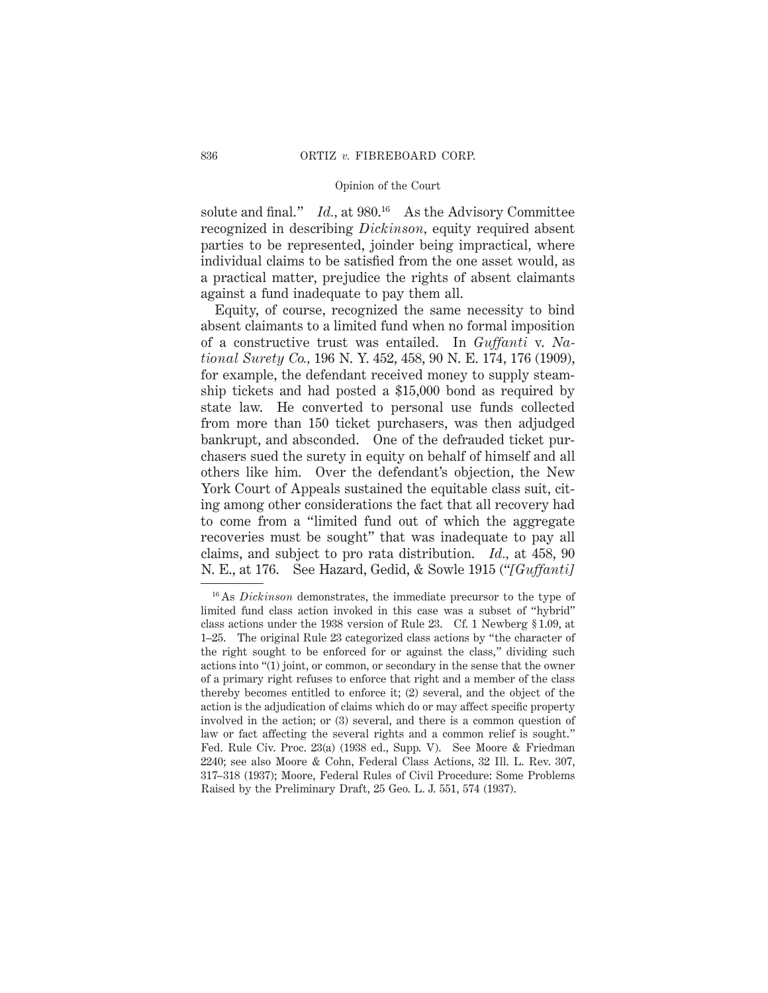solute and final." *Id.*, at 980.<sup>16</sup> As the Advisory Committee recognized in describing *Dickinson,* equity required absent parties to be represented, joinder being impractical, where individual claims to be satisfied from the one asset would, as a practical matter, prejudice the rights of absent claimants against a fund inadequate to pay them all.

Equity, of course, recognized the same necessity to bind absent claimants to a limited fund when no formal imposition of a constructive trust was entailed. In *Guffanti* v. *National Surety Co.,* 196 N. Y. 452, 458, 90 N. E. 174, 176 (1909), for example, the defendant received money to supply steamship tickets and had posted a \$15,000 bond as required by state law. He converted to personal use funds collected from more than 150 ticket purchasers, was then adjudged bankrupt, and absconded. One of the defrauded ticket purchasers sued the surety in equity on behalf of himself and all others like him. Over the defendant's objection, the New York Court of Appeals sustained the equitable class suit, citing among other considerations the fact that all recovery had to come from a "limited fund out of which the aggregate recoveries must be sought" that was inadequate to pay all claims, and subject to pro rata distribution. *Id.,* at 458, 90 N. E., at 176. See Hazard, Gedid, & Sowle 1915 ("*[Guffanti]*

<sup>16</sup> As *Dickinson* demonstrates, the immediate precursor to the type of limited fund class action invoked in this case was a subset of "hybrid" class actions under the 1938 version of Rule 23. Cf. 1 Newberg § 1.09, at 1–25. The original Rule 23 categorized class actions by "the character of the right sought to be enforced for or against the class," dividing such actions into "(1) joint, or common, or secondary in the sense that the owner of a primary right refuses to enforce that right and a member of the class thereby becomes entitled to enforce it; (2) several, and the object of the action is the adjudication of claims which do or may affect specific property involved in the action; or (3) several, and there is a common question of law or fact affecting the several rights and a common relief is sought." Fed. Rule Civ. Proc. 23(a) (1938 ed., Supp. V). See Moore & Friedman 2240; see also Moore & Cohn, Federal Class Actions, 32 Ill. L. Rev. 307, 317–318 (1937); Moore, Federal Rules of Civil Procedure: Some Problems Raised by the Preliminary Draft, 25 Geo. L. J. 551, 574 (1937).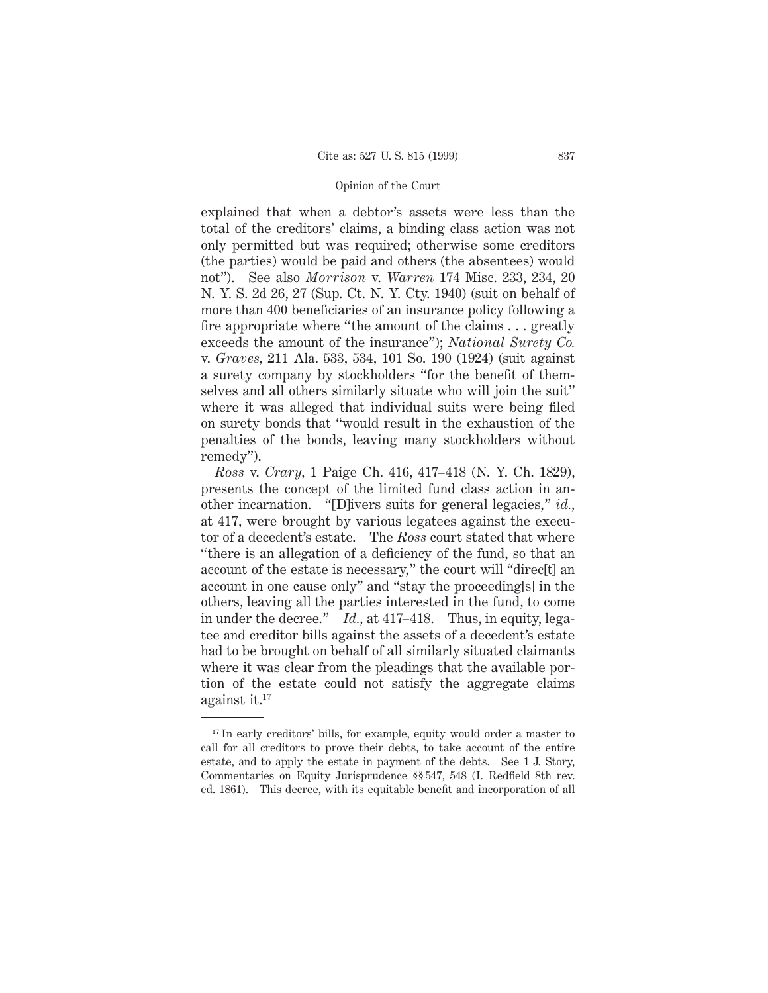explained that when a debtor's assets were less than the total of the creditors' claims, a binding class action was not only permitted but was required; otherwise some creditors (the parties) would be paid and others (the absentees) would not"). See also *Morrison* v. *Warren* 174 Misc. 233, 234, 20 N. Y. S. 2d 26, 27 (Sup. Ct. N. Y. Cty. 1940) (suit on behalf of more than 400 beneficiaries of an insurance policy following a fire appropriate where "the amount of the claims... greatly exceeds the amount of the insurance"); *National Surety Co.* v. *Graves,* 211 Ala. 533, 534, 101 So. 190 (1924) (suit against a surety company by stockholders "for the benefit of themselves and all others similarly situate who will join the suit" where it was alleged that individual suits were being filed on surety bonds that "would result in the exhaustion of the penalties of the bonds, leaving many stockholders without remedy").

*Ross* v. *Crary,* 1 Paige Ch. 416, 417–418 (N. Y. Ch. 1829), presents the concept of the limited fund class action in another incarnation. "[D]ivers suits for general legacies," *id.,* at 417, were brought by various legatees against the executor of a decedent's estate. The *Ross* court stated that where "there is an allegation of a deficiency of the fund, so that an account of the estate is necessary," the court will "direc[t] an account in one cause only" and "stay the proceeding[s] in the others, leaving all the parties interested in the fund, to come in under the decree." *Id.,* at 417–418. Thus, in equity, legatee and creditor bills against the assets of a decedent's estate had to be brought on behalf of all similarly situated claimants where it was clear from the pleadings that the available portion of the estate could not satisfy the aggregate claims against it.17

<sup>&</sup>lt;sup>17</sup> In early creditors' bills, for example, equity would order a master to call for all creditors to prove their debts, to take account of the entire estate, and to apply the estate in payment of the debts. See 1 J. Story, Commentaries on Equity Jurisprudence §§ 547, 548 (I. Redfield 8th rev. ed. 1861). This decree, with its equitable benefit and incorporation of all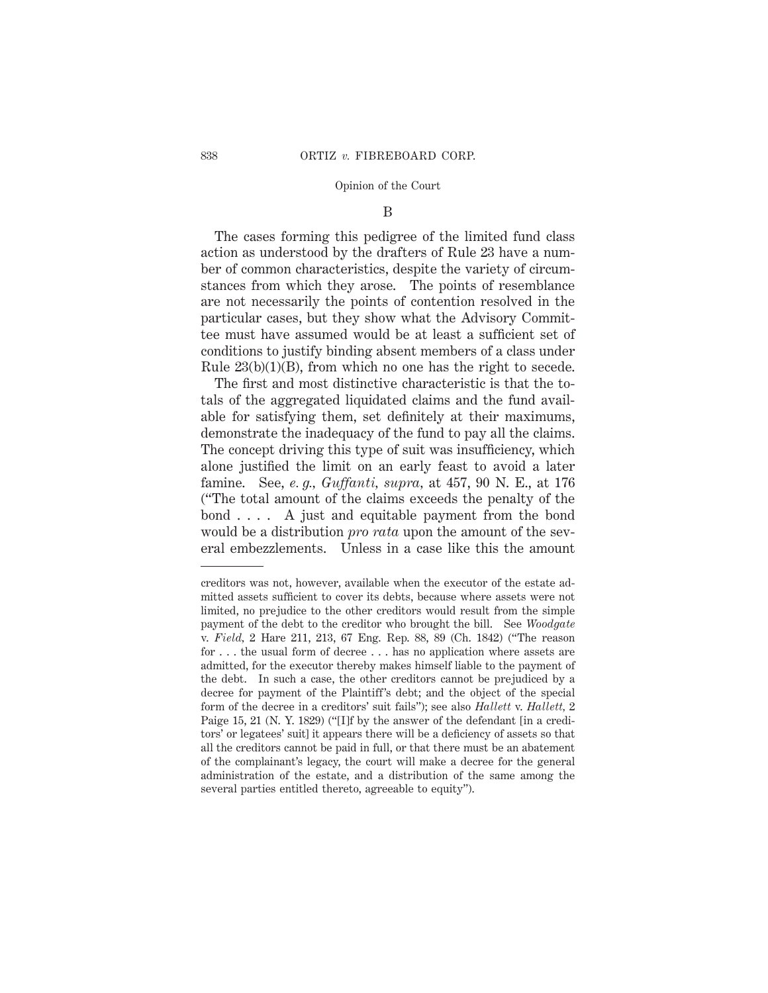### B

The cases forming this pedigree of the limited fund class action as understood by the drafters of Rule 23 have a number of common characteristics, despite the variety of circumstances from which they arose. The points of resemblance are not necessarily the points of contention resolved in the particular cases, but they show what the Advisory Committee must have assumed would be at least a sufficient set of conditions to justify binding absent members of a class under Rule 23(b)(1)(B), from which no one has the right to secede.

The first and most distinctive characteristic is that the totals of the aggregated liquidated claims and the fund available for satisfying them, set definitely at their maximums, demonstrate the inadequacy of the fund to pay all the claims. The concept driving this type of suit was insufficiency, which alone justified the limit on an early feast to avoid a later famine. See, *e. g., Guffanti, supra,* at 457, 90 N. E., at 176 ("The total amount of the claims exceeds the penalty of the bond . . . . A just and equitable payment from the bond would be a distribution *pro rata* upon the amount of the several embezzlements. Unless in a case like this the amount

creditors was not, however, available when the executor of the estate admitted assets sufficient to cover its debts, because where assets were not limited, no prejudice to the other creditors would result from the simple payment of the debt to the creditor who brought the bill. See *Woodgate* v. *Field,* 2 Hare 211, 213, 67 Eng. Rep. 88, 89 (Ch. 1842) ("The reason for . . . the usual form of decree . . . has no application where assets are admitted, for the executor thereby makes himself liable to the payment of the debt. In such a case, the other creditors cannot be prejudiced by a decree for payment of the Plaintiff's debt; and the object of the special form of the decree in a creditors' suit fails"); see also *Hallett* v. *Hallett,* 2 Paige 15, 21 (N. Y. 1829) ("[I]f by the answer of the defendant [in a creditors' or legatees' suit] it appears there will be a deficiency of assets so that all the creditors cannot be paid in full, or that there must be an abatement of the complainant's legacy, the court will make a decree for the general administration of the estate, and a distribution of the same among the several parties entitled thereto, agreeable to equity").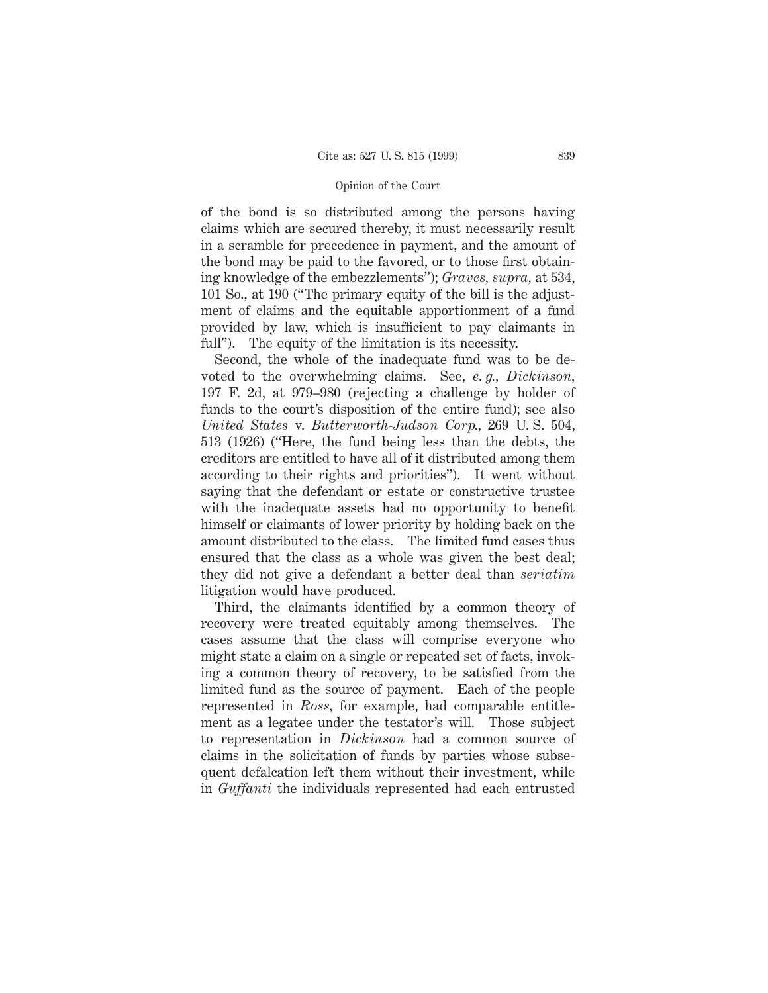of the bond is so distributed among the persons having claims which are secured thereby, it must necessarily result in a scramble for precedence in payment, and the amount of the bond may be paid to the favored, or to those first obtaining knowledge of the embezzlements"); *Graves, supra,* at 534, 101 So., at 190 ("The primary equity of the bill is the adjustment of claims and the equitable apportionment of a fund provided by law, which is insufficient to pay claimants in full"). The equity of the limitation is its necessity.

Second, the whole of the inadequate fund was to be devoted to the overwhelming claims. See, *e. g., Dickinson,* 197 F. 2d, at 979–980 (rejecting a challenge by holder of funds to the court's disposition of the entire fund); see also *United States* v. *Butterworth-Judson Corp.,* 269 U. S. 504, 513 (1926) ("Here, the fund being less than the debts, the creditors are entitled to have all of it distributed among them according to their rights and priorities"). It went without saying that the defendant or estate or constructive trustee with the inadequate assets had no opportunity to benefit himself or claimants of lower priority by holding back on the amount distributed to the class. The limited fund cases thus ensured that the class as a whole was given the best deal; they did not give a defendant a better deal than *seriatim* litigation would have produced.

Third, the claimants identified by a common theory of recovery were treated equitably among themselves. The cases assume that the class will comprise everyone who might state a claim on a single or repeated set of facts, invoking a common theory of recovery, to be satisfied from the limited fund as the source of payment. Each of the people represented in *Ross,* for example, had comparable entitlement as a legatee under the testator's will. Those subject to representation in *Dickinson* had a common source of claims in the solicitation of funds by parties whose subsequent defalcation left them without their investment, while in *Guffanti* the individuals represented had each entrusted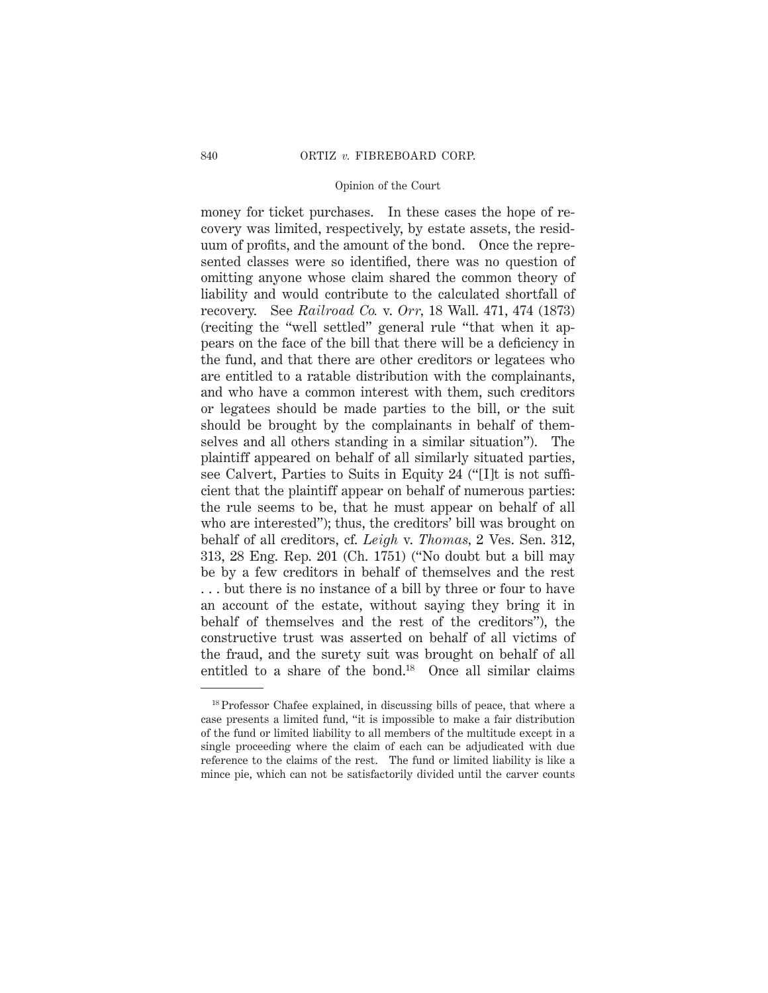money for ticket purchases. In these cases the hope of recovery was limited, respectively, by estate assets, the residuum of profits, and the amount of the bond. Once the represented classes were so identified, there was no question of omitting anyone whose claim shared the common theory of liability and would contribute to the calculated shortfall of recovery. See *Railroad Co.* v. *Orr,* 18 Wall. 471, 474 (1873) (reciting the "well settled" general rule "that when it appears on the face of the bill that there will be a deficiency in the fund, and that there are other creditors or legatees who are entitled to a ratable distribution with the complainants, and who have a common interest with them, such creditors or legatees should be made parties to the bill, or the suit should be brought by the complainants in behalf of themselves and all others standing in a similar situation"). The plaintiff appeared on behalf of all similarly situated parties, see Calvert, Parties to Suits in Equity 24 ("[I]t is not sufficient that the plaintiff appear on behalf of numerous parties: the rule seems to be, that he must appear on behalf of all who are interested"); thus, the creditors' bill was brought on behalf of all creditors, cf. *Leigh* v. *Thomas,* 2 Ves. Sen. 312, 313, 28 Eng. Rep. 201 (Ch. 1751) ("No doubt but a bill may be by a few creditors in behalf of themselves and the rest . . . but there is no instance of a bill by three or four to have an account of the estate, without saying they bring it in behalf of themselves and the rest of the creditors"), the constructive trust was asserted on behalf of all victims of the fraud, and the surety suit was brought on behalf of all entitled to a share of the bond.<sup>18</sup> Once all similar claims

<sup>&</sup>lt;sup>18</sup> Professor Chafee explained, in discussing bills of peace, that where a case presents a limited fund, "it is impossible to make a fair distribution of the fund or limited liability to all members of the multitude except in a single proceeding where the claim of each can be adjudicated with due reference to the claims of the rest. The fund or limited liability is like a mince pie, which can not be satisfactorily divided until the carver counts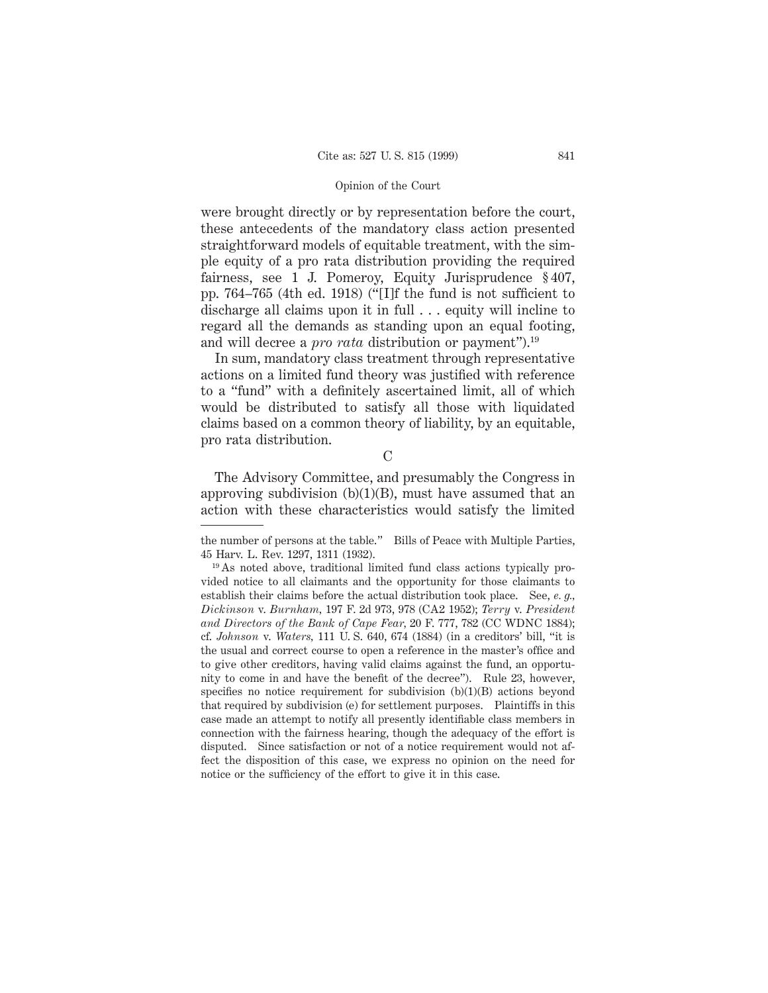were brought directly or by representation before the court, these antecedents of the mandatory class action presented straightforward models of equitable treatment, with the simple equity of a pro rata distribution providing the required fairness, see 1 J. Pomeroy, Equity Jurisprudence § 407, pp. 764–765 (4th ed. 1918) ("[I]f the fund is not sufficient to discharge all claims upon it in full . . . equity will incline to regard all the demands as standing upon an equal footing, and will decree a *pro rata* distribution or payment").19

In sum, mandatory class treatment through representative actions on a limited fund theory was justified with reference to a "fund" with a definitely ascertained limit, all of which would be distributed to satisfy all those with liquidated claims based on a common theory of liability, by an equitable, pro rata distribution.

 $\overline{C}$ 

The Advisory Committee, and presumably the Congress in approving subdivision (b)(1)(B), must have assumed that an action with these characteristics would satisfy the limited

the number of persons at the table." Bills of Peace with Multiple Parties, 45 Harv. L. Rev. 1297, 1311 (1932).

<sup>19</sup> As noted above, traditional limited fund class actions typically provided notice to all claimants and the opportunity for those claimants to establish their claims before the actual distribution took place. See, *e. g., Dickinson* v. *Burnham,* 197 F. 2d 973, 978 (CA2 1952); *Terry* v. *President and Directors of the Bank of Cape Fear,* 20 F. 777, 782 (CC WDNC 1884); cf. *Johnson* v. *Waters,* 111 U. S. 640, 674 (1884) (in a creditors' bill, "it is the usual and correct course to open a reference in the master's office and to give other creditors, having valid claims against the fund, an opportunity to come in and have the benefit of the decree"). Rule 23, however, specifies no notice requirement for subdivision  $(b)(1)(B)$  actions beyond that required by subdivision (e) for settlement purposes. Plaintiffs in this case made an attempt to notify all presently identifiable class members in connection with the fairness hearing, though the adequacy of the effort is disputed. Since satisfaction or not of a notice requirement would not affect the disposition of this case, we express no opinion on the need for notice or the sufficiency of the effort to give it in this case.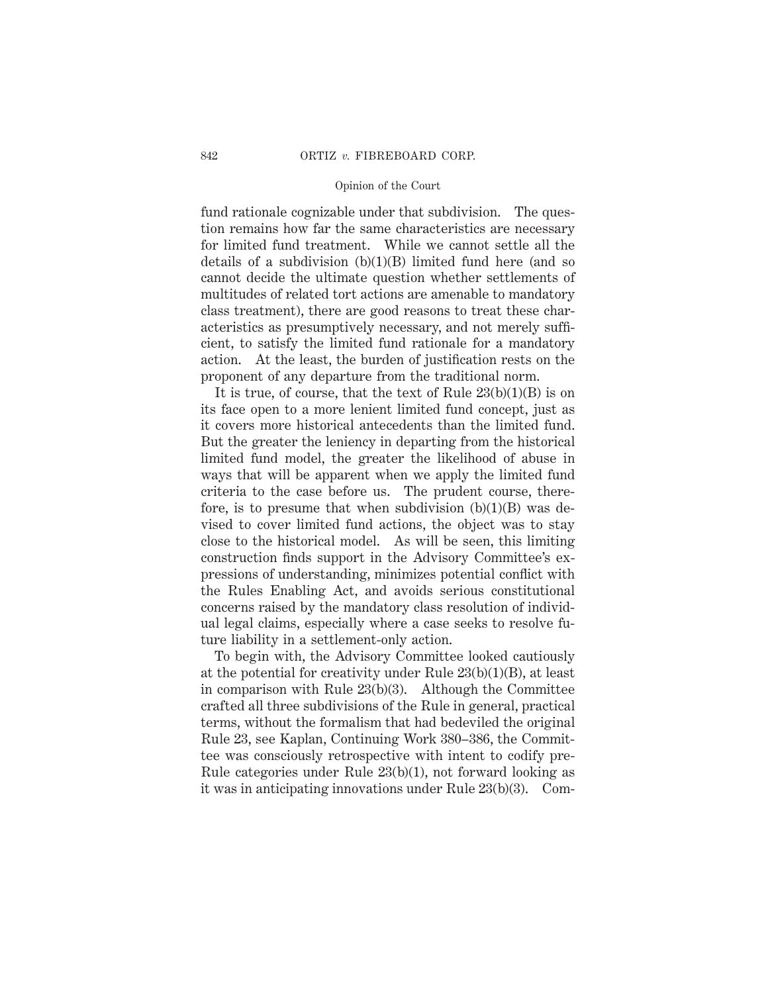fund rationale cognizable under that subdivision. The question remains how far the same characteristics are necessary for limited fund treatment. While we cannot settle all the details of a subdivision (b)(1)(B) limited fund here (and so cannot decide the ultimate question whether settlements of multitudes of related tort actions are amenable to mandatory class treatment), there are good reasons to treat these characteristics as presumptively necessary, and not merely sufficient, to satisfy the limited fund rationale for a mandatory action. At the least, the burden of justification rests on the proponent of any departure from the traditional norm.

It is true, of course, that the text of Rule 23(b)(1)(B) is on its face open to a more lenient limited fund concept, just as it covers more historical antecedents than the limited fund. But the greater the leniency in departing from the historical limited fund model, the greater the likelihood of abuse in ways that will be apparent when we apply the limited fund criteria to the case before us. The prudent course, therefore, is to presume that when subdivision  $(b)(1)(B)$  was devised to cover limited fund actions, the object was to stay close to the historical model. As will be seen, this limiting construction finds support in the Advisory Committee's expressions of understanding, minimizes potential conflict with the Rules Enabling Act, and avoids serious constitutional concerns raised by the mandatory class resolution of individual legal claims, especially where a case seeks to resolve future liability in a settlement-only action.

To begin with, the Advisory Committee looked cautiously at the potential for creativity under Rule 23(b)(1)(B), at least in comparison with Rule 23(b)(3). Although the Committee crafted all three subdivisions of the Rule in general, practical terms, without the formalism that had bedeviled the original Rule 23, see Kaplan, Continuing Work 380–386, the Committee was consciously retrospective with intent to codify pre-Rule categories under Rule 23(b)(1), not forward looking as it was in anticipating innovations under Rule 23(b)(3). Com-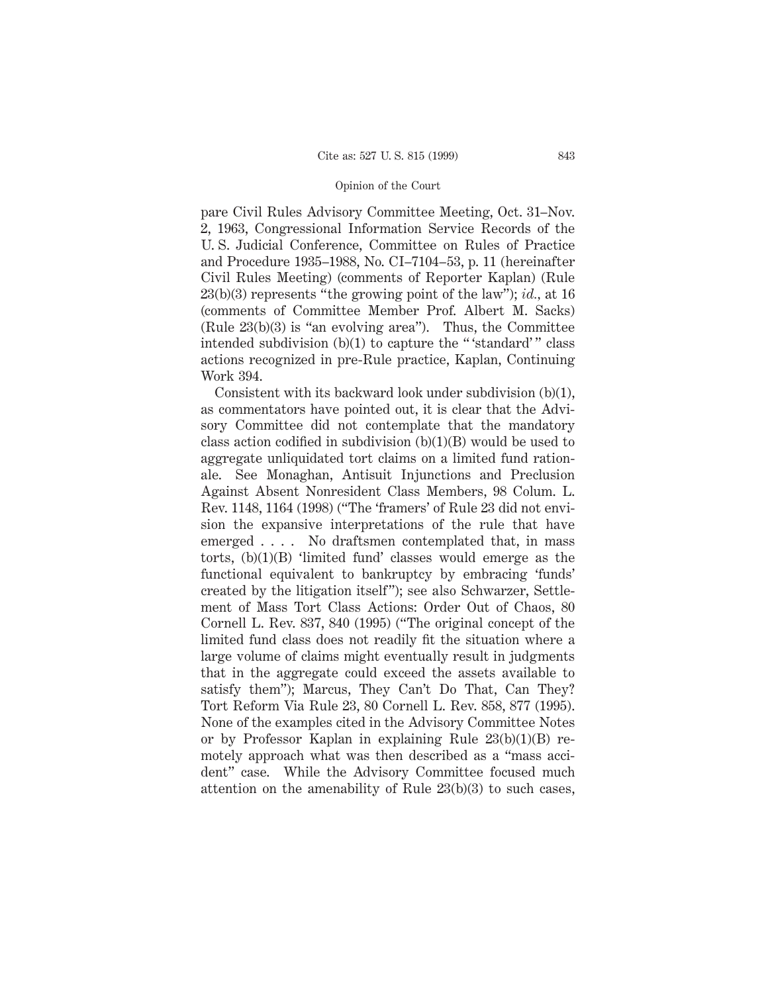pare Civil Rules Advisory Committee Meeting, Oct. 31–Nov. 2, 1963, Congressional Information Service Records of the U. S. Judicial Conference, Committee on Rules of Practice and Procedure 1935–1988, No. CI–7104–53, p. 11 (hereinafter Civil Rules Meeting) (comments of Reporter Kaplan) (Rule 23(b)(3) represents "the growing point of the law"); *id.,* at 16 (comments of Committee Member Prof. Albert M. Sacks) (Rule 23(b)(3) is "an evolving area"). Thus, the Committee intended subdivision (b)(1) to capture the " 'standard' " class actions recognized in pre-Rule practice, Kaplan, Continuing Work 394.

Consistent with its backward look under subdivision (b)(1), as commentators have pointed out, it is clear that the Advisory Committee did not contemplate that the mandatory class action codified in subdivision (b)(1)(B) would be used to aggregate unliquidated tort claims on a limited fund rationale. See Monaghan, Antisuit Injunctions and Preclusion Against Absent Nonresident Class Members, 98 Colum. L. Rev. 1148, 1164 (1998) ("The 'framers' of Rule 23 did not envision the expansive interpretations of the rule that have emerged . . . . No draftsmen contemplated that, in mass torts, (b)(1)(B) 'limited fund' classes would emerge as the functional equivalent to bankruptcy by embracing 'funds' created by the litigation itself"); see also Schwarzer, Settlement of Mass Tort Class Actions: Order Out of Chaos, 80 Cornell L. Rev. 837, 840 (1995) ("The original concept of the limited fund class does not readily fit the situation where a large volume of claims might eventually result in judgments that in the aggregate could exceed the assets available to satisfy them"); Marcus, They Can't Do That, Can They? Tort Reform Via Rule 23, 80 Cornell L. Rev. 858, 877 (1995). None of the examples cited in the Advisory Committee Notes or by Professor Kaplan in explaining Rule 23(b)(1)(B) remotely approach what was then described as a "mass accident" case. While the Advisory Committee focused much attention on the amenability of Rule 23(b)(3) to such cases,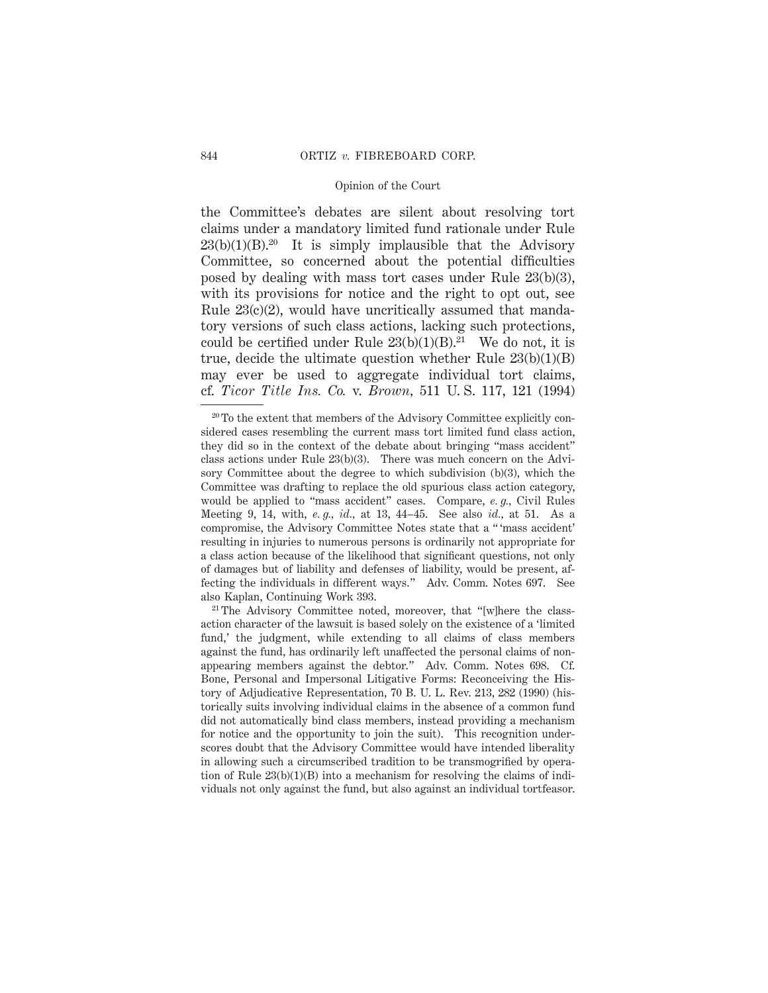the Committee's debates are silent about resolving tort claims under a mandatory limited fund rationale under Rule  $23(b)(1)(B)^{20}$  It is simply implausible that the Advisory Committee, so concerned about the potential difficulties posed by dealing with mass tort cases under Rule 23(b)(3), with its provisions for notice and the right to opt out, see Rule  $23(c)(2)$ , would have uncritically assumed that mandatory versions of such class actions, lacking such protections, could be certified under Rule  $23(b)(1)(B)^{21}$  We do not, it is true, decide the ultimate question whether Rule  $23(b)(1)(B)$ may ever be used to aggregate individual tort claims, cf. *Ticor Title Ins. Co.* v. *Brown,* 511 U. S. 117, 121 (1994)

<sup>21</sup> The Advisory Committee noted, moreover, that "[w]here the classaction character of the lawsuit is based solely on the existence of a 'limited fund,' the judgment, while extending to all claims of class members against the fund, has ordinarily left unaffected the personal claims of nonappearing members against the debtor." Adv. Comm. Notes 698. Cf. Bone, Personal and Impersonal Litigative Forms: Reconceiving the History of Adjudicative Representation, 70 B. U. L. Rev. 213, 282 (1990) (historically suits involving individual claims in the absence of a common fund did not automatically bind class members, instead providing a mechanism for notice and the opportunity to join the suit). This recognition underscores doubt that the Advisory Committee would have intended liberality in allowing such a circumscribed tradition to be transmogrified by operation of Rule 23(b)(1)(B) into a mechanism for resolving the claims of individuals not only against the fund, but also against an individual tortfeasor.

<sup>&</sup>lt;sup>20</sup> To the extent that members of the Advisory Committee explicitly considered cases resembling the current mass tort limited fund class action, they did so in the context of the debate about bringing "mass accident" class actions under Rule 23(b)(3). There was much concern on the Advisory Committee about the degree to which subdivision (b)(3), which the Committee was drafting to replace the old spurious class action category, would be applied to "mass accident" cases. Compare, *e. g.,* Civil Rules Meeting 9, 14, with, *e. g., id.,* at 13, 44–45. See also *id.,* at 51. As a compromise, the Advisory Committee Notes state that a " 'mass accident' resulting in injuries to numerous persons is ordinarily not appropriate for a class action because of the likelihood that significant questions, not only of damages but of liability and defenses of liability, would be present, affecting the individuals in different ways." Adv. Comm. Notes 697. See also Kaplan, Continuing Work 393.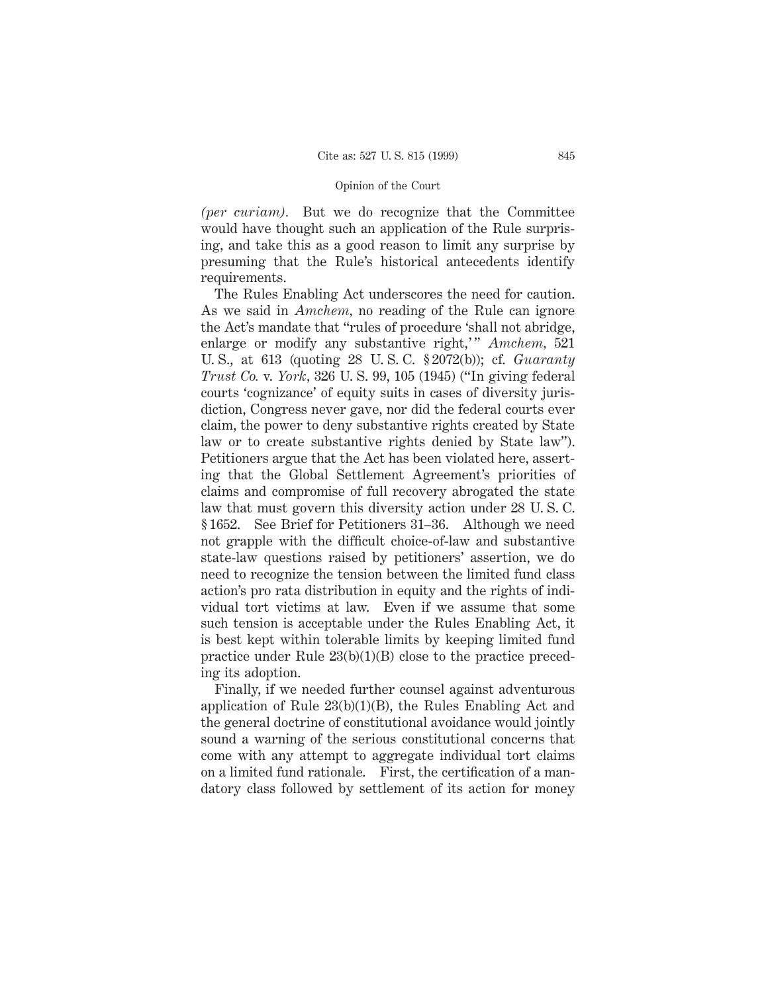*(per curiam).* But we do recognize that the Committee would have thought such an application of the Rule surprising, and take this as a good reason to limit any surprise by presuming that the Rule's historical antecedents identify requirements.

The Rules Enabling Act underscores the need for caution. As we said in *Amchem,* no reading of the Rule can ignore the Act's mandate that "rules of procedure 'shall not abridge, enlarge or modify any substantive right," Amchem, 521 U. S., at 613 (quoting 28 U. S. C. § 2072(b)); cf. *Guaranty Trust Co.* v. *York,* 326 U. S. 99, 105 (1945) ("In giving federal courts 'cognizance' of equity suits in cases of diversity jurisdiction, Congress never gave, nor did the federal courts ever claim, the power to deny substantive rights created by State law or to create substantive rights denied by State law"). Petitioners argue that the Act has been violated here, asserting that the Global Settlement Agreement's priorities of claims and compromise of full recovery abrogated the state law that must govern this diversity action under 28 U. S. C. § 1652. See Brief for Petitioners 31–36. Although we need not grapple with the difficult choice-of-law and substantive state-law questions raised by petitioners' assertion, we do need to recognize the tension between the limited fund class action's pro rata distribution in equity and the rights of individual tort victims at law. Even if we assume that some such tension is acceptable under the Rules Enabling Act, it is best kept within tolerable limits by keeping limited fund practice under Rule 23(b)(1)(B) close to the practice preceding its adoption.

Finally, if we needed further counsel against adventurous application of Rule 23(b)(1)(B), the Rules Enabling Act and the general doctrine of constitutional avoidance would jointly sound a warning of the serious constitutional concerns that come with any attempt to aggregate individual tort claims on a limited fund rationale. First, the certification of a mandatory class followed by settlement of its action for money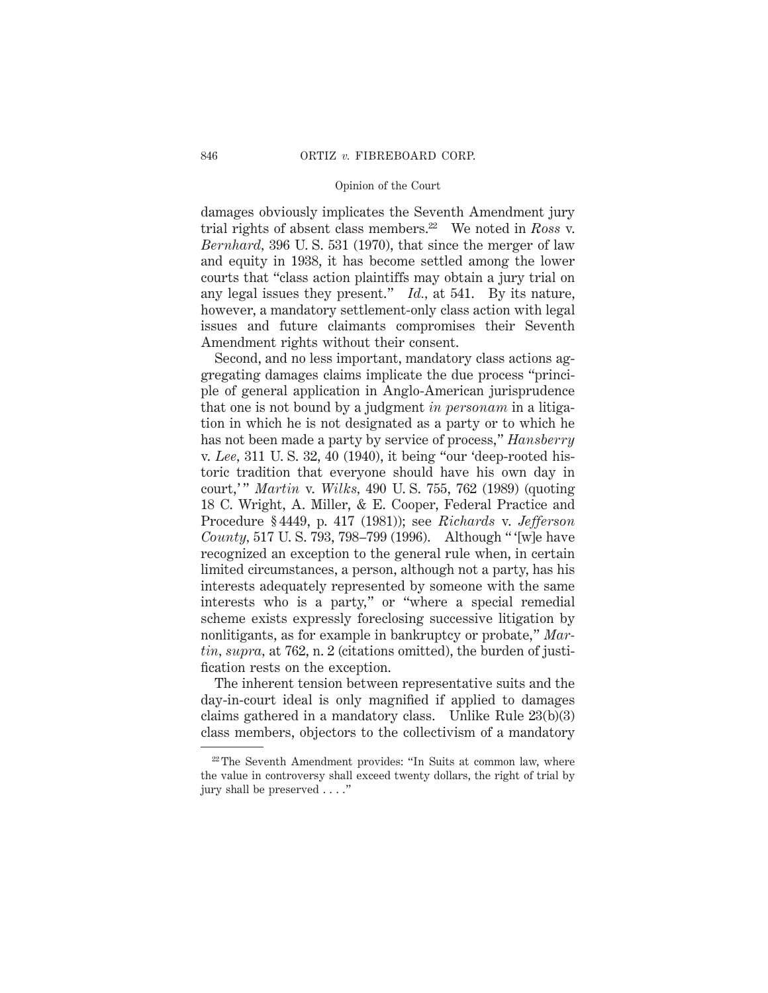damages obviously implicates the Seventh Amendment jury trial rights of absent class members.22 We noted in *Ross* v. *Bernhard,* 396 U. S. 531 (1970), that since the merger of law and equity in 1938, it has become settled among the lower courts that "class action plaintiffs may obtain a jury trial on any legal issues they present." *Id.,* at 541. By its nature, however, a mandatory settlement-only class action with legal issues and future claimants compromises their Seventh Amendment rights without their consent.

Second, and no less important, mandatory class actions aggregating damages claims implicate the due process "principle of general application in Anglo-American jurisprudence that one is not bound by a judgment *in personam* in a litigation in which he is not designated as a party or to which he has not been made a party by service of process," *Hansberry* v. *Lee,* 311 U. S. 32, 40 (1940), it being "our 'deep-rooted historic tradition that everyone should have his own day in court,' " *Martin* v. *Wilks,* 490 U. S. 755, 762 (1989) (quoting 18 C. Wright, A. Miller, & E. Cooper, Federal Practice and Procedure § 4449, p. 417 (1981)); see *Richards* v. *Jefferson County,* 517 U. S. 793, 798–799 (1996). Although " '[w]e have recognized an exception to the general rule when, in certain limited circumstances, a person, although not a party, has his interests adequately represented by someone with the same interests who is a party," or "where a special remedial scheme exists expressly foreclosing successive litigation by nonlitigants, as for example in bankruptcy or probate," *Martin, supra,* at 762, n. 2 (citations omitted), the burden of justification rests on the exception.

The inherent tension between representative suits and the day-in-court ideal is only magnified if applied to damages claims gathered in a mandatory class. Unlike Rule 23(b)(3) class members, objectors to the collectivism of a mandatory

 $22$  The Seventh Amendment provides: "In Suits at common law, where the value in controversy shall exceed twenty dollars, the right of trial by jury shall be preserved . . . ."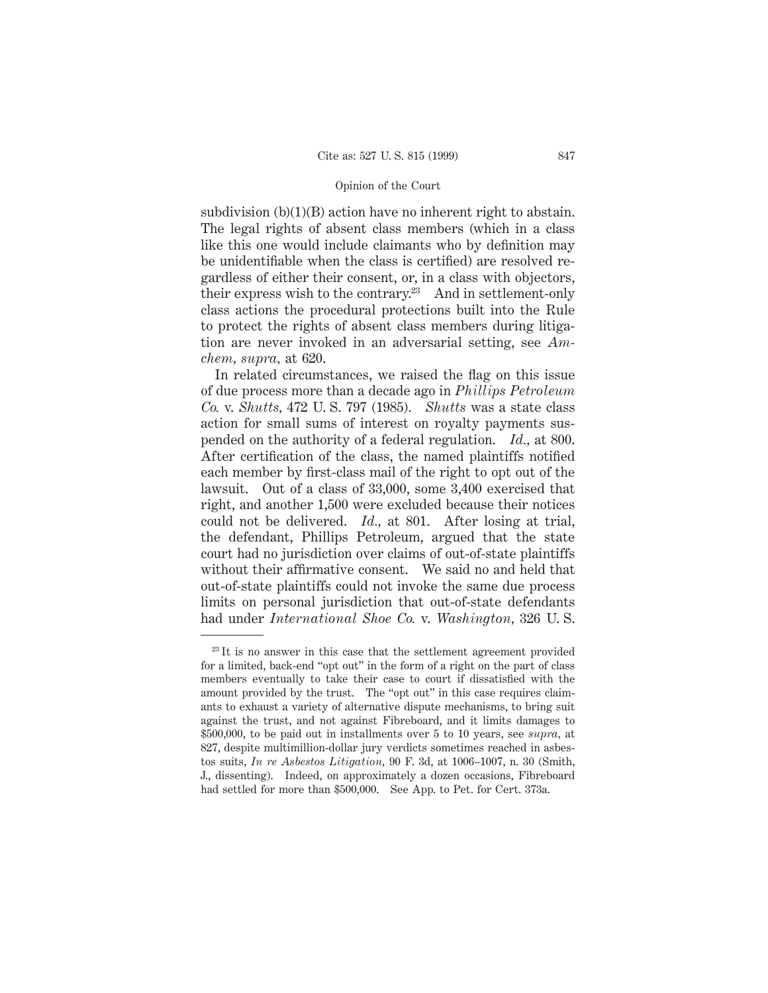subdivision (b)(1)(B) action have no inherent right to abstain. The legal rights of absent class members (which in a class like this one would include claimants who by definition may be unidentifiable when the class is certified) are resolved regardless of either their consent, or, in a class with objectors, their express wish to the contrary.<sup>23</sup> And in settlement-only class actions the procedural protections built into the Rule to protect the rights of absent class members during litigation are never invoked in an adversarial setting, see *Amchem, supra,* at 620.

In related circumstances, we raised the flag on this issue of due process more than a decade ago in *Phillips Petroleum Co.* v. *Shutts,* 472 U. S. 797 (1985). *Shutts* was a state class action for small sums of interest on royalty payments suspended on the authority of a federal regulation. *Id.,* at 800. After certification of the class, the named plaintiffs notified each member by first-class mail of the right to opt out of the lawsuit. Out of a class of 33,000, some 3,400 exercised that right, and another 1,500 were excluded because their notices could not be delivered. *Id.,* at 801. After losing at trial, the defendant, Phillips Petroleum, argued that the state court had no jurisdiction over claims of out-of-state plaintiffs without their affirmative consent. We said no and held that out-of-state plaintiffs could not invoke the same due process limits on personal jurisdiction that out-of-state defendants had under *International Shoe Co.* v. *Washington,* 326 U. S.

<sup>&</sup>lt;sup>23</sup> It is no answer in this case that the settlement agreement provided for a limited, back-end "opt out" in the form of a right on the part of class members eventually to take their case to court if dissatisfied with the amount provided by the trust. The "opt out" in this case requires claimants to exhaust a variety of alternative dispute mechanisms, to bring suit against the trust, and not against Fibreboard, and it limits damages to \$500,000, to be paid out in installments over 5 to 10 years, see *supra,* at 827, despite multimillion-dollar jury verdicts sometimes reached in asbestos suits, *In re Asbestos Litigation,* 90 F. 3d, at 1006–1007, n. 30 (Smith, J., dissenting). Indeed, on approximately a dozen occasions, Fibreboard had settled for more than \$500,000. See App. to Pet. for Cert. 373a.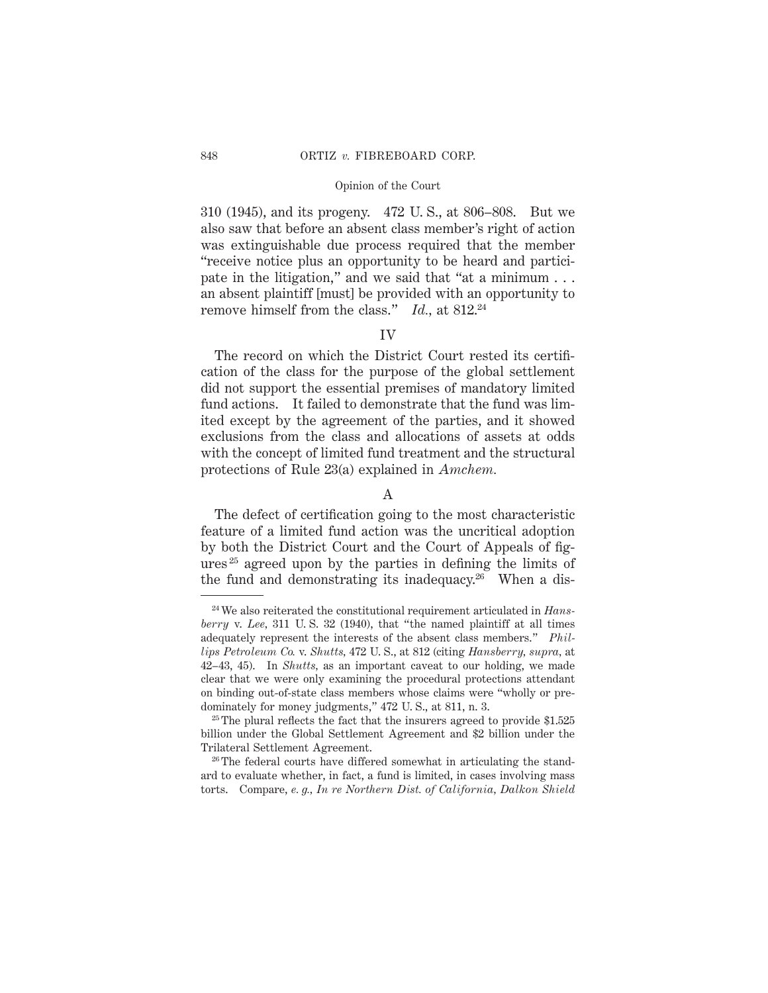310 (1945), and its progeny. 472 U. S., at 806–808. But we also saw that before an absent class member's right of action was extinguishable due process required that the member "receive notice plus an opportunity to be heard and participate in the litigation," and we said that "at a minimum... an absent plaintiff [must] be provided with an opportunity to remove himself from the class." *Id.,* at 812.24

### IV

The record on which the District Court rested its certification of the class for the purpose of the global settlement did not support the essential premises of mandatory limited fund actions. It failed to demonstrate that the fund was limited except by the agreement of the parties, and it showed exclusions from the class and allocations of assets at odds with the concept of limited fund treatment and the structural protections of Rule 23(a) explained in *Amchem.*

### A

The defect of certification going to the most characteristic feature of a limited fund action was the uncritical adoption by both the District Court and the Court of Appeals of figures <sup>25</sup> agreed upon by the parties in defining the limits of the fund and demonstrating its inadequacy.<sup>26</sup> When a dis-

<sup>24</sup> We also reiterated the constitutional requirement articulated in *Hansberry* v. *Lee,* 311 U. S. 32 (1940), that "the named plaintiff at all times adequately represent the interests of the absent class members." *Phillips Petroleum Co.* v. *Shutts,* 472 U. S., at 812 (citing *Hansberry, supra,* at 42–43, 45). In *Shutts,* as an important caveat to our holding, we made clear that we were only examining the procedural protections attendant on binding out-of-state class members whose claims were "wholly or predominately for money judgments," 472 U. S., at 811, n. 3.

 $25$  The plural reflects the fact that the insurers agreed to provide \$1.525 billion under the Global Settlement Agreement and \$2 billion under the Trilateral Settlement Agreement.

<sup>&</sup>lt;sup>26</sup> The federal courts have differed somewhat in articulating the standard to evaluate whether, in fact, a fund is limited, in cases involving mass torts. Compare, *e. g., In re Northern Dist. of California, Dalkon Shield*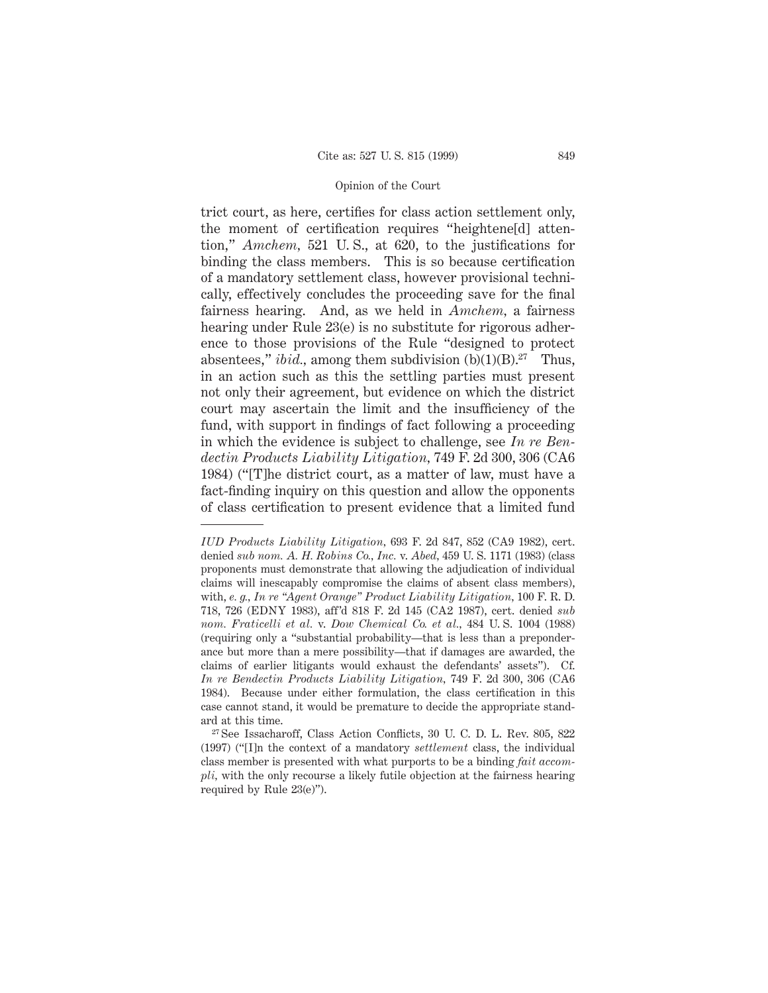trict court, as here, certifies for class action settlement only, the moment of certification requires "heightene[d] attention," *Amchem,* 521 U. S., at 620, to the justifications for binding the class members. This is so because certification of a mandatory settlement class, however provisional technically, effectively concludes the proceeding save for the final fairness hearing. And, as we held in *Amchem,* a fairness hearing under Rule 23(e) is no substitute for rigorous adherence to those provisions of the Rule "designed to protect absentees," *ibid.*, among them subdivision  $(b)(1)(B)$ .<sup>27</sup> Thus, in an action such as this the settling parties must present not only their agreement, but evidence on which the district court may ascertain the limit and the insufficiency of the fund, with support in findings of fact following a proceeding in which the evidence is subject to challenge, see *In re Bendectin Products Liability Litigation,* 749 F. 2d 300, 306 (CA6 1984) ("[T]he district court, as a matter of law, must have a fact-finding inquiry on this question and allow the opponents of class certification to present evidence that a limited fund

*IUD Products Liability Litigation,* 693 F. 2d 847, 852 (CA9 1982), cert. denied *sub nom. A. H. Robins Co., Inc.* v. *Abed,* 459 U. S. 1171 (1983) (class proponents must demonstrate that allowing the adjudication of individual claims will inescapably compromise the claims of absent class members), with, *e. g., In re "Agent Orange" Product Liability Litigation,* 100 F. R. D. 718, 726 (EDNY 1983), aff'd 818 F. 2d 145 (CA2 1987), cert. denied *sub nom. Fraticelli et al.* v. *Dow Chemical Co. et al.,* 484 U. S. 1004 (1988) (requiring only a "substantial probability—that is less than a preponderance but more than a mere possibility—that if damages are awarded, the claims of earlier litigants would exhaust the defendants' assets"). Cf. *In re Bendectin Products Liability Litigation,* 749 F. 2d 300, 306 (CA6 1984). Because under either formulation, the class certification in this case cannot stand, it would be premature to decide the appropriate standard at this time.

 $27$  See Issacharoff, Class Action Conflicts, 30 U. C. D. L. Rev. 805, 822 (1997) ("[I]n the context of a mandatory *settlement* class, the individual class member is presented with what purports to be a binding *fait accompli,* with the only recourse a likely futile objection at the fairness hearing required by Rule 23(e)").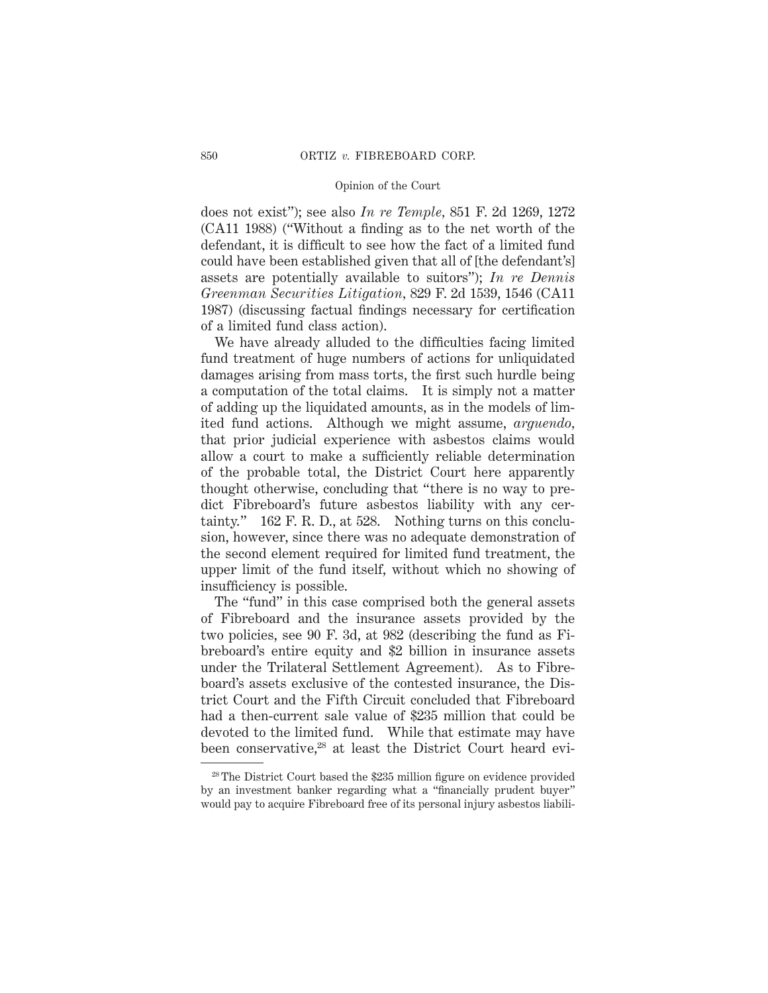does not exist"); see also *In re Temple,* 851 F. 2d 1269, 1272 (CA11 1988) ("Without a finding as to the net worth of the defendant, it is difficult to see how the fact of a limited fund could have been established given that all of [the defendant's] assets are potentially available to suitors"); *In re Dennis Greenman Securities Litigation,* 829 F. 2d 1539, 1546 (CA11 1987) (discussing factual findings necessary for certification of a limited fund class action).

We have already alluded to the difficulties facing limited fund treatment of huge numbers of actions for unliquidated damages arising from mass torts, the first such hurdle being a computation of the total claims. It is simply not a matter of adding up the liquidated amounts, as in the models of limited fund actions. Although we might assume, *arguendo,* that prior judicial experience with asbestos claims would allow a court to make a sufficiently reliable determination of the probable total, the District Court here apparently thought otherwise, concluding that "there is no way to predict Fibreboard's future asbestos liability with any certainty." 162 F. R. D., at 528. Nothing turns on this conclusion, however, since there was no adequate demonstration of the second element required for limited fund treatment, the upper limit of the fund itself, without which no showing of insufficiency is possible.

The "fund" in this case comprised both the general assets of Fibreboard and the insurance assets provided by the two policies, see 90 F. 3d, at 982 (describing the fund as Fibreboard's entire equity and \$2 billion in insurance assets under the Trilateral Settlement Agreement). As to Fibreboard's assets exclusive of the contested insurance, the District Court and the Fifth Circuit concluded that Fibreboard had a then-current sale value of \$235 million that could be devoted to the limited fund. While that estimate may have been conservative,<sup>28</sup> at least the District Court heard evi-

<sup>28</sup> The District Court based the \$235 million figure on evidence provided by an investment banker regarding what a "financially prudent buyer" would pay to acquire Fibreboard free of its personal injury asbestos liabili-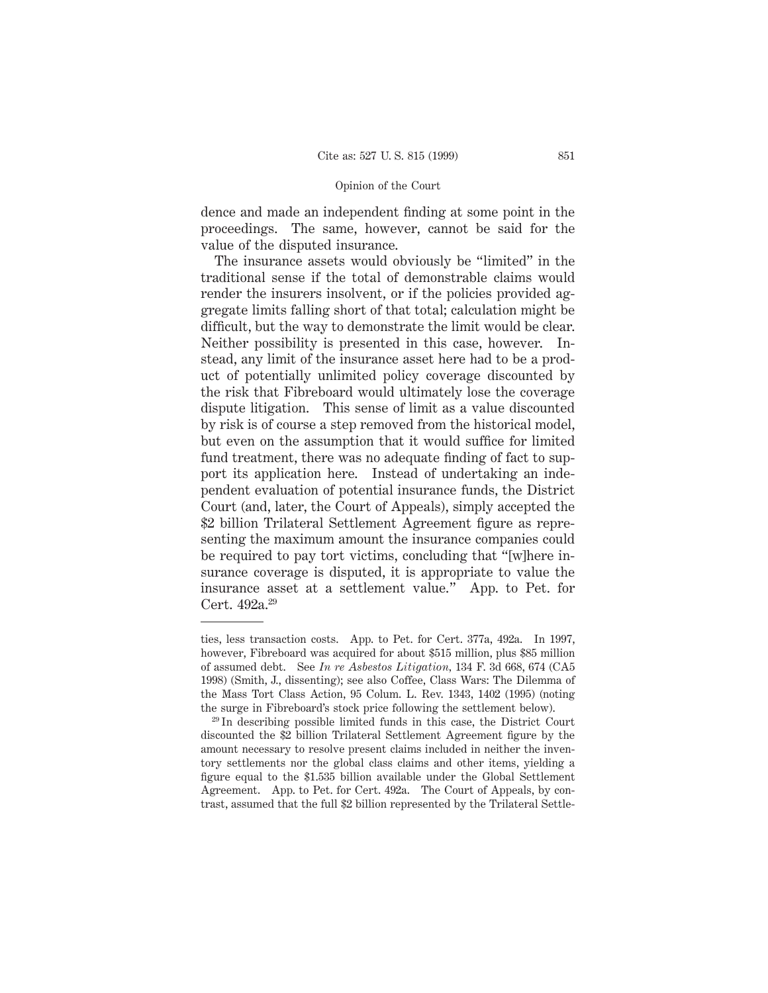dence and made an independent finding at some point in the proceedings. The same, however, cannot be said for the value of the disputed insurance.

The insurance assets would obviously be "limited" in the traditional sense if the total of demonstrable claims would render the insurers insolvent, or if the policies provided aggregate limits falling short of that total; calculation might be difficult, but the way to demonstrate the limit would be clear. Neither possibility is presented in this case, however. Instead, any limit of the insurance asset here had to be a product of potentially unlimited policy coverage discounted by the risk that Fibreboard would ultimately lose the coverage dispute litigation. This sense of limit as a value discounted by risk is of course a step removed from the historical model, but even on the assumption that it would suffice for limited fund treatment, there was no adequate finding of fact to support its application here. Instead of undertaking an independent evaluation of potential insurance funds, the District Court (and, later, the Court of Appeals), simply accepted the \$2 billion Trilateral Settlement Agreement figure as representing the maximum amount the insurance companies could be required to pay tort victims, concluding that "[w]here insurance coverage is disputed, it is appropriate to value the insurance asset at a settlement value." App. to Pet. for Cert. 492a.29

ties, less transaction costs. App. to Pet. for Cert. 377a, 492a. In 1997, however, Fibreboard was acquired for about \$515 million, plus \$85 million of assumed debt. See *In re Asbestos Litigation,* 134 F. 3d 668, 674 (CA5 1998) (Smith, J., dissenting); see also Coffee, Class Wars: The Dilemma of the Mass Tort Class Action, 95 Colum. L. Rev. 1343, 1402 (1995) (noting the surge in Fibreboard's stock price following the settlement below).

<sup>29</sup> In describing possible limited funds in this case, the District Court discounted the \$2 billion Trilateral Settlement Agreement figure by the amount necessary to resolve present claims included in neither the inventory settlements nor the global class claims and other items, yielding a figure equal to the \$1.535 billion available under the Global Settlement Agreement. App. to Pet. for Cert. 492a. The Court of Appeals, by contrast, assumed that the full \$2 billion represented by the Trilateral Settle-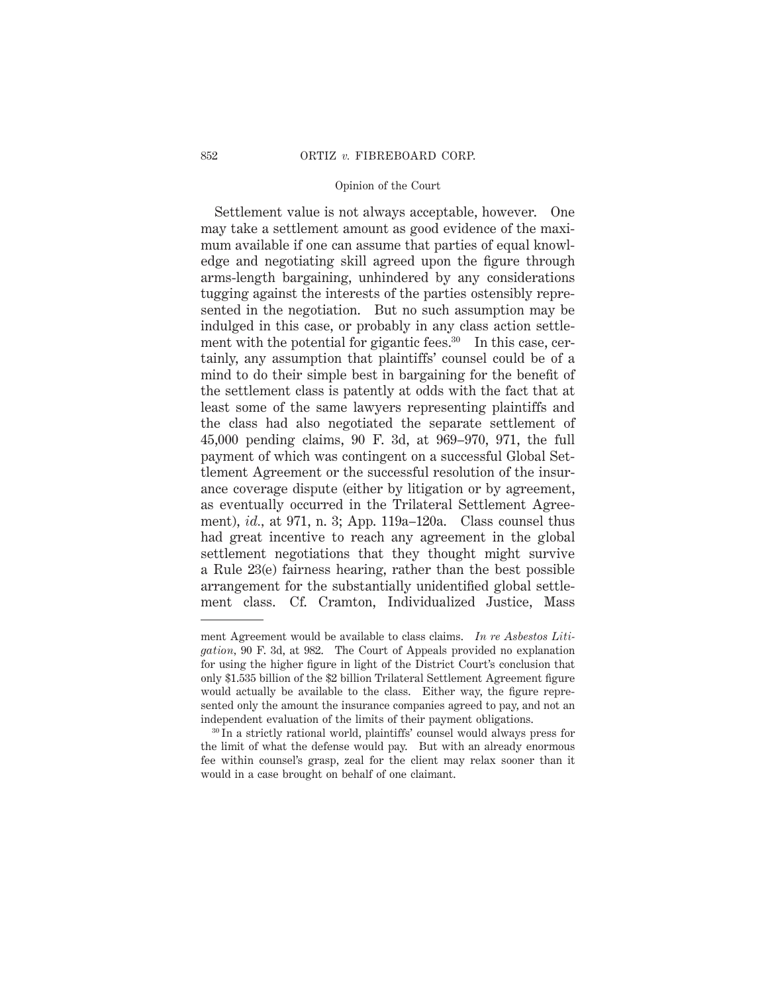Settlement value is not always acceptable, however. One may take a settlement amount as good evidence of the maximum available if one can assume that parties of equal knowledge and negotiating skill agreed upon the figure through arms-length bargaining, unhindered by any considerations tugging against the interests of the parties ostensibly represented in the negotiation. But no such assumption may be indulged in this case, or probably in any class action settlement with the potential for gigantic fees.<sup>30</sup> In this case, certainly, any assumption that plaintiffs' counsel could be of a mind to do their simple best in bargaining for the benefit of the settlement class is patently at odds with the fact that at least some of the same lawyers representing plaintiffs and the class had also negotiated the separate settlement of 45,000 pending claims, 90 F. 3d, at 969–970, 971, the full payment of which was contingent on a successful Global Settlement Agreement or the successful resolution of the insurance coverage dispute (either by litigation or by agreement, as eventually occurred in the Trilateral Settlement Agreement), *id.,* at 971, n. 3; App. 119a–120a. Class counsel thus had great incentive to reach any agreement in the global settlement negotiations that they thought might survive a Rule 23(e) fairness hearing, rather than the best possible arrangement for the substantially unidentified global settlement class. Cf. Cramton, Individualized Justice, Mass

ment Agreement would be available to class claims. *In re Asbestos Litigation,* 90 F. 3d, at 982. The Court of Appeals provided no explanation for using the higher figure in light of the District Court's conclusion that only \$1.535 billion of the \$2 billion Trilateral Settlement Agreement figure would actually be available to the class. Either way, the figure represented only the amount the insurance companies agreed to pay, and not an independent evaluation of the limits of their payment obligations.

<sup>30</sup> In a strictly rational world, plaintiffs' counsel would always press for the limit of what the defense would pay. But with an already enormous fee within counsel's grasp, zeal for the client may relax sooner than it would in a case brought on behalf of one claimant.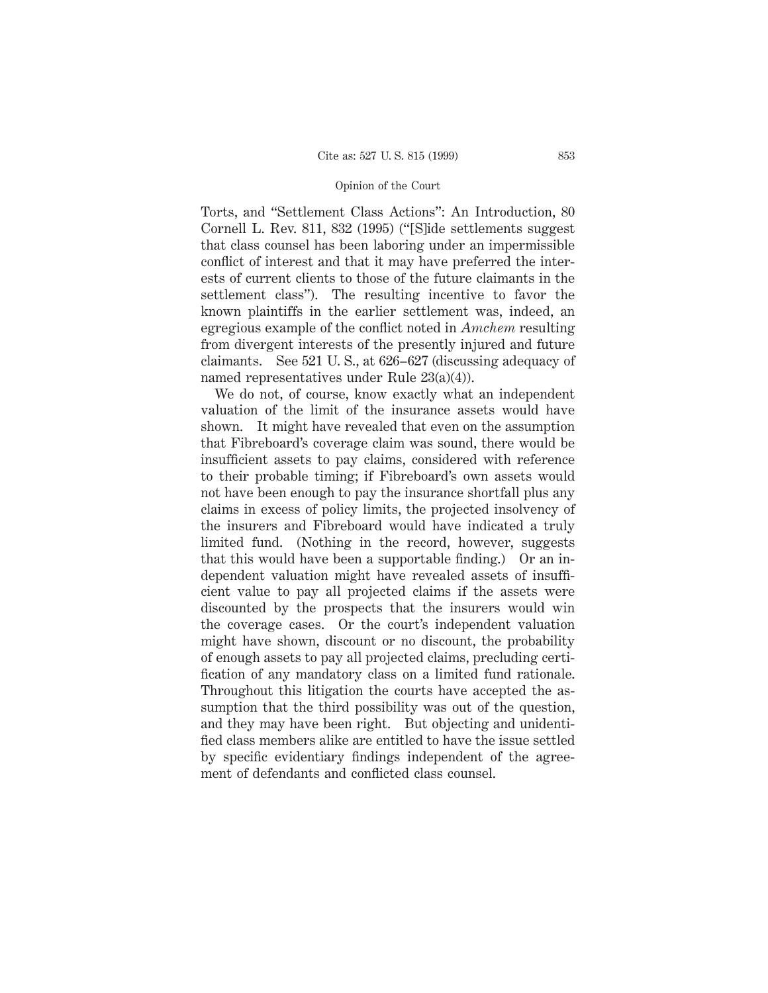Torts, and "Settlement Class Actions": An Introduction, 80 Cornell L. Rev. 811, 832 (1995) ("[S]ide settlements suggest that class counsel has been laboring under an impermissible conflict of interest and that it may have preferred the interests of current clients to those of the future claimants in the settlement class"). The resulting incentive to favor the known plaintiffs in the earlier settlement was, indeed, an egregious example of the conflict noted in *Amchem* resulting from divergent interests of the presently injured and future claimants. See 521 U. S., at 626–627 (discussing adequacy of named representatives under Rule 23(a)(4)).

We do not, of course, know exactly what an independent valuation of the limit of the insurance assets would have shown. It might have revealed that even on the assumption that Fibreboard's coverage claim was sound, there would be insufficient assets to pay claims, considered with reference to their probable timing; if Fibreboard's own assets would not have been enough to pay the insurance shortfall plus any claims in excess of policy limits, the projected insolvency of the insurers and Fibreboard would have indicated a truly limited fund. (Nothing in the record, however, suggests that this would have been a supportable finding.) Or an independent valuation might have revealed assets of insufficient value to pay all projected claims if the assets were discounted by the prospects that the insurers would win the coverage cases. Or the court's independent valuation might have shown, discount or no discount, the probability of enough assets to pay all projected claims, precluding certification of any mandatory class on a limited fund rationale. Throughout this litigation the courts have accepted the assumption that the third possibility was out of the question, and they may have been right. But objecting and unidentified class members alike are entitled to have the issue settled by specific evidentiary findings independent of the agreement of defendants and conflicted class counsel.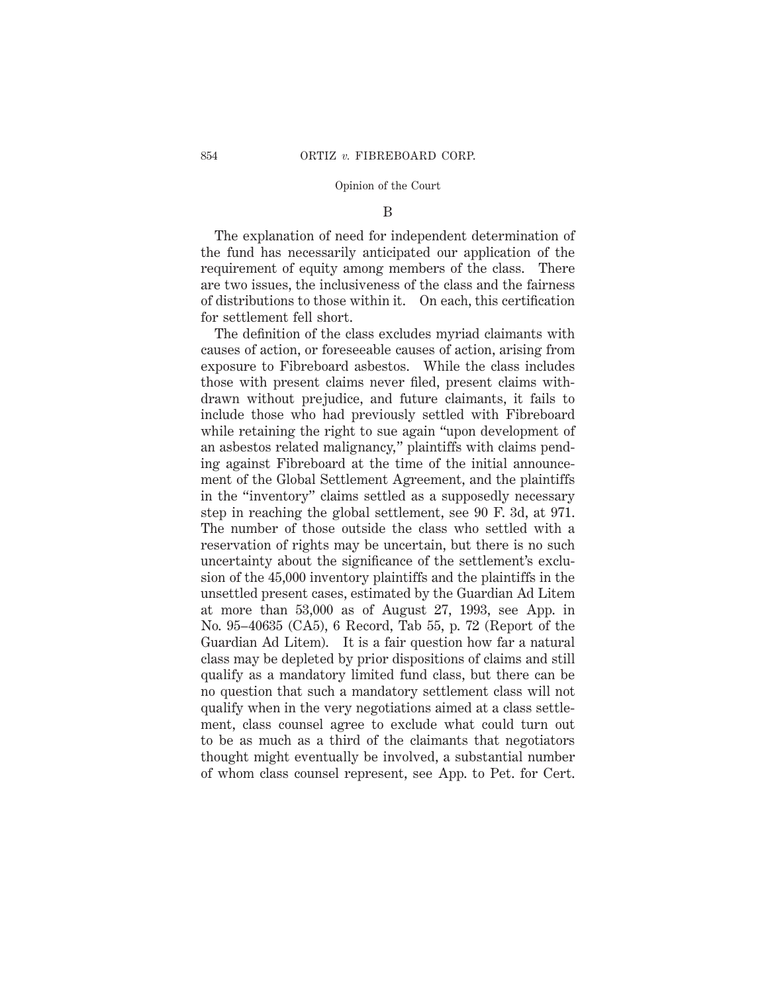### B

The explanation of need for independent determination of the fund has necessarily anticipated our application of the requirement of equity among members of the class. There are two issues, the inclusiveness of the class and the fairness of distributions to those within it. On each, this certification for settlement fell short.

The definition of the class excludes myriad claimants with causes of action, or foreseeable causes of action, arising from exposure to Fibreboard asbestos. While the class includes those with present claims never filed, present claims withdrawn without prejudice, and future claimants, it fails to include those who had previously settled with Fibreboard while retaining the right to sue again "upon development of an asbestos related malignancy," plaintiffs with claims pending against Fibreboard at the time of the initial announcement of the Global Settlement Agreement, and the plaintiffs in the "inventory" claims settled as a supposedly necessary step in reaching the global settlement, see 90 F. 3d, at 971. The number of those outside the class who settled with a reservation of rights may be uncertain, but there is no such uncertainty about the significance of the settlement's exclusion of the 45,000 inventory plaintiffs and the plaintiffs in the unsettled present cases, estimated by the Guardian Ad Litem at more than 53,000 as of August 27, 1993, see App. in No. 95–40635 (CA5), 6 Record, Tab 55, p. 72 (Report of the Guardian Ad Litem). It is a fair question how far a natural class may be depleted by prior dispositions of claims and still qualify as a mandatory limited fund class, but there can be no question that such a mandatory settlement class will not qualify when in the very negotiations aimed at a class settlement, class counsel agree to exclude what could turn out to be as much as a third of the claimants that negotiators thought might eventually be involved, a substantial number of whom class counsel represent, see App. to Pet. for Cert.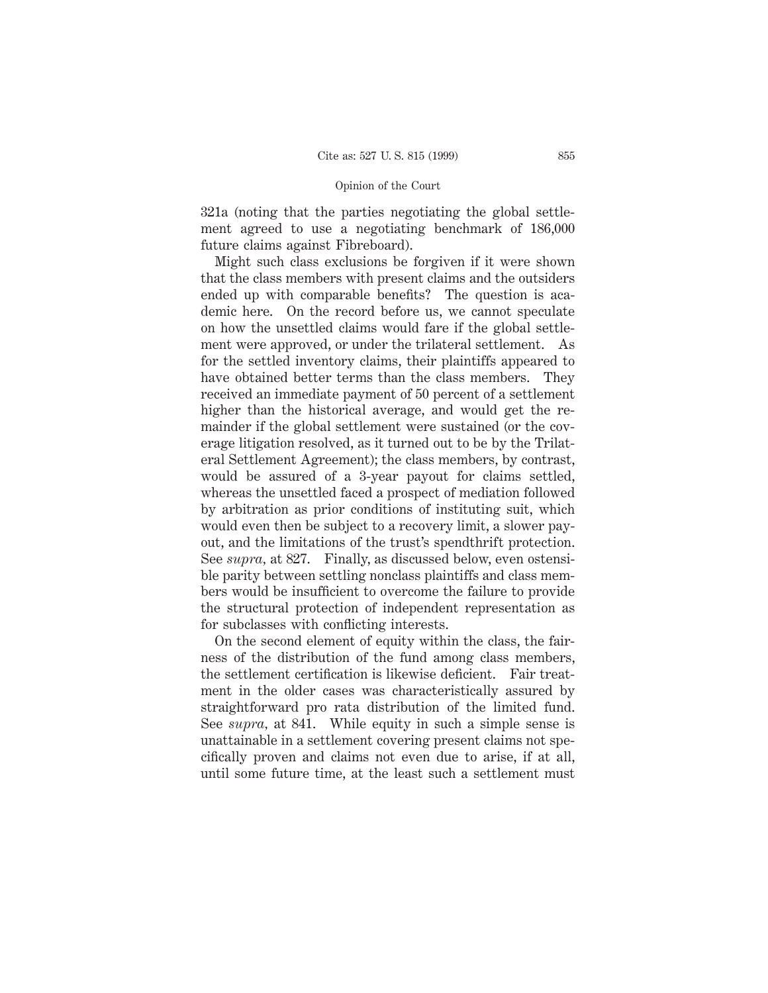321a (noting that the parties negotiating the global settlement agreed to use a negotiating benchmark of 186,000 future claims against Fibreboard).

Might such class exclusions be forgiven if it were shown that the class members with present claims and the outsiders ended up with comparable benefits? The question is academic here. On the record before us, we cannot speculate on how the unsettled claims would fare if the global settlement were approved, or under the trilateral settlement. As for the settled inventory claims, their plaintiffs appeared to have obtained better terms than the class members. They received an immediate payment of 50 percent of a settlement higher than the historical average, and would get the remainder if the global settlement were sustained (or the coverage litigation resolved, as it turned out to be by the Trilateral Settlement Agreement); the class members, by contrast, would be assured of a 3-year payout for claims settled, whereas the unsettled faced a prospect of mediation followed by arbitration as prior conditions of instituting suit, which would even then be subject to a recovery limit, a slower payout, and the limitations of the trust's spendthrift protection. See *supra,* at 827. Finally, as discussed below, even ostensible parity between settling nonclass plaintiffs and class members would be insufficient to overcome the failure to provide the structural protection of independent representation as for subclasses with conflicting interests.

On the second element of equity within the class, the fairness of the distribution of the fund among class members, the settlement certification is likewise deficient. Fair treatment in the older cases was characteristically assured by straightforward pro rata distribution of the limited fund. See *supra,* at 841. While equity in such a simple sense is unattainable in a settlement covering present claims not specifically proven and claims not even due to arise, if at all, until some future time, at the least such a settlement must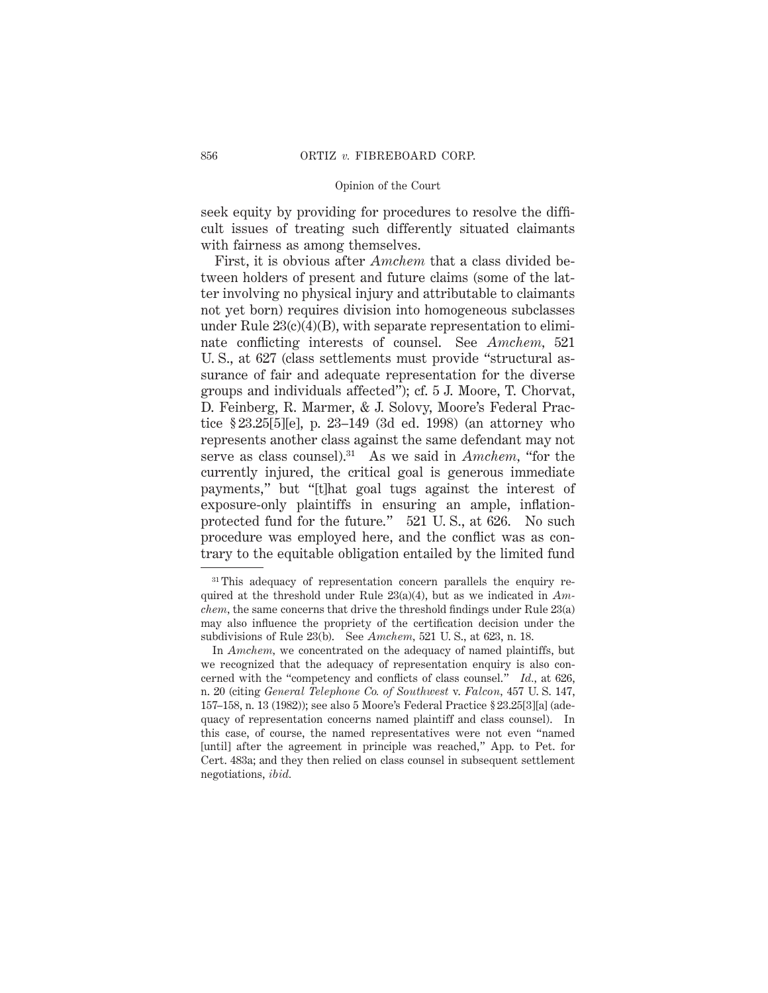seek equity by providing for procedures to resolve the difficult issues of treating such differently situated claimants with fairness as among themselves.

First, it is obvious after *Amchem* that a class divided between holders of present and future claims (some of the latter involving no physical injury and attributable to claimants not yet born) requires division into homogeneous subclasses under Rule  $23(c)(4)(B)$ , with separate representation to eliminate conflicting interests of counsel. See *Amchem,* 521 U. S., at 627 (class settlements must provide "structural assurance of fair and adequate representation for the diverse groups and individuals affected"); cf. 5 J. Moore, T. Chorvat, D. Feinberg, R. Marmer, & J. Solovy, Moore's Federal Practice § 23.25[5][e], p. 23–149 (3d ed. 1998) (an attorney who represents another class against the same defendant may not serve as class counsel).<sup>31</sup> As we said in *Amchem*, "for the currently injured, the critical goal is generous immediate payments," but "[t]hat goal tugs against the interest of exposure-only plaintiffs in ensuring an ample, inflationprotected fund for the future." 521 U. S., at 626. No such procedure was employed here, and the conflict was as contrary to the equitable obligation entailed by the limited fund

<sup>&</sup>lt;sup>31</sup> This adequacy of representation concern parallels the enquiry required at the threshold under Rule 23(a)(4), but as we indicated in *Amchem,* the same concerns that drive the threshold findings under Rule 23(a) may also influence the propriety of the certification decision under the subdivisions of Rule 23(b). See *Amchem,* 521 U. S., at 623, n. 18.

In *Amchem,* we concentrated on the adequacy of named plaintiffs, but we recognized that the adequacy of representation enquiry is also concerned with the "competency and conflicts of class counsel." *Id.,* at 626, n. 20 (citing *General Telephone Co. of Southwest* v. *Falcon,* 457 U. S. 147, 157–158, n. 13 (1982)); see also 5 Moore's Federal Practice § 23.25[3][a] (adequacy of representation concerns named plaintiff and class counsel). In this case, of course, the named representatives were not even "named [until] after the agreement in principle was reached," App. to Pet. for Cert. 483a; and they then relied on class counsel in subsequent settlement negotiations, *ibid.*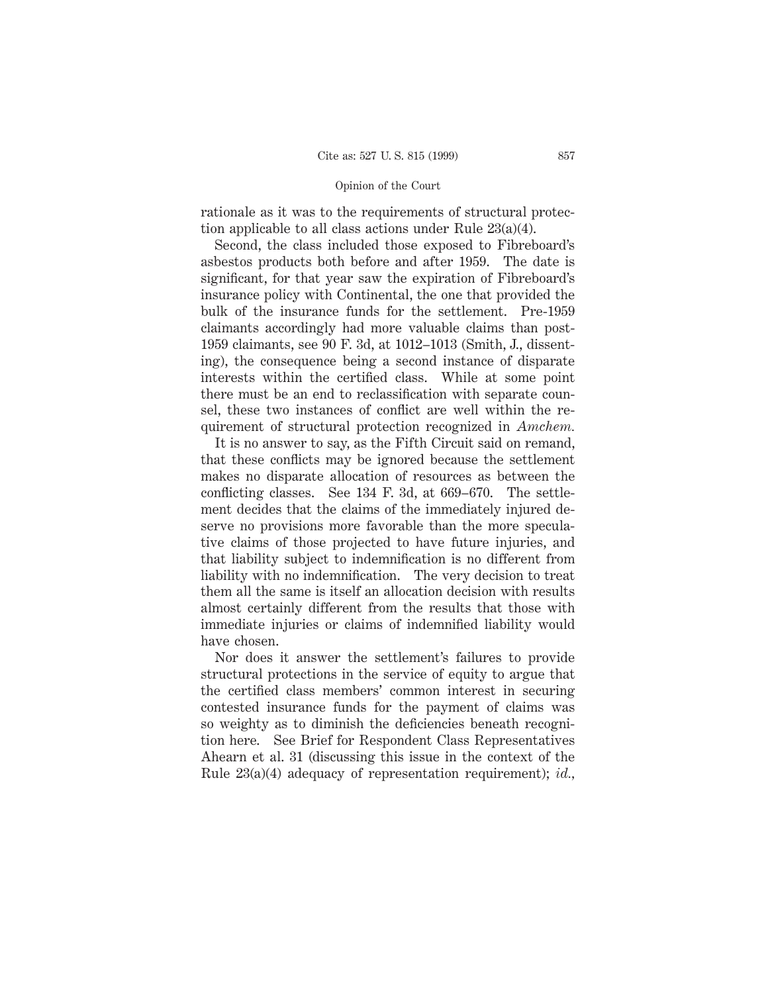rationale as it was to the requirements of structural protection applicable to all class actions under Rule 23(a)(4).

Second, the class included those exposed to Fibreboard's asbestos products both before and after 1959. The date is significant, for that year saw the expiration of Fibreboard's insurance policy with Continental, the one that provided the bulk of the insurance funds for the settlement. Pre-1959 claimants accordingly had more valuable claims than post-1959 claimants, see 90 F. 3d, at 1012–1013 (Smith, J., dissenting), the consequence being a second instance of disparate interests within the certified class. While at some point there must be an end to reclassification with separate counsel, these two instances of conflict are well within the requirement of structural protection recognized in *Amchem.*

It is no answer to say, as the Fifth Circuit said on remand, that these conflicts may be ignored because the settlement makes no disparate allocation of resources as between the conflicting classes. See 134 F. 3d, at 669–670. The settlement decides that the claims of the immediately injured deserve no provisions more favorable than the more speculative claims of those projected to have future injuries, and that liability subject to indemnification is no different from liability with no indemnification. The very decision to treat them all the same is itself an allocation decision with results almost certainly different from the results that those with immediate injuries or claims of indemnified liability would have chosen.

Nor does it answer the settlement's failures to provide structural protections in the service of equity to argue that the certified class members' common interest in securing contested insurance funds for the payment of claims was so weighty as to diminish the deficiencies beneath recognition here. See Brief for Respondent Class Representatives Ahearn et al. 31 (discussing this issue in the context of the Rule 23(a)(4) adequacy of representation requirement); *id.,*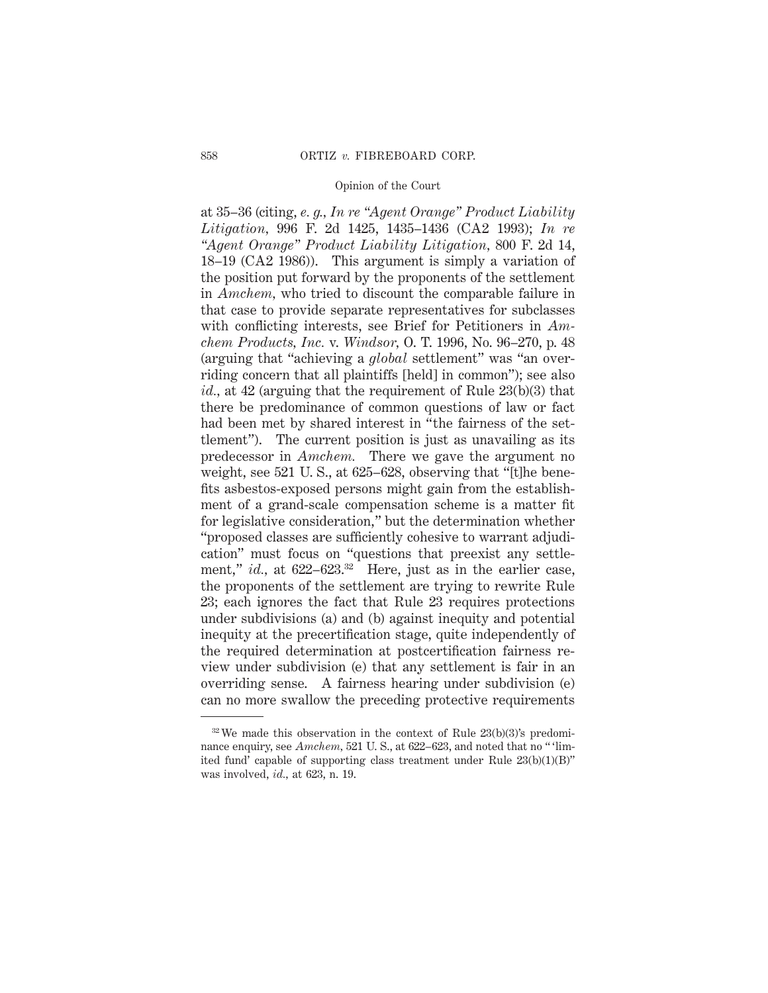at 35–36 (citing, *e. g., In re "Agent Orange" Product Liability Litigation,* 996 F. 2d 1425, 1435–1436 (CA2 1993); *In re "Agent Orange" Product Liability Litigation,* 800 F. 2d 14, 18–19 (CA2 1986)). This argument is simply a variation of the position put forward by the proponents of the settlement in *Amchem,* who tried to discount the comparable failure in that case to provide separate representatives for subclasses with conflicting interests, see Brief for Petitioners in *Amchem Products, Inc.* v. *Windsor,* O. T. 1996, No. 96–270, p. 48 (arguing that "achieving a *global* settlement" was "an overriding concern that all plaintiffs [held] in common"); see also *id.,* at 42 (arguing that the requirement of Rule 23(b)(3) that there be predominance of common questions of law or fact had been met by shared interest in "the fairness of the settlement"). The current position is just as unavailing as its predecessor in *Amchem.* There we gave the argument no weight, see 521 U. S., at 625–628, observing that "[t]he benefits asbestos-exposed persons might gain from the establishment of a grand-scale compensation scheme is a matter fit for legislative consideration," but the determination whether "proposed classes are sufficiently cohesive to warrant adjudication" must focus on "questions that preexist any settlement," *id.*, at 622–623.<sup>32</sup> Here, just as in the earlier case, the proponents of the settlement are trying to rewrite Rule 23; each ignores the fact that Rule 23 requires protections under subdivisions (a) and (b) against inequity and potential inequity at the precertification stage, quite independently of the required determination at postcertification fairness review under subdivision (e) that any settlement is fair in an overriding sense. A fairness hearing under subdivision (e) can no more swallow the preceding protective requirements

 $32$  We made this observation in the context of Rule  $23(b)(3)$ 's predominance enquiry, see *Amchem,* 521 U. S., at 622–623, and noted that no " 'limited fund' capable of supporting class treatment under Rule  $23(b)(1)(B)$ " was involved, *id.,* at 623, n. 19.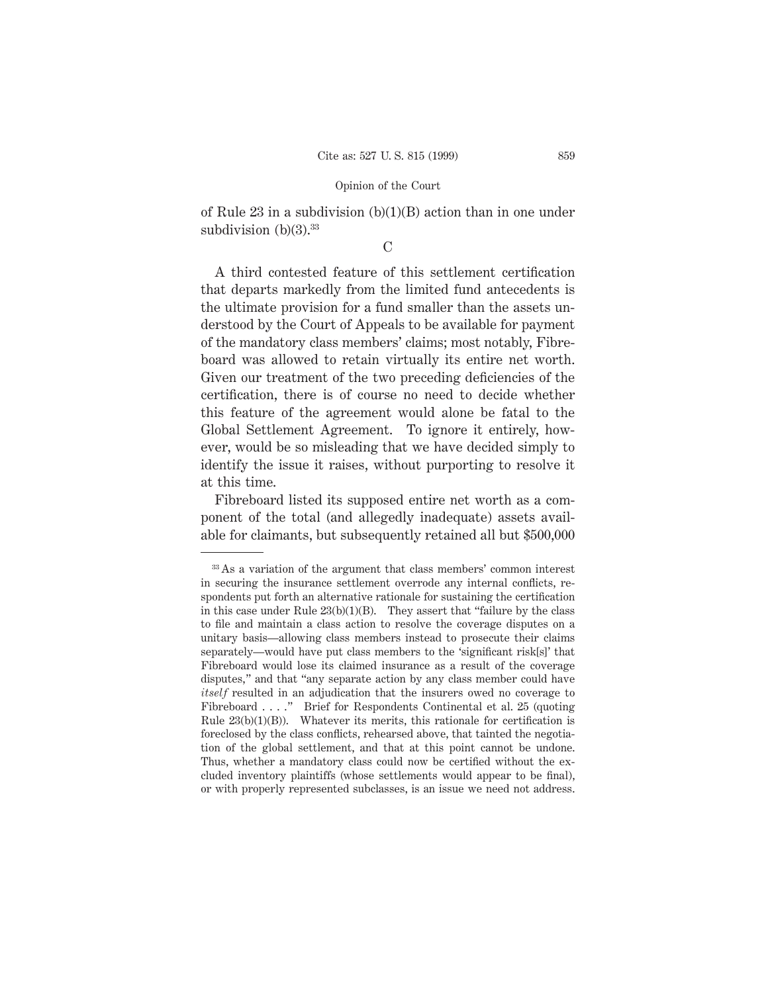of Rule 23 in a subdivision (b)(1)(B) action than in one under subdivision  $(b)(3)$ <sup>33</sup>

C

A third contested feature of this settlement certification that departs markedly from the limited fund antecedents is the ultimate provision for a fund smaller than the assets understood by the Court of Appeals to be available for payment of the mandatory class members' claims; most notably, Fibreboard was allowed to retain virtually its entire net worth. Given our treatment of the two preceding deficiencies of the certification, there is of course no need to decide whether this feature of the agreement would alone be fatal to the Global Settlement Agreement. To ignore it entirely, however, would be so misleading that we have decided simply to identify the issue it raises, without purporting to resolve it at this time.

Fibreboard listed its supposed entire net worth as a component of the total (and allegedly inadequate) assets available for claimants, but subsequently retained all but \$500,000

<sup>33</sup> As a variation of the argument that class members' common interest in securing the insurance settlement overrode any internal conflicts, respondents put forth an alternative rationale for sustaining the certification in this case under Rule  $23(b)(1)(B)$ . They assert that "failure by the class" to file and maintain a class action to resolve the coverage disputes on a unitary basis—allowing class members instead to prosecute their claims separately—would have put class members to the 'significant risk[s]' that Fibreboard would lose its claimed insurance as a result of the coverage disputes," and that "any separate action by any class member could have *itself* resulted in an adjudication that the insurers owed no coverage to Fibreboard . . . ." Brief for Respondents Continental et al. 25 (quoting Rule 23(b)(1)(B)). Whatever its merits, this rationale for certification is foreclosed by the class conflicts, rehearsed above, that tainted the negotiation of the global settlement, and that at this point cannot be undone. Thus, whether a mandatory class could now be certified without the excluded inventory plaintiffs (whose settlements would appear to be final), or with properly represented subclasses, is an issue we need not address.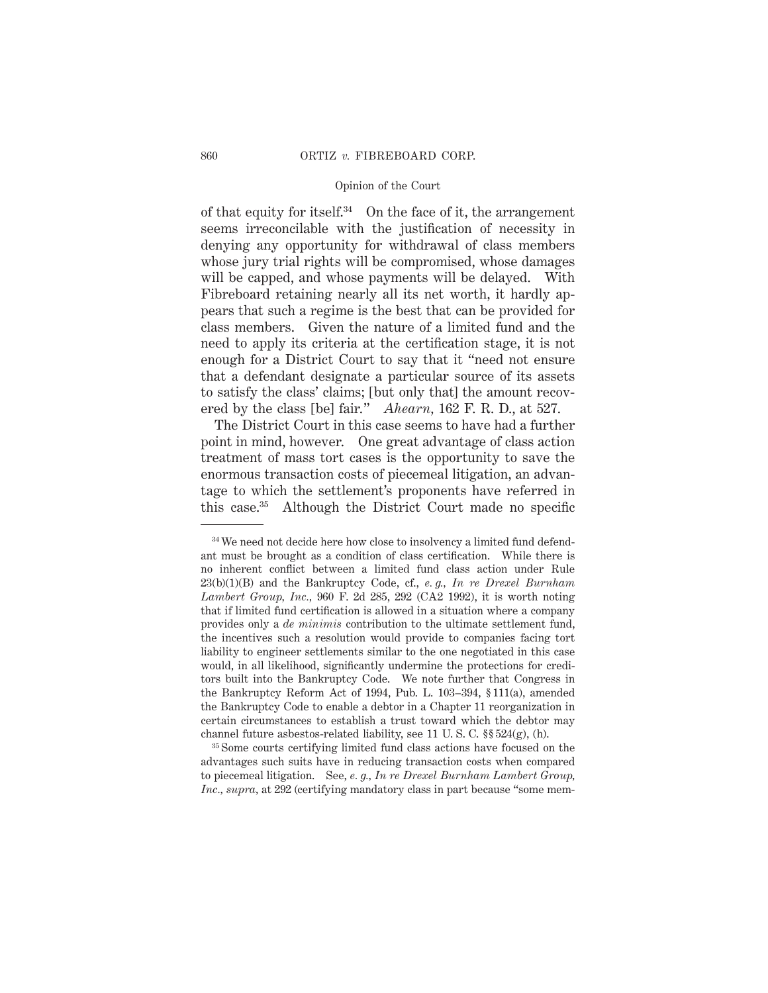of that equity for itself.<sup>34</sup> On the face of it, the arrangement seems irreconcilable with the justification of necessity in denying any opportunity for withdrawal of class members whose jury trial rights will be compromised, whose damages will be capped, and whose payments will be delayed. With Fibreboard retaining nearly all its net worth, it hardly appears that such a regime is the best that can be provided for class members. Given the nature of a limited fund and the need to apply its criteria at the certification stage, it is not enough for a District Court to say that it "need not ensure that a defendant designate a particular source of its assets to satisfy the class' claims; [but only that] the amount recovered by the class [be] fair." *Ahearn,* 162 F. R. D., at 527.

The District Court in this case seems to have had a further point in mind, however. One great advantage of class action treatment of mass tort cases is the opportunity to save the enormous transaction costs of piecemeal litigation, an advantage to which the settlement's proponents have referred in this case.35 Although the District Court made no specific

<sup>35</sup> Some courts certifying limited fund class actions have focused on the advantages such suits have in reducing transaction costs when compared to piecemeal litigation. See, *e. g., In re Drexel Burnham Lambert Group,* Inc., supra, at 292 (certifying mandatory class in part because "some mem-

<sup>&</sup>lt;sup>34</sup> We need not decide here how close to insolvency a limited fund defendant must be brought as a condition of class certification. While there is no inherent conflict between a limited fund class action under Rule 23(b)(1)(B) and the Bankruptcy Code, cf., *e. g., In re Drexel Burnham Lambert Group, Inc.,* 960 F. 2d 285, 292 (CA2 1992), it is worth noting that if limited fund certification is allowed in a situation where a company provides only a *de minimis* contribution to the ultimate settlement fund, the incentives such a resolution would provide to companies facing tort liability to engineer settlements similar to the one negotiated in this case would, in all likelihood, significantly undermine the protections for creditors built into the Bankruptcy Code. We note further that Congress in the Bankruptcy Reform Act of 1994, Pub. L. 103–394, § 111(a), amended the Bankruptcy Code to enable a debtor in a Chapter 11 reorganization in certain circumstances to establish a trust toward which the debtor may channel future aspessor-related liability, see 11 U.S.C.  $\S$  $\S$  $524(g)$ , (h).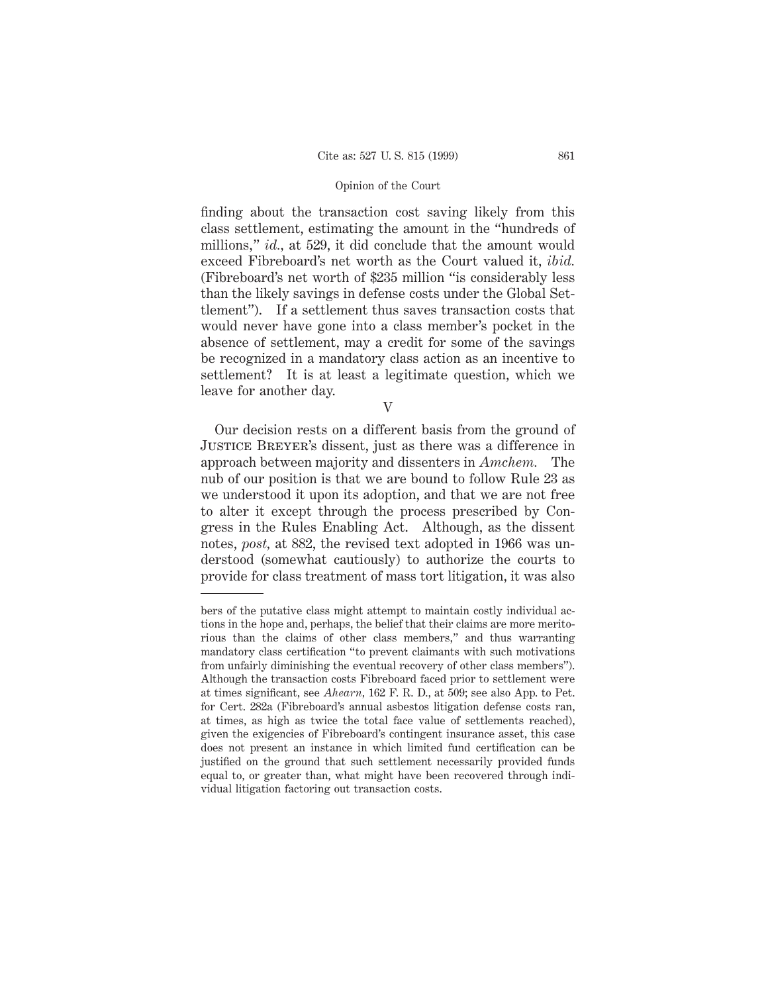finding about the transaction cost saving likely from this class settlement, estimating the amount in the "hundreds of millions," *id.,* at 529, it did conclude that the amount would exceed Fibreboard's net worth as the Court valued it, *ibid.* (Fibreboard's net worth of \$235 million "is considerably less than the likely savings in defense costs under the Global Settlement"). If a settlement thus saves transaction costs that would never have gone into a class member's pocket in the absence of settlement, may a credit for some of the savings be recognized in a mandatory class action as an incentive to settlement? It is at least a legitimate question, which we leave for another day.

V

Our decision rests on a different basis from the ground of Justice Breyer's dissent, just as there was a difference in approach between majority and dissenters in *Amchem.* The nub of our position is that we are bound to follow Rule 23 as we understood it upon its adoption, and that we are not free to alter it except through the process prescribed by Congress in the Rules Enabling Act. Although, as the dissent notes, *post,* at 882, the revised text adopted in 1966 was understood (somewhat cautiously) to authorize the courts to provide for class treatment of mass tort litigation, it was also

bers of the putative class might attempt to maintain costly individual actions in the hope and, perhaps, the belief that their claims are more meritorious than the claims of other class members," and thus warranting mandatory class certification "to prevent claimants with such motivations from unfairly diminishing the eventual recovery of other class members"). Although the transaction costs Fibreboard faced prior to settlement were at times significant, see *Ahearn,* 162 F. R. D., at 509; see also App. to Pet. for Cert. 282a (Fibreboard's annual asbestos litigation defense costs ran, at times, as high as twice the total face value of settlements reached), given the exigencies of Fibreboard's contingent insurance asset, this case does not present an instance in which limited fund certification can be justified on the ground that such settlement necessarily provided funds equal to, or greater than, what might have been recovered through individual litigation factoring out transaction costs.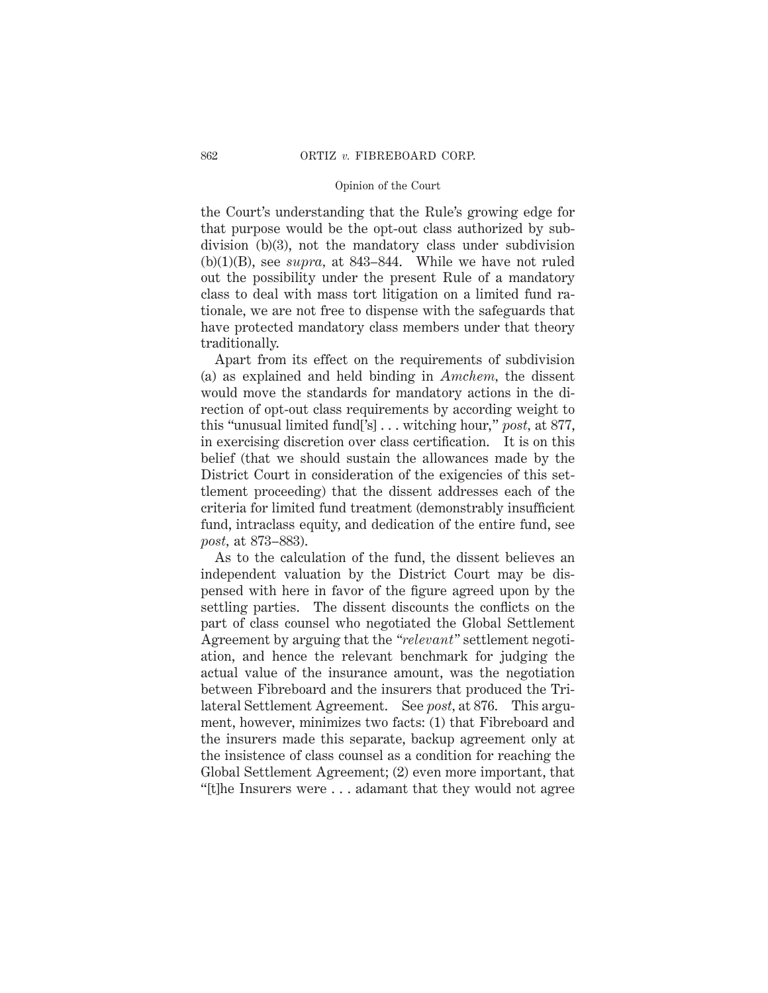the Court's understanding that the Rule's growing edge for that purpose would be the opt-out class authorized by subdivision (b)(3), not the mandatory class under subdivision (b)(1)(B), see *supra,* at 843–844. While we have not ruled out the possibility under the present Rule of a mandatory class to deal with mass tort litigation on a limited fund rationale, we are not free to dispense with the safeguards that have protected mandatory class members under that theory traditionally.

Apart from its effect on the requirements of subdivision (a) as explained and held binding in *Amchem,* the dissent would move the standards for mandatory actions in the direction of opt-out class requirements by according weight to this "unusual limited fund['s] . . . witching hour," *post,* at 877, in exercising discretion over class certification. It is on this belief (that we should sustain the allowances made by the District Court in consideration of the exigencies of this settlement proceeding) that the dissent addresses each of the criteria for limited fund treatment (demonstrably insufficient fund, intraclass equity, and dedication of the entire fund, see *post,* at 873–883).

As to the calculation of the fund, the dissent believes an independent valuation by the District Court may be dispensed with here in favor of the figure agreed upon by the settling parties. The dissent discounts the conflicts on the part of class counsel who negotiated the Global Settlement Agreement by arguing that the *"relevant"* settlement negotiation, and hence the relevant benchmark for judging the actual value of the insurance amount, was the negotiation between Fibreboard and the insurers that produced the Trilateral Settlement Agreement. See *post,* at 876. This argument, however, minimizes two facts: (1) that Fibreboard and the insurers made this separate, backup agreement only at the insistence of class counsel as a condition for reaching the Global Settlement Agreement; (2) even more important, that "[t]he Insurers were... adamant that they would not agree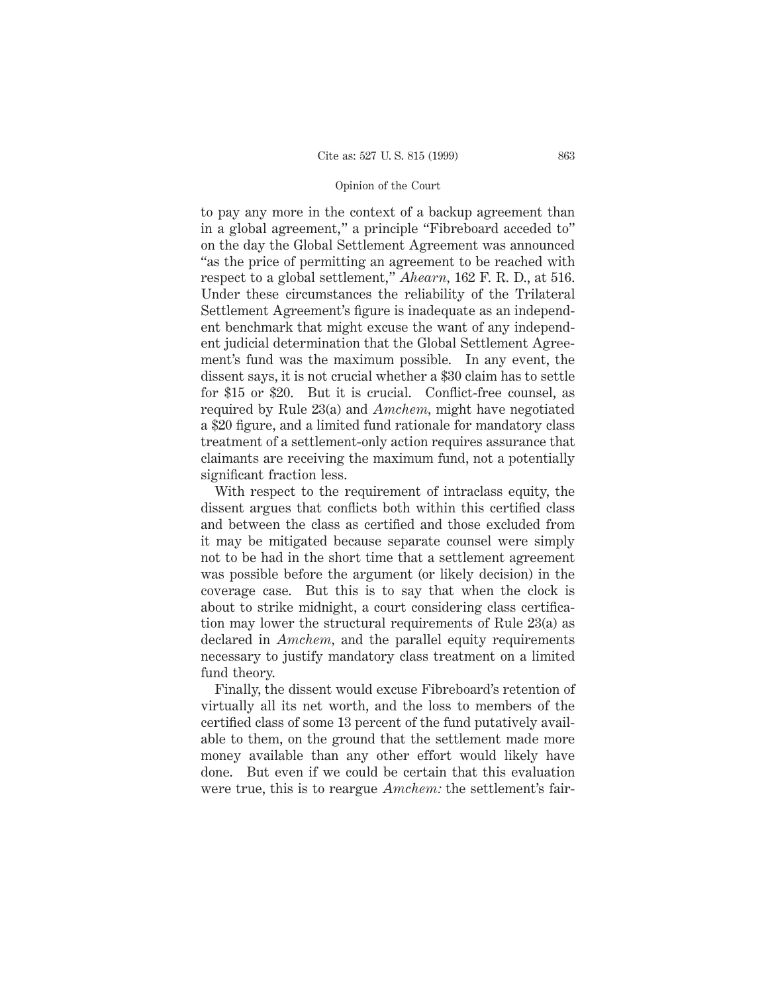to pay any more in the context of a backup agreement than in a global agreement," a principle "Fibreboard acceded to" on the day the Global Settlement Agreement was announced "as the price of permitting an agreement to be reached with respect to a global settlement," *Ahearn,* 162 F. R. D., at 516. Under these circumstances the reliability of the Trilateral Settlement Agreement's figure is inadequate as an independent benchmark that might excuse the want of any independent judicial determination that the Global Settlement Agreement's fund was the maximum possible. In any event, the dissent says, it is not crucial whether a \$30 claim has to settle for \$15 or \$20. But it is crucial. Conflict-free counsel, as required by Rule 23(a) and *Amchem,* might have negotiated a \$20 figure, and a limited fund rationale for mandatory class treatment of a settlement-only action requires assurance that claimants are receiving the maximum fund, not a potentially significant fraction less.

With respect to the requirement of intraclass equity, the dissent argues that conflicts both within this certified class and between the class as certified and those excluded from it may be mitigated because separate counsel were simply not to be had in the short time that a settlement agreement was possible before the argument (or likely decision) in the coverage case. But this is to say that when the clock is about to strike midnight, a court considering class certification may lower the structural requirements of Rule 23(a) as declared in *Amchem,* and the parallel equity requirements necessary to justify mandatory class treatment on a limited fund theory.

Finally, the dissent would excuse Fibreboard's retention of virtually all its net worth, and the loss to members of the certified class of some 13 percent of the fund putatively available to them, on the ground that the settlement made more money available than any other effort would likely have done. But even if we could be certain that this evaluation were true, this is to reargue *Amchem:* the settlement's fair-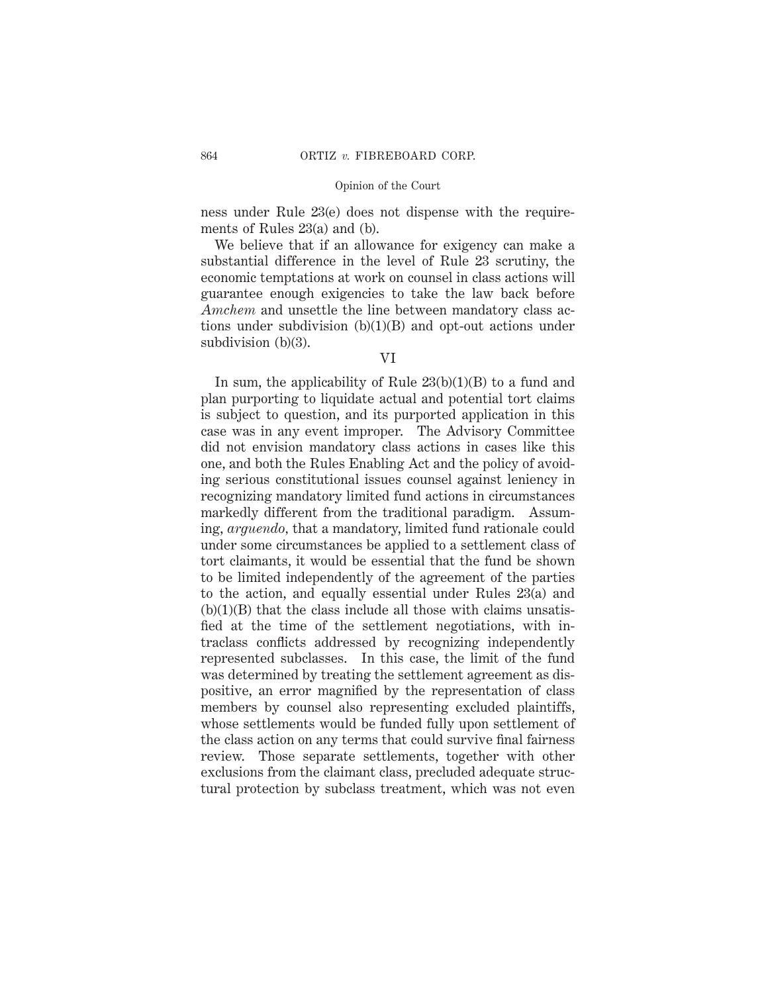ness under Rule 23(e) does not dispense with the requirements of Rules 23(a) and (b).

We believe that if an allowance for exigency can make a substantial difference in the level of Rule 23 scrutiny, the economic temptations at work on counsel in class actions will guarantee enough exigencies to take the law back before *Amchem* and unsettle the line between mandatory class actions under subdivision (b)(1)(B) and opt-out actions under subdivision (b)(3).

### VI

In sum, the applicability of Rule  $23(b)(1)(B)$  to a fund and plan purporting to liquidate actual and potential tort claims is subject to question, and its purported application in this case was in any event improper. The Advisory Committee did not envision mandatory class actions in cases like this one, and both the Rules Enabling Act and the policy of avoiding serious constitutional issues counsel against leniency in recognizing mandatory limited fund actions in circumstances markedly different from the traditional paradigm. Assuming, *arguendo,* that a mandatory, limited fund rationale could under some circumstances be applied to a settlement class of tort claimants, it would be essential that the fund be shown to be limited independently of the agreement of the parties to the action, and equally essential under Rules 23(a) and  $(b)(1)(B)$  that the class include all those with claims unsatisfied at the time of the settlement negotiations, with intraclass conflicts addressed by recognizing independently represented subclasses. In this case, the limit of the fund was determined by treating the settlement agreement as dispositive, an error magnified by the representation of class members by counsel also representing excluded plaintiffs, whose settlements would be funded fully upon settlement of the class action on any terms that could survive final fairness review. Those separate settlements, together with other exclusions from the claimant class, precluded adequate structural protection by subclass treatment, which was not even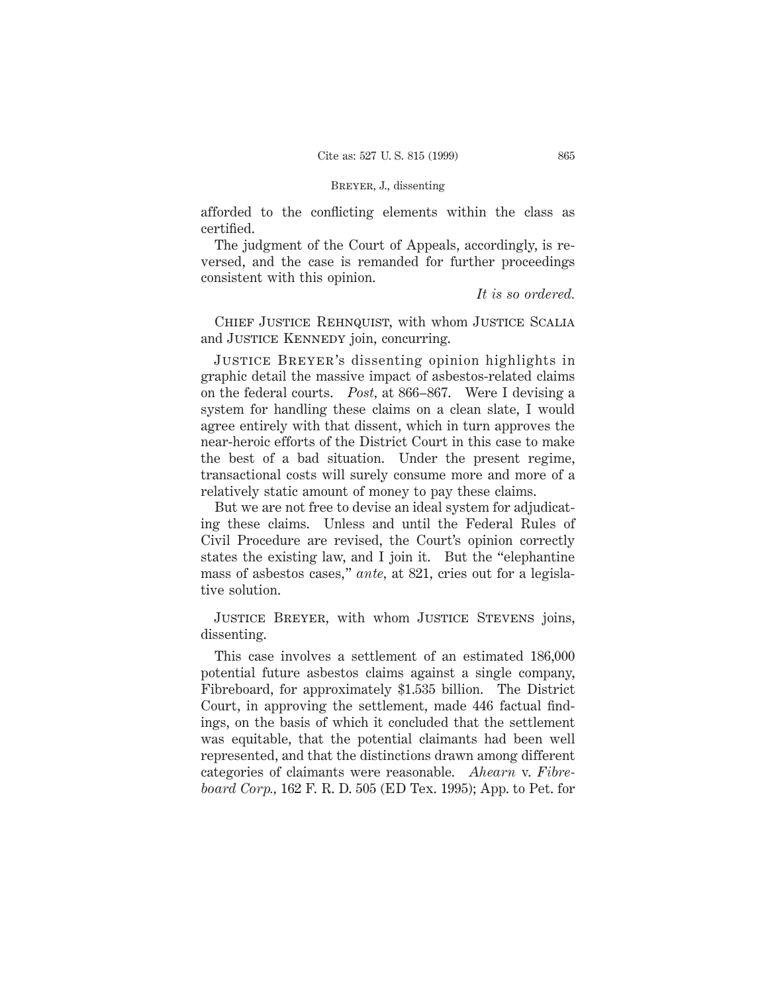afforded to the conflicting elements within the class as certified.

The judgment of the Court of Appeals, accordingly, is reversed, and the case is remanded for further proceedings consistent with this opinion.

*It is so ordered.*

Chief Justice Rehnquist, with whom Justice Scalia and JUSTICE KENNEDY join, concurring.

Justice Breyer's dissenting opinion highlights in graphic detail the massive impact of asbestos-related claims on the federal courts. *Post,* at 866–867. Were I devising a system for handling these claims on a clean slate, I would agree entirely with that dissent, which in turn approves the near-heroic efforts of the District Court in this case to make the best of a bad situation. Under the present regime, transactional costs will surely consume more and more of a relatively static amount of money to pay these claims.

But we are not free to devise an ideal system for adjudicating these claims. Unless and until the Federal Rules of Civil Procedure are revised, the Court's opinion correctly states the existing law, and I join it. But the "elephantine mass of asbestos cases," *ante,* at 821, cries out for a legislative solution.

JUSTICE BREYER, with whom JUSTICE STEVENS joins, dissenting.

This case involves a settlement of an estimated 186,000 potential future asbestos claims against a single company, Fibreboard, for approximately \$1.535 billion. The District Court, in approving the settlement, made 446 factual findings, on the basis of which it concluded that the settlement was equitable, that the potential claimants had been well represented, and that the distinctions drawn among different categories of claimants were reasonable. *Ahearn* v. *Fibreboard Corp.,* 162 F. R. D. 505 (ED Tex. 1995); App. to Pet. for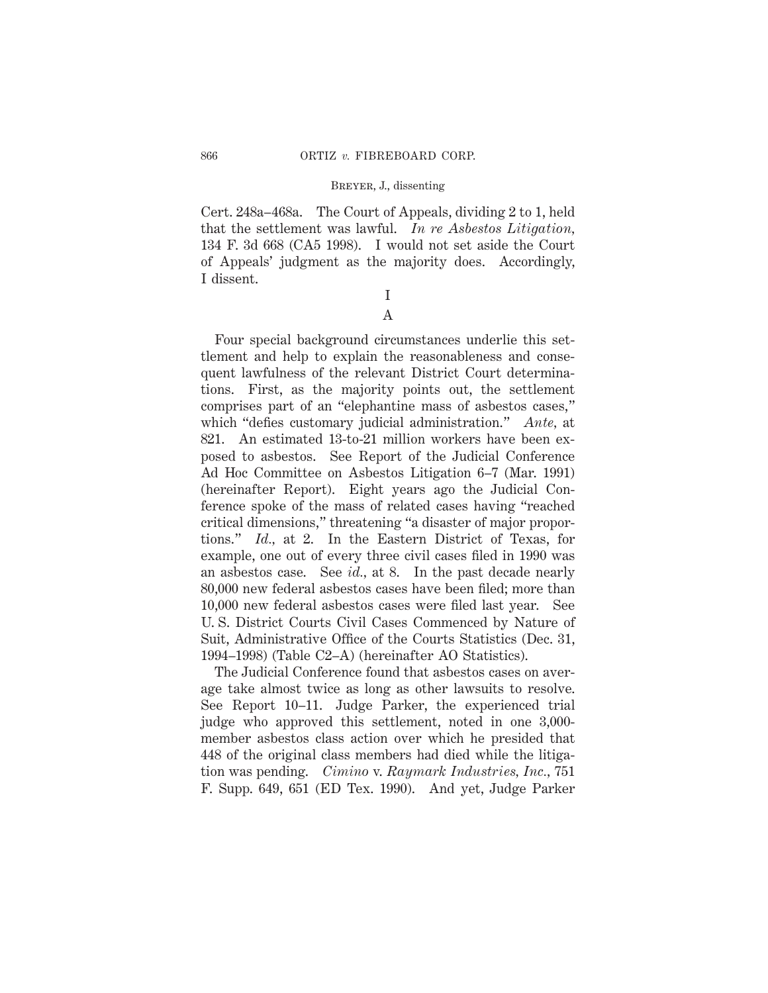Cert. 248a–468a. The Court of Appeals, dividing 2 to 1, held that the settlement was lawful. *In re Asbestos Litigation,* 134 F. 3d 668 (CA5 1998). I would not set aside the Court of Appeals' judgment as the majority does. Accordingly, I dissent.

# I A

Four special background circumstances underlie this settlement and help to explain the reasonableness and consequent lawfulness of the relevant District Court determinations. First, as the majority points out, the settlement comprises part of an "elephantine mass of asbestos cases," which "defies customary judicial administration." *Ante,* at 821. An estimated 13-to-21 million workers have been exposed to asbestos. See Report of the Judicial Conference Ad Hoc Committee on Asbestos Litigation 6–7 (Mar. 1991) (hereinafter Report). Eight years ago the Judicial Conference spoke of the mass of related cases having "reached critical dimensions," threatening "a disaster of major proportions." *Id.,* at 2. In the Eastern District of Texas, for example, one out of every three civil cases filed in 1990 was an asbestos case. See *id.,* at 8. In the past decade nearly 80,000 new federal asbestos cases have been filed; more than 10,000 new federal asbestos cases were filed last year. See U. S. District Courts Civil Cases Commenced by Nature of Suit, Administrative Office of the Courts Statistics (Dec. 31, 1994–1998) (Table C2–A) (hereinafter AO Statistics).

The Judicial Conference found that asbestos cases on average take almost twice as long as other lawsuits to resolve. See Report 10–11. Judge Parker, the experienced trial judge who approved this settlement, noted in one 3,000 member asbestos class action over which he presided that 448 of the original class members had died while the litigation was pending. *Cimino* v. *Raymark Industries, Inc.,* 751 F. Supp. 649, 651 (ED Tex. 1990). And yet, Judge Parker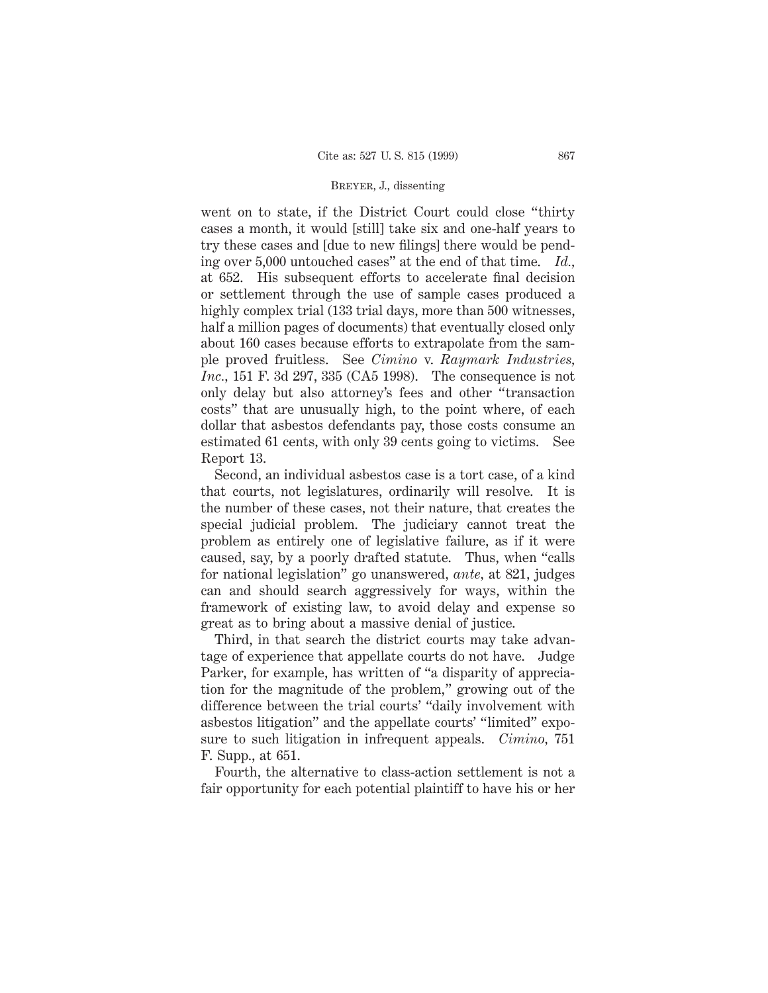went on to state, if the District Court could close "thirty cases a month, it would [still] take six and one-half years to try these cases and [due to new filings] there would be pending over 5,000 untouched cases" at the end of that time. *Id.,* at 652. His subsequent efforts to accelerate final decision or settlement through the use of sample cases produced a highly complex trial (133 trial days, more than 500 witnesses, half a million pages of documents) that eventually closed only about 160 cases because efforts to extrapolate from the sample proved fruitless. See *Cimino* v. *Raymark Industries, Inc.*, 151 F. 3d 297, 335 (CA5 1998). The consequence is not only delay but also attorney's fees and other "transaction costs" that are unusually high, to the point where, of each dollar that asbestos defendants pay, those costs consume an estimated 61 cents, with only 39 cents going to victims. See Report 13.

Second, an individual asbestos case is a tort case, of a kind that courts, not legislatures, ordinarily will resolve. It is the number of these cases, not their nature, that creates the special judicial problem. The judiciary cannot treat the problem as entirely one of legislative failure, as if it were caused, say, by a poorly drafted statute. Thus, when "calls for national legislation" go unanswered, *ante,* at 821, judges can and should search aggressively for ways, within the framework of existing law, to avoid delay and expense so great as to bring about a massive denial of justice.

Third, in that search the district courts may take advantage of experience that appellate courts do not have. Judge Parker, for example, has written of "a disparity of appreciation for the magnitude of the problem," growing out of the difference between the trial courts' "daily involvement with asbestos litigation" and the appellate courts' "limited" exposure to such litigation in infrequent appeals. *Cimino,* 751 F. Supp., at 651.

Fourth, the alternative to class-action settlement is not a fair opportunity for each potential plaintiff to have his or her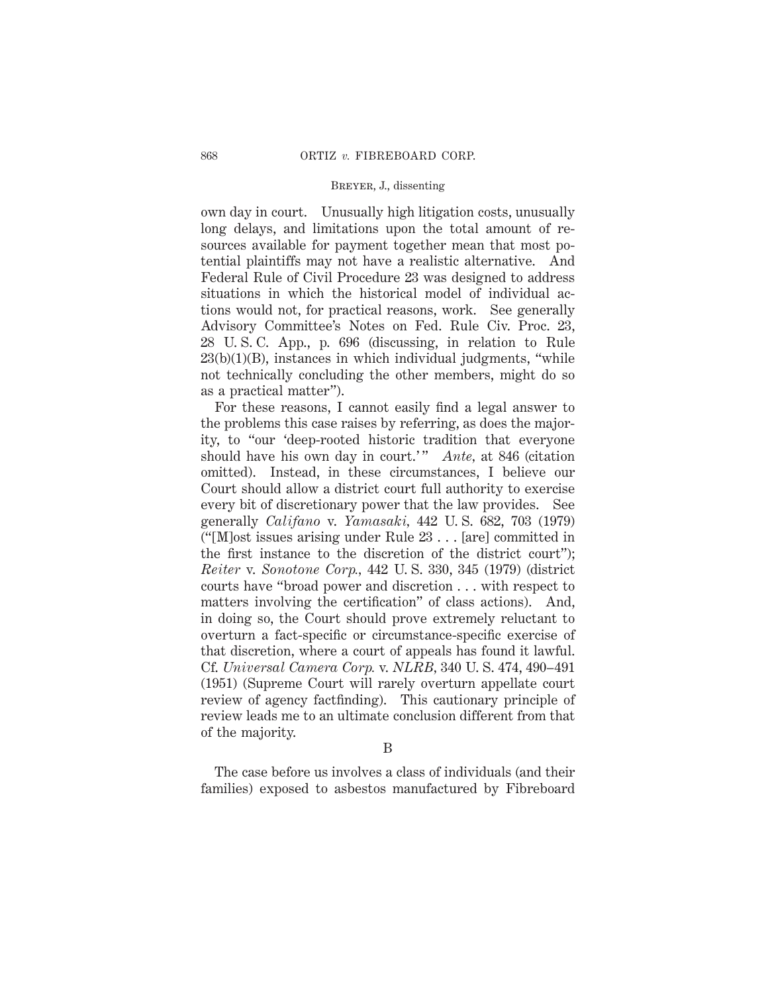own day in court. Unusually high litigation costs, unusually long delays, and limitations upon the total amount of resources available for payment together mean that most potential plaintiffs may not have a realistic alternative. And Federal Rule of Civil Procedure 23 was designed to address situations in which the historical model of individual actions would not, for practical reasons, work. See generally Advisory Committee's Notes on Fed. Rule Civ. Proc. 23, 28 U. S. C. App., p. 696 (discussing, in relation to Rule  $23(b)(1)(B)$ , instances in which individual judgments, "while not technically concluding the other members, might do so as a practical matter").

For these reasons, I cannot easily find a legal answer to the problems this case raises by referring, as does the majority, to "our 'deep-rooted historic tradition that everyone should have his own day in court.'" Ante, at 846 (citation omitted). Instead, in these circumstances, I believe our Court should allow a district court full authority to exercise every bit of discretionary power that the law provides. See generally *Califano* v. *Yamasaki,* 442 U. S. 682, 703 (1979) ("[M]ost issues arising under Rule 23 . . . [are] committed in the first instance to the discretion of the district court"); *Reiter* v. *Sonotone Corp.,* 442 U. S. 330, 345 (1979) (district courts have "broad power and discretion . . . with respect to matters involving the certification" of class actions). And, in doing so, the Court should prove extremely reluctant to overturn a fact-specific or circumstance-specific exercise of that discretion, where a court of appeals has found it lawful. Cf. *Universal Camera Corp.* v. *NLRB,* 340 U. S. 474, 490–491 (1951) (Supreme Court will rarely overturn appellate court review of agency factfinding). This cautionary principle of review leads me to an ultimate conclusion different from that of the majority.

B

The case before us involves a class of individuals (and their families) exposed to asbestos manufactured by Fibreboard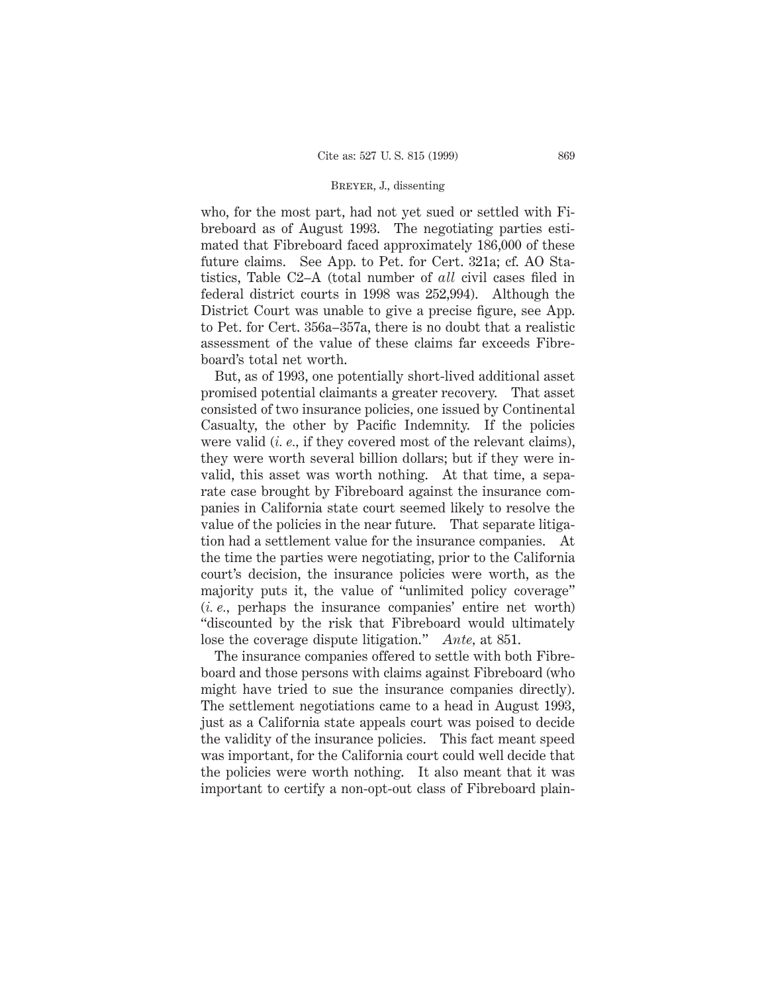who, for the most part, had not yet sued or settled with Fibreboard as of August 1993. The negotiating parties estimated that Fibreboard faced approximately 186,000 of these future claims. See App. to Pet. for Cert. 321a; cf. AO Statistics, Table C2–A (total number of *all* civil cases filed in federal district courts in 1998 was 252,994). Although the District Court was unable to give a precise figure, see App. to Pet. for Cert. 356a–357a, there is no doubt that a realistic assessment of the value of these claims far exceeds Fibreboard's total net worth.

But, as of 1993, one potentially short-lived additional asset promised potential claimants a greater recovery. That asset consisted of two insurance policies, one issued by Continental Casualty, the other by Pacific Indemnity. If the policies were valid (*i. e.,* if they covered most of the relevant claims), they were worth several billion dollars; but if they were invalid, this asset was worth nothing. At that time, a separate case brought by Fibreboard against the insurance companies in California state court seemed likely to resolve the value of the policies in the near future. That separate litigation had a settlement value for the insurance companies. At the time the parties were negotiating, prior to the California court's decision, the insurance policies were worth, as the majority puts it, the value of "unlimited policy coverage" (*i. e.,* perhaps the insurance companies' entire net worth) "discounted by the risk that Fibreboard would ultimately lose the coverage dispute litigation." *Ante,* at 851.

The insurance companies offered to settle with both Fibreboard and those persons with claims against Fibreboard (who might have tried to sue the insurance companies directly). The settlement negotiations came to a head in August 1993, just as a California state appeals court was poised to decide the validity of the insurance policies. This fact meant speed was important, for the California court could well decide that the policies were worth nothing. It also meant that it was important to certify a non-opt-out class of Fibreboard plain-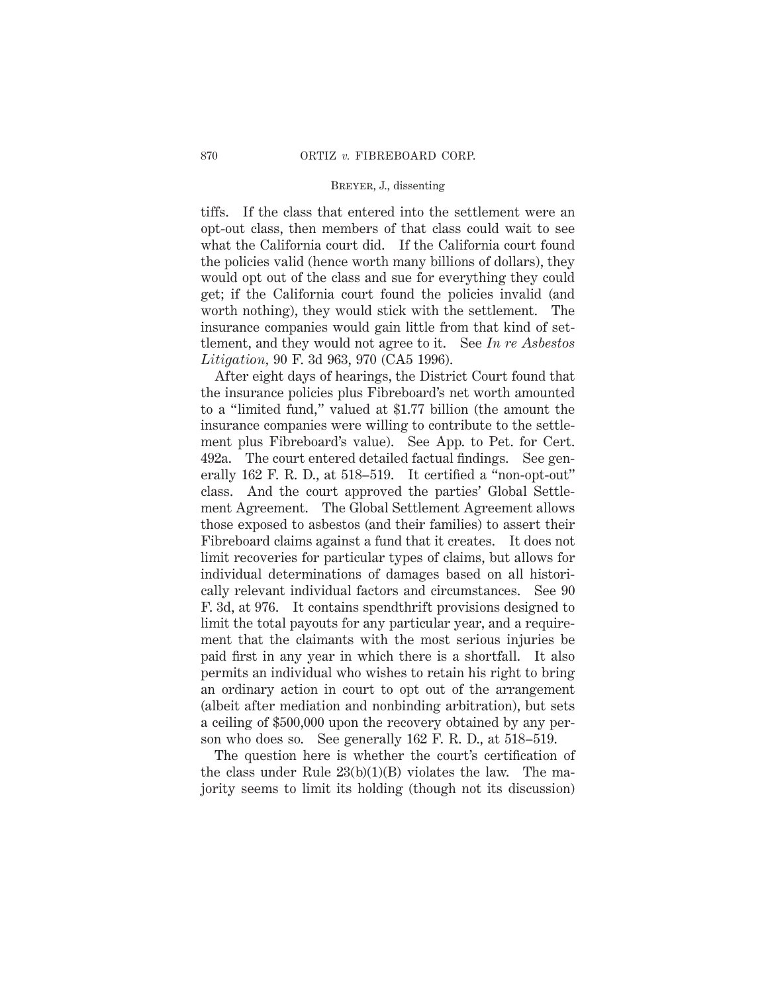tiffs. If the class that entered into the settlement were an opt-out class, then members of that class could wait to see what the California court did. If the California court found the policies valid (hence worth many billions of dollars), they would opt out of the class and sue for everything they could get; if the California court found the policies invalid (and worth nothing), they would stick with the settlement. The insurance companies would gain little from that kind of settlement, and they would not agree to it. See *In re Asbestos Litigation,* 90 F. 3d 963, 970 (CA5 1996).

After eight days of hearings, the District Court found that the insurance policies plus Fibreboard's net worth amounted to a "limited fund," valued at \$1.77 billion (the amount the insurance companies were willing to contribute to the settlement plus Fibreboard's value). See App. to Pet. for Cert. 492a. The court entered detailed factual findings. See generally 162 F. R. D., at 518–519. It certified a "non-opt-out" class. And the court approved the parties' Global Settlement Agreement. The Global Settlement Agreement allows those exposed to asbestos (and their families) to assert their Fibreboard claims against a fund that it creates. It does not limit recoveries for particular types of claims, but allows for individual determinations of damages based on all historically relevant individual factors and circumstances. See 90 F. 3d, at 976. It contains spendthrift provisions designed to limit the total payouts for any particular year, and a requirement that the claimants with the most serious injuries be paid first in any year in which there is a shortfall. It also permits an individual who wishes to retain his right to bring an ordinary action in court to opt out of the arrangement (albeit after mediation and nonbinding arbitration), but sets a ceiling of \$500,000 upon the recovery obtained by any person who does so. See generally 162 F. R. D., at 518–519.

The question here is whether the court's certification of the class under Rule 23(b)(1)(B) violates the law. The majority seems to limit its holding (though not its discussion)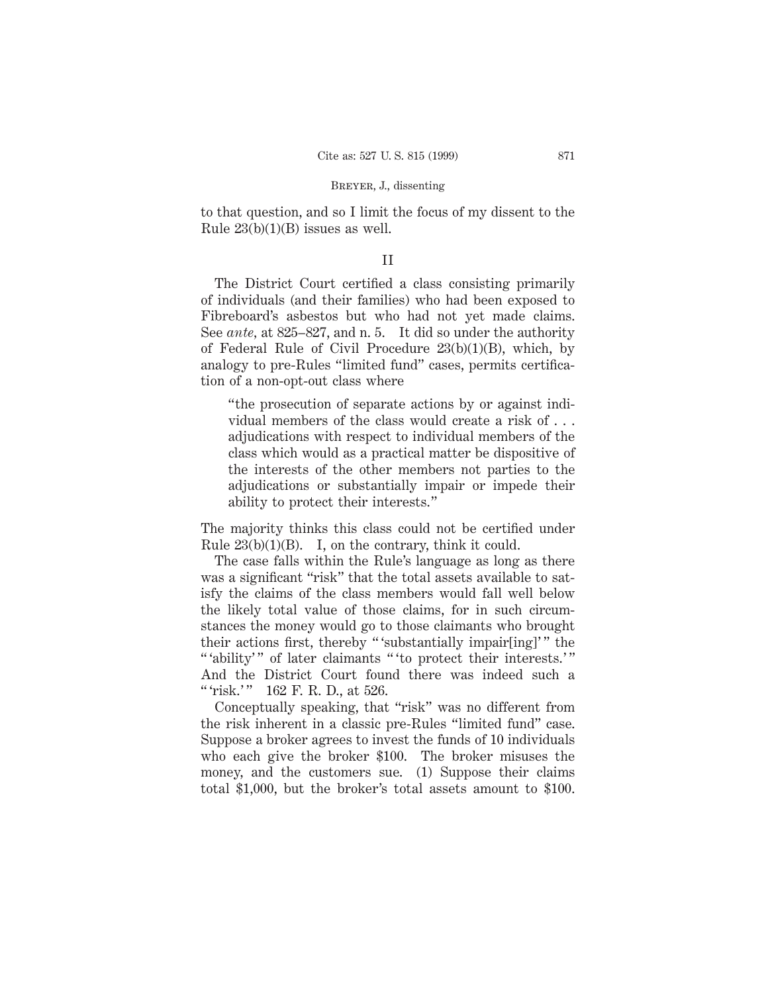to that question, and so I limit the focus of my dissent to the Rule  $23(b)(1)(B)$  issues as well.

# II

The District Court certified a class consisting primarily of individuals (and their families) who had been exposed to Fibreboard's asbestos but who had not yet made claims. See *ante,* at 825–827, and n. 5. It did so under the authority of Federal Rule of Civil Procedure 23(b)(1)(B), which, by analogy to pre-Rules "limited fund" cases, permits certification of a non-opt-out class where

"the prosecution of separate actions by or against individual members of the class would create a risk of... adjudications with respect to individual members of the class which would as a practical matter be dispositive of the interests of the other members not parties to the adjudications or substantially impair or impede their ability to protect their interests."

The majority thinks this class could not be certified under Rule  $23(b)(1)(B)$ . I, on the contrary, think it could.

The case falls within the Rule's language as long as there was a significant "risk" that the total assets available to satisfy the claims of the class members would fall well below the likely total value of those claims, for in such circumstances the money would go to those claimants who brought their actions first, thereby " 'substantially impair[ing]' " the " ability" of later claimants " to protect their interests." And the District Court found there was indeed such a " 'risk.'" 162 F. R. D., at 526.

Conceptually speaking, that "risk" was no different from the risk inherent in a classic pre-Rules "limited fund" case. Suppose a broker agrees to invest the funds of 10 individuals who each give the broker \$100. The broker misuses the money, and the customers sue. (1) Suppose their claims total \$1,000, but the broker's total assets amount to \$100.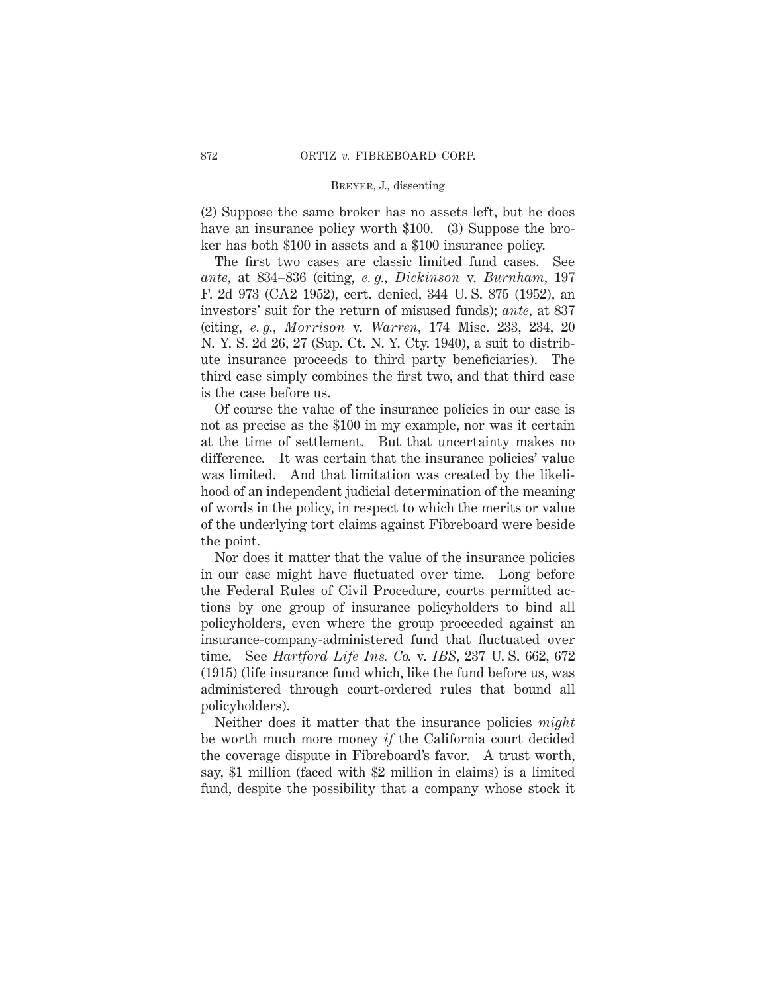(2) Suppose the same broker has no assets left, but he does have an insurance policy worth \$100. (3) Suppose the broker has both \$100 in assets and a \$100 insurance policy.

The first two cases are classic limited fund cases. See *ante,* at 834–836 (citing, *e. g., Dickinson* v. *Burnham,* 197 F. 2d 973 (CA2 1952), cert. denied, 344 U. S. 875 (1952), an investors' suit for the return of misused funds); *ante,* at 837 (citing, *e. g., Morrison* v. *Warren,* 174 Misc. 233, 234, 20 N. Y. S. 2d 26, 27 (Sup. Ct. N. Y. Cty. 1940), a suit to distribute insurance proceeds to third party beneficiaries). The third case simply combines the first two, and that third case is the case before us.

Of course the value of the insurance policies in our case is not as precise as the \$100 in my example, nor was it certain at the time of settlement. But that uncertainty makes no difference. It was certain that the insurance policies' value was limited. And that limitation was created by the likelihood of an independent judicial determination of the meaning of words in the policy, in respect to which the merits or value of the underlying tort claims against Fibreboard were beside the point.

Nor does it matter that the value of the insurance policies in our case might have fluctuated over time. Long before the Federal Rules of Civil Procedure, courts permitted actions by one group of insurance policyholders to bind all policyholders, even where the group proceeded against an insurance-company-administered fund that fluctuated over time. See *Hartford Life Ins. Co.* v. *IBS,* 237 U. S. 662, 672 (1915) (life insurance fund which, like the fund before us, was administered through court-ordered rules that bound all policyholders).

Neither does it matter that the insurance policies *might* be worth much more money *if* the California court decided the coverage dispute in Fibreboard's favor. A trust worth, say, \$1 million (faced with \$2 million in claims) is a limited fund, despite the possibility that a company whose stock it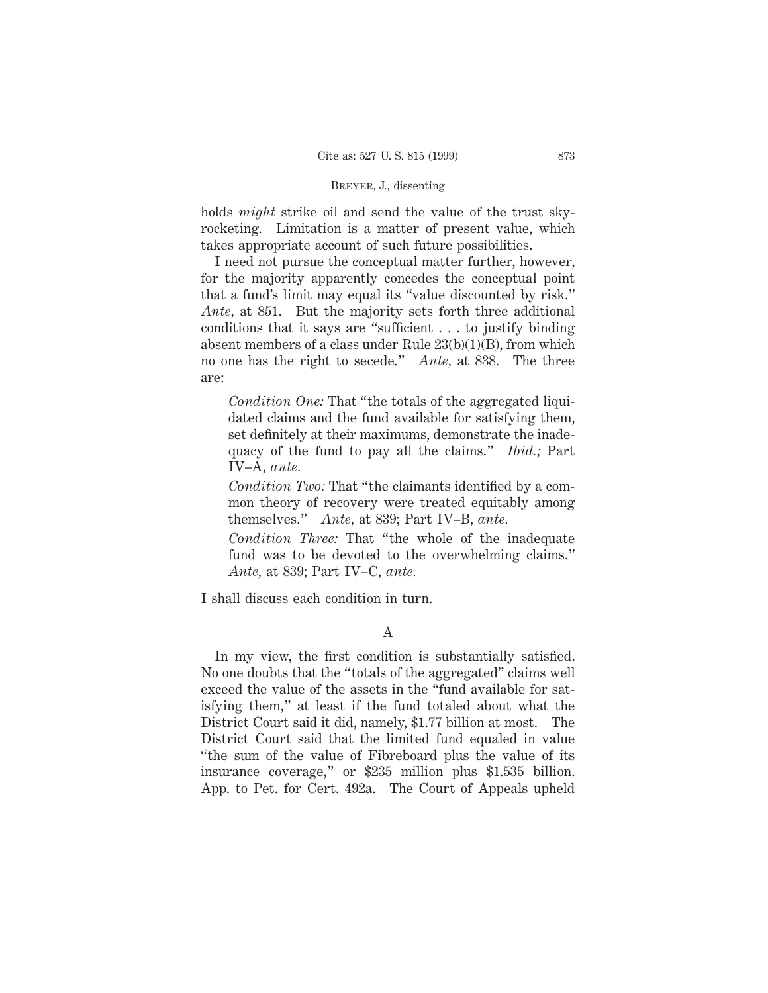holds *might* strike oil and send the value of the trust skyrocketing. Limitation is a matter of present value, which takes appropriate account of such future possibilities.

I need not pursue the conceptual matter further, however, for the majority apparently concedes the conceptual point that a fund's limit may equal its "value discounted by risk." *Ante,* at 851. But the majority sets forth three additional conditions that it says are "sufficient . . . to justify binding absent members of a class under Rule 23(b)(1)(B), from which no one has the right to secede." *Ante,* at 838. The three are:

*Condition One:* That "the totals of the aggregated liquidated claims and the fund available for satisfying them, set definitely at their maximums, demonstrate the inadequacy of the fund to pay all the claims." *Ibid.;* Part IV–A, *ante.*

*Condition Two:* That "the claimants identified by a common theory of recovery were treated equitably among themselves." *Ante,* at 839; Part IV–B, *ante.*

*Condition Three:* That "the whole of the inadequate fund was to be devoted to the overwhelming claims." *Ante,* at 839; Part IV–C, *ante.*

I shall discuss each condition in turn.

In my view, the first condition is substantially satisfied. No one doubts that the "totals of the aggregated" claims well exceed the value of the assets in the "fund available for satisfying them," at least if the fund totaled about what the District Court said it did, namely, \$1.77 billion at most. The District Court said that the limited fund equaled in value "the sum of the value of Fibreboard plus the value of its insurance coverage," or \$235 million plus \$1.535 billion. App. to Pet. for Cert. 492a. The Court of Appeals upheld

A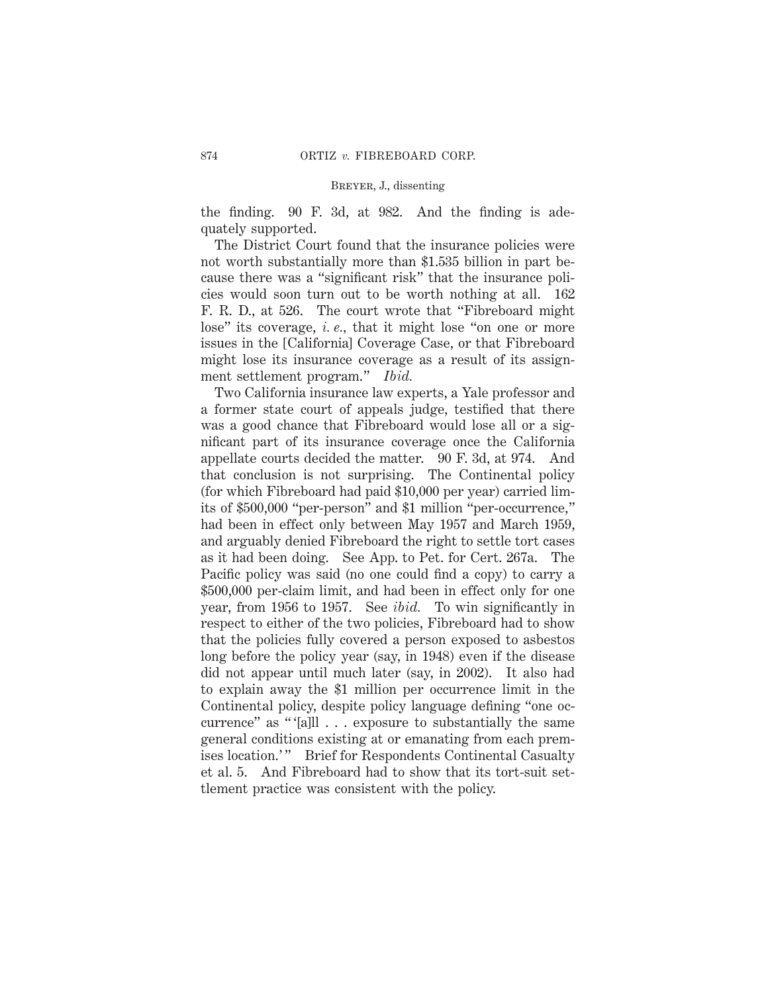the finding. 90 F. 3d, at 982. And the finding is adequately supported.

The District Court found that the insurance policies were not worth substantially more than \$1.535 billion in part because there was a "significant risk" that the insurance policies would soon turn out to be worth nothing at all. 162 F. R. D., at 526. The court wrote that "Fibreboard might lose" its coverage, *i. e.,* that it might lose "on one or more issues in the [California] Coverage Case, or that Fibreboard might lose its insurance coverage as a result of its assignment settlement program." *Ibid.*

Two California insurance law experts, a Yale professor and a former state court of appeals judge, testified that there was a good chance that Fibreboard would lose all or a significant part of its insurance coverage once the California appellate courts decided the matter. 90 F. 3d, at 974. And that conclusion is not surprising. The Continental policy (for which Fibreboard had paid \$10,000 per year) carried limits of \$500,000 "per-person" and \$1 million "per-occurrence," had been in effect only between May 1957 and March 1959, and arguably denied Fibreboard the right to settle tort cases as it had been doing. See App. to Pet. for Cert. 267a. The Pacific policy was said (no one could find a copy) to carry a \$500,000 per-claim limit, and had been in effect only for one year, from 1956 to 1957. See *ibid.* To win significantly in respect to either of the two policies, Fibreboard had to show that the policies fully covered a person exposed to asbestos long before the policy year (say, in 1948) even if the disease did not appear until much later (say, in 2002). It also had to explain away the \$1 million per occurrence limit in the Continental policy, despite policy language defining "one occurrence" as " '[a]ll . . . exposure to substantially the same general conditions existing at or emanating from each premises location.'" Brief for Respondents Continental Casualty et al. 5. And Fibreboard had to show that its tort-suit settlement practice was consistent with the policy.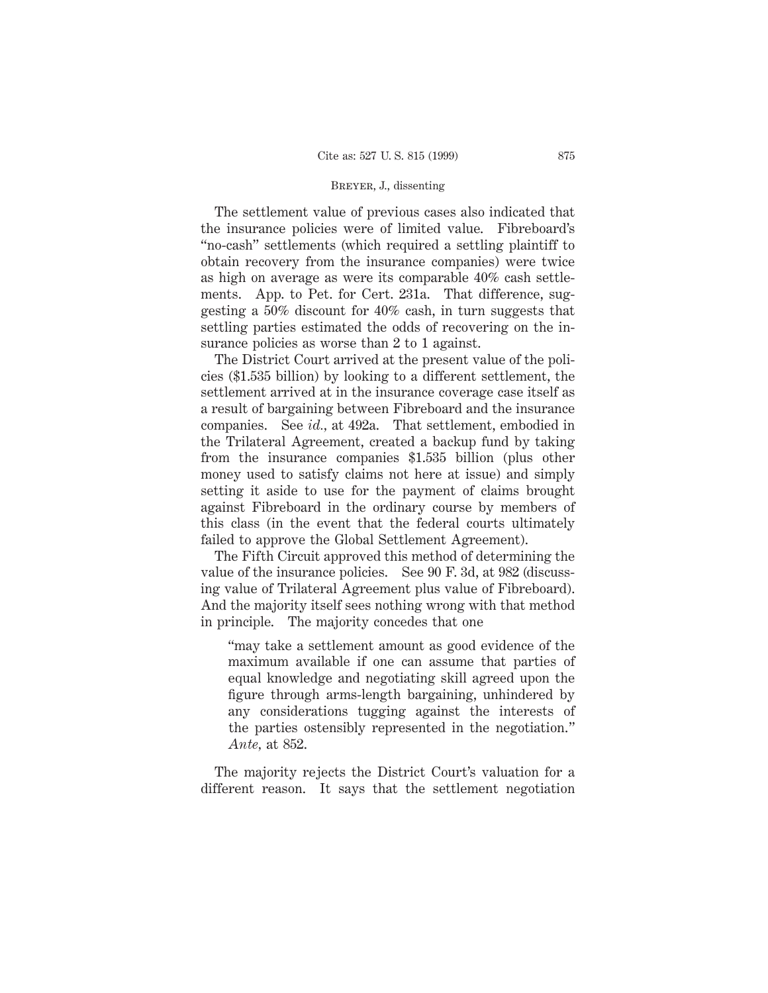The settlement value of previous cases also indicated that the insurance policies were of limited value. Fibreboard's "no-cash" settlements (which required a settling plaintiff to obtain recovery from the insurance companies) were twice as high on average as were its comparable 40% cash settlements. App. to Pet. for Cert. 231a. That difference, suggesting a 50% discount for 40% cash, in turn suggests that settling parties estimated the odds of recovering on the insurance policies as worse than 2 to 1 against.

The District Court arrived at the present value of the policies (\$1.535 billion) by looking to a different settlement, the settlement arrived at in the insurance coverage case itself as a result of bargaining between Fibreboard and the insurance companies. See *id.,* at 492a. That settlement, embodied in the Trilateral Agreement, created a backup fund by taking from the insurance companies \$1.535 billion (plus other money used to satisfy claims not here at issue) and simply setting it aside to use for the payment of claims brought against Fibreboard in the ordinary course by members of this class (in the event that the federal courts ultimately failed to approve the Global Settlement Agreement).

The Fifth Circuit approved this method of determining the value of the insurance policies. See 90 F. 3d, at 982 (discussing value of Trilateral Agreement plus value of Fibreboard). And the majority itself sees nothing wrong with that method in principle. The majority concedes that one

"may take a settlement amount as good evidence of the maximum available if one can assume that parties of equal knowledge and negotiating skill agreed upon the figure through arms-length bargaining, unhindered by any considerations tugging against the interests of the parties ostensibly represented in the negotiation." *Ante,* at 852.

The majority rejects the District Court's valuation for a different reason. It says that the settlement negotiation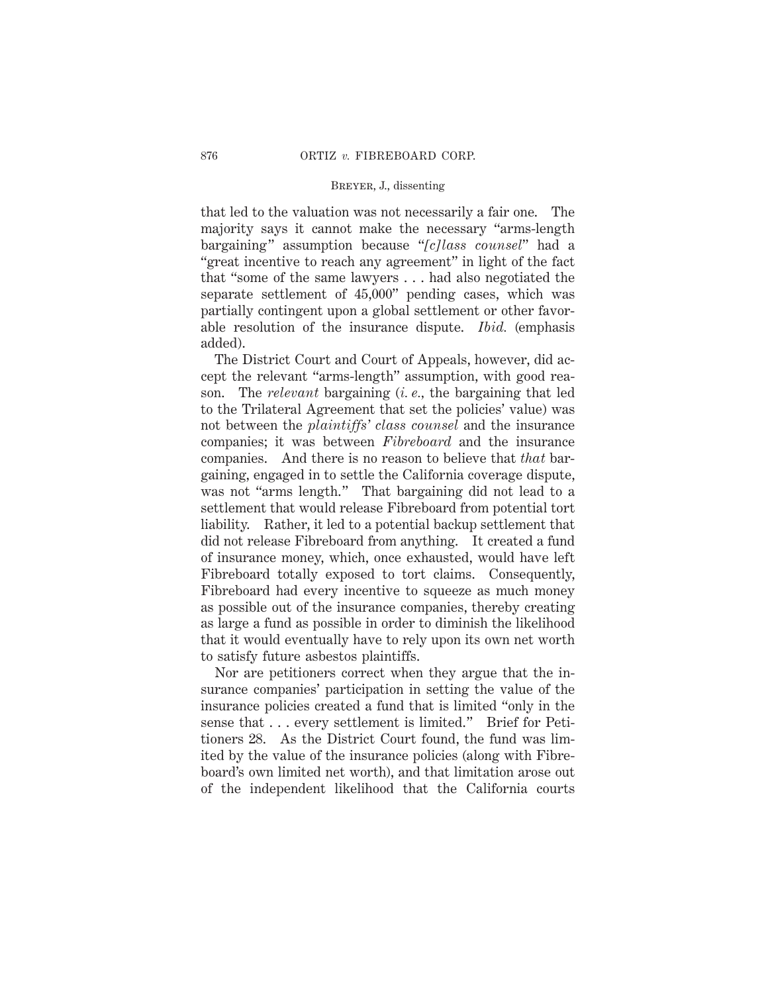that led to the valuation was not necessarily a fair one. The majority says it cannot make the necessary "arms-length bargaining" assumption because "*[c]lass counsel*" had a "great incentive to reach any agreement" in light of the fact that "some of the same lawyers . . . had also negotiated the separate settlement of 45,000" pending cases, which was partially contingent upon a global settlement or other favorable resolution of the insurance dispute. *Ibid.* (emphasis added).

The District Court and Court of Appeals, however, did accept the relevant "arms-length" assumption, with good reason. The *relevant* bargaining (*i. e.,* the bargaining that led to the Trilateral Agreement that set the policies' value) was not between the *plaintiffs' class counsel* and the insurance companies; it was between *Fibreboard* and the insurance companies. And there is no reason to believe that *that* bargaining, engaged in to settle the California coverage dispute, was not "arms length." That bargaining did not lead to a settlement that would release Fibreboard from potential tort liability. Rather, it led to a potential backup settlement that did not release Fibreboard from anything. It created a fund of insurance money, which, once exhausted, would have left Fibreboard totally exposed to tort claims. Consequently, Fibreboard had every incentive to squeeze as much money as possible out of the insurance companies, thereby creating as large a fund as possible in order to diminish the likelihood that it would eventually have to rely upon its own net worth to satisfy future asbestos plaintiffs.

Nor are petitioners correct when they argue that the insurance companies' participation in setting the value of the insurance policies created a fund that is limited "only in the sense that . . . every settlement is limited." Brief for Petitioners 28. As the District Court found, the fund was limited by the value of the insurance policies (along with Fibreboard's own limited net worth), and that limitation arose out of the independent likelihood that the California courts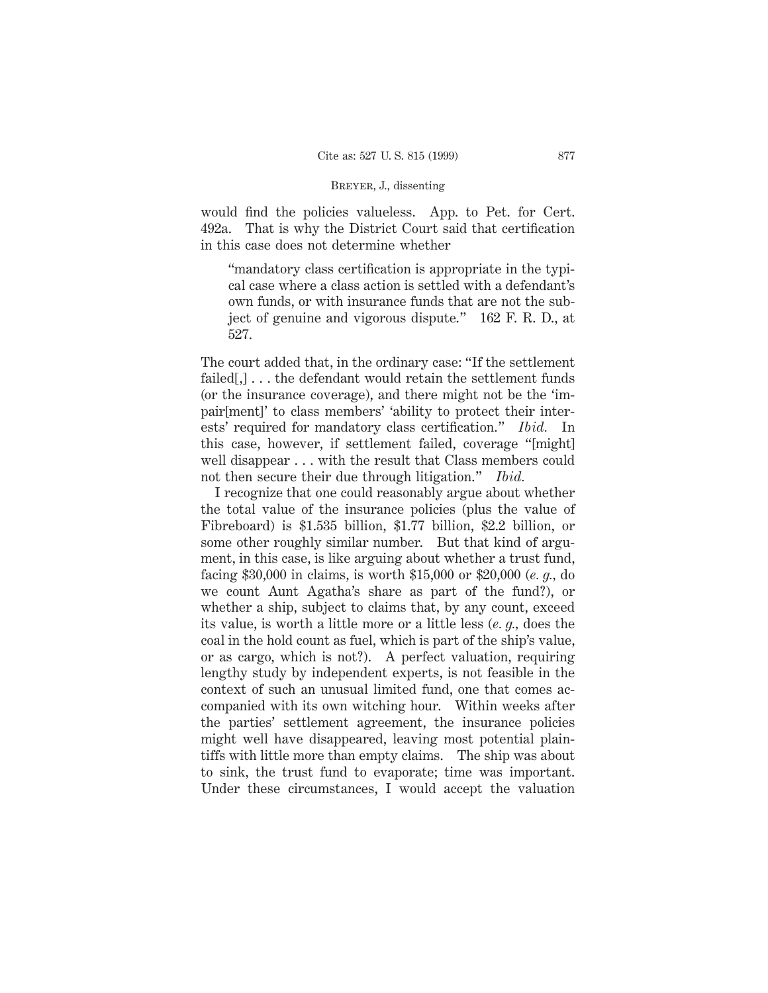would find the policies valueless. App. to Pet. for Cert. 492a. That is why the District Court said that certification in this case does not determine whether

"mandatory class certification is appropriate in the typical case where a class action is settled with a defendant's own funds, or with insurance funds that are not the subject of genuine and vigorous dispute." 162 F. R. D., at 527.

The court added that, in the ordinary case: "If the settlement failed[,] . . . the defendant would retain the settlement funds (or the insurance coverage), and there might not be the 'impair[ment]' to class members' 'ability to protect their interests' required for mandatory class certification." *Ibid.* In this case, however, if settlement failed, coverage "[might] well disappear . . . with the result that Class members could not then secure their due through litigation." *Ibid.*

I recognize that one could reasonably argue about whether the total value of the insurance policies (plus the value of Fibreboard) is \$1.535 billion, \$1.77 billion, \$2.2 billion, or some other roughly similar number. But that kind of argument, in this case, is like arguing about whether a trust fund, facing \$30,000 in claims, is worth \$15,000 or \$20,000 (*e. g.,* do we count Aunt Agatha's share as part of the fund?), or whether a ship, subject to claims that, by any count, exceed its value, is worth a little more or a little less (*e. g.,* does the coal in the hold count as fuel, which is part of the ship's value, or as cargo, which is not?). A perfect valuation, requiring lengthy study by independent experts, is not feasible in the context of such an unusual limited fund, one that comes accompanied with its own witching hour. Within weeks after the parties' settlement agreement, the insurance policies might well have disappeared, leaving most potential plaintiffs with little more than empty claims. The ship was about to sink, the trust fund to evaporate; time was important. Under these circumstances, I would accept the valuation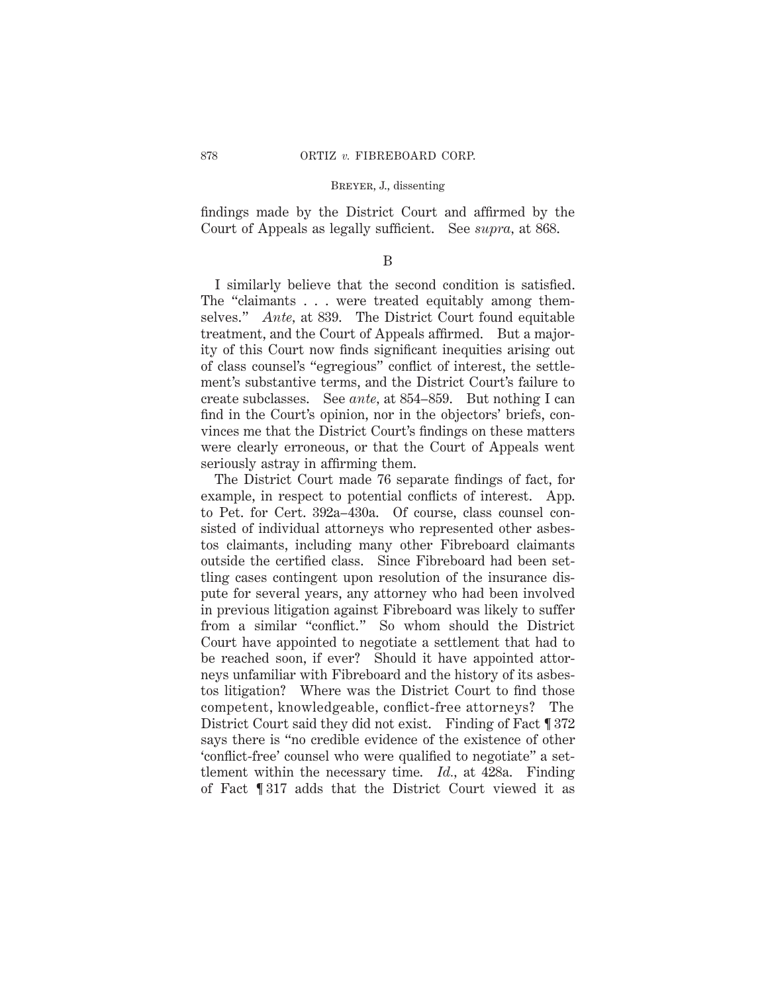findings made by the District Court and affirmed by the Court of Appeals as legally sufficient. See *supra,* at 868.

# B

I similarly believe that the second condition is satisfied. The "claimants . . . were treated equitably among themselves." *Ante,* at 839. The District Court found equitable treatment, and the Court of Appeals affirmed. But a majority of this Court now finds significant inequities arising out of class counsel's "egregious" conflict of interest, the settlement's substantive terms, and the District Court's failure to create subclasses. See *ante,* at 854–859. But nothing I can find in the Court's opinion, nor in the objectors' briefs, convinces me that the District Court's findings on these matters were clearly erroneous, or that the Court of Appeals went seriously astray in affirming them.

The District Court made 76 separate findings of fact, for example, in respect to potential conflicts of interest. App. to Pet. for Cert. 392a–430a. Of course, class counsel consisted of individual attorneys who represented other asbestos claimants, including many other Fibreboard claimants outside the certified class. Since Fibreboard had been settling cases contingent upon resolution of the insurance dispute for several years, any attorney who had been involved in previous litigation against Fibreboard was likely to suffer from a similar "conflict." So whom should the District Court have appointed to negotiate a settlement that had to be reached soon, if ever? Should it have appointed attorneys unfamiliar with Fibreboard and the history of its asbestos litigation? Where was the District Court to find those competent, knowledgeable, conflict-free attorneys? The District Court said they did not exist. Finding of Fact ¶ 372 says there is "no credible evidence of the existence of other 'conflict-free' counsel who were qualified to negotiate" a settlement within the necessary time. *Id.,* at 428a. Finding of Fact ¶ 317 adds that the District Court viewed it as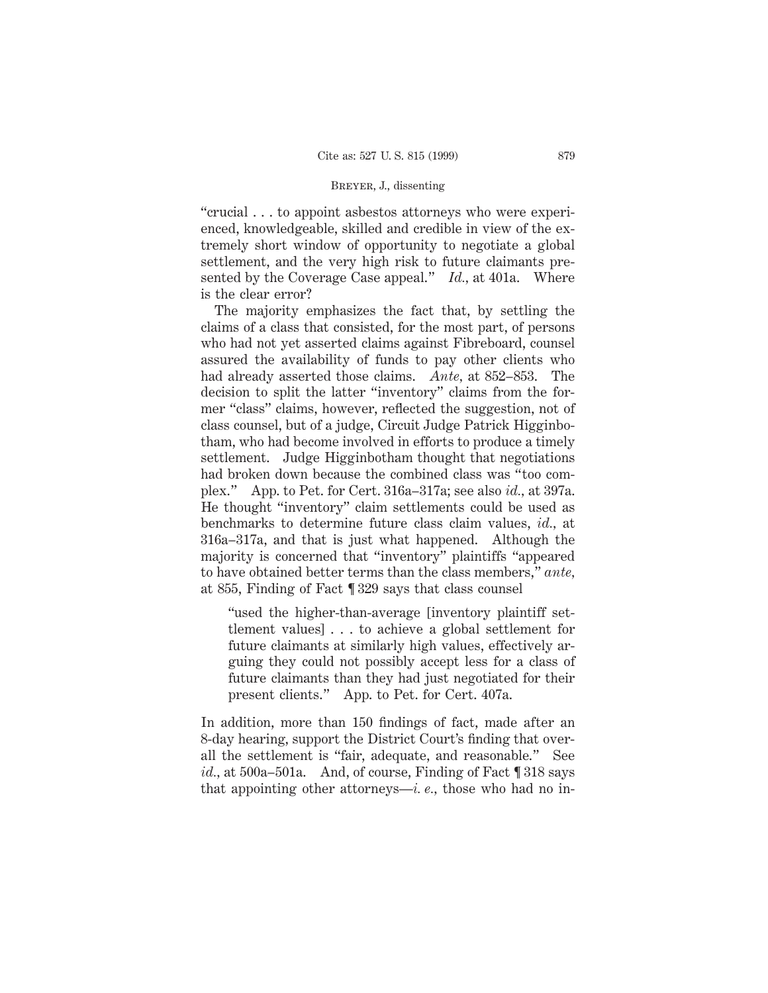"crucial . . . to appoint asbestos attorneys who were experienced, knowledgeable, skilled and credible in view of the extremely short window of opportunity to negotiate a global settlement, and the very high risk to future claimants presented by the Coverage Case appeal." *Id.,* at 401a. Where is the clear error?

The majority emphasizes the fact that, by settling the claims of a class that consisted, for the most part, of persons who had not yet asserted claims against Fibreboard, counsel assured the availability of funds to pay other clients who had already asserted those claims. *Ante,* at 852–853. The decision to split the latter "inventory" claims from the former "class" claims, however, reflected the suggestion, not of class counsel, but of a judge, Circuit Judge Patrick Higginbotham, who had become involved in efforts to produce a timely settlement. Judge Higginbotham thought that negotiations had broken down because the combined class was "too complex." App. to Pet. for Cert. 316a–317a; see also *id.,* at 397a. He thought "inventory" claim settlements could be used as benchmarks to determine future class claim values, *id.,* at 316a–317a, and that is just what happened. Although the majority is concerned that "inventory" plaintiffs "appeared to have obtained better terms than the class members," *ante,* at 855, Finding of Fact ¶ 329 says that class counsel

"used the higher-than-average [inventory plaintiff settlement values] . . . to achieve a global settlement for future claimants at similarly high values, effectively arguing they could not possibly accept less for a class of future claimants than they had just negotiated for their present clients." App. to Pet. for Cert. 407a.

In addition, more than 150 findings of fact, made after an 8-day hearing, support the District Court's finding that overall the settlement is "fair, adequate, and reasonable." See *id.,* at 500a–501a. And, of course, Finding of Fact ¶ 318 says that appointing other attorneys—*i. e.,* those who had no in-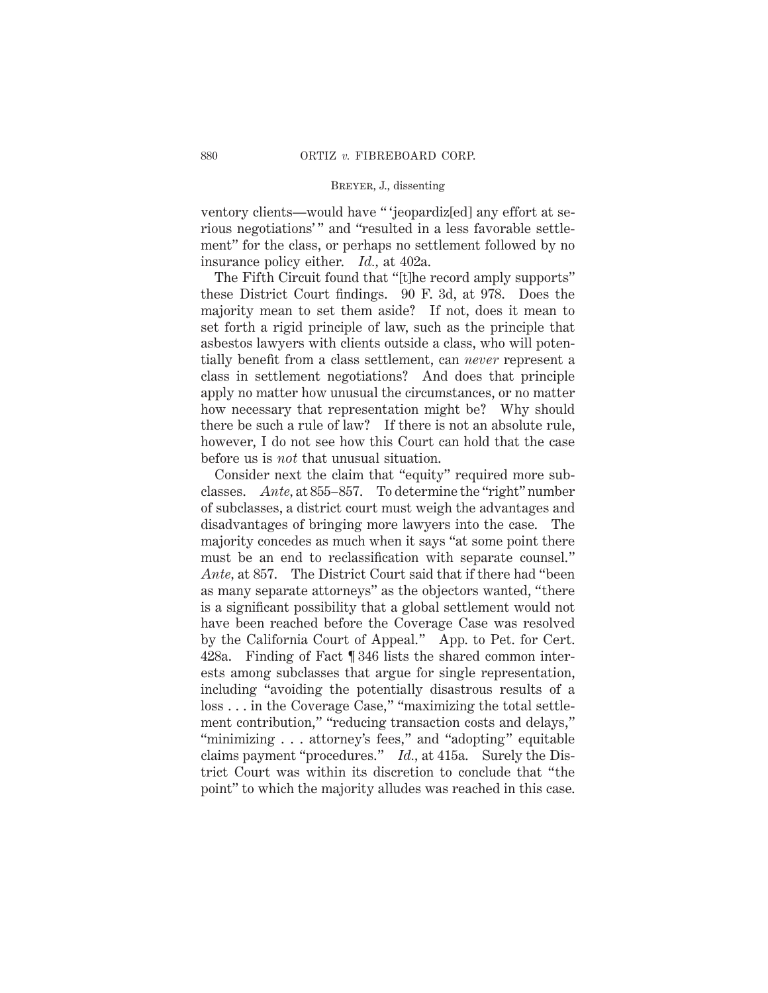ventory clients—would have " 'jeopardiz[ed] any effort at serious negotiations'" and "resulted in a less favorable settlement" for the class, or perhaps no settlement followed by no insurance policy either. *Id.,* at 402a.

The Fifth Circuit found that "[t]he record amply supports" these District Court findings. 90 F. 3d, at 978. Does the majority mean to set them aside? If not, does it mean to set forth a rigid principle of law, such as the principle that asbestos lawyers with clients outside a class, who will potentially benefit from a class settlement, can *never* represent a class in settlement negotiations? And does that principle apply no matter how unusual the circumstances, or no matter how necessary that representation might be? Why should there be such a rule of law? If there is not an absolute rule, however, I do not see how this Court can hold that the case before us is *not* that unusual situation.

Consider next the claim that "equity" required more subclasses. *Ante,* at 855–857. To determine the "right" number of subclasses, a district court must weigh the advantages and disadvantages of bringing more lawyers into the case. The majority concedes as much when it says "at some point there must be an end to reclassification with separate counsel." *Ante,* at 857. The District Court said that if there had "been as many separate attorneys" as the objectors wanted, "there is a significant possibility that a global settlement would not have been reached before the Coverage Case was resolved by the California Court of Appeal." App. to Pet. for Cert. 428a. Finding of Fact ¶ 346 lists the shared common interests among subclasses that argue for single representation, including "avoiding the potentially disastrous results of a loss . . . in the Coverage Case," "maximizing the total settlement contribution," "reducing transaction costs and delays," "minimizing . . . attorney's fees," and "adopting" equitable claims payment "procedures." *Id.,* at 415a. Surely the District Court was within its discretion to conclude that "the point" to which the majority alludes was reached in this case.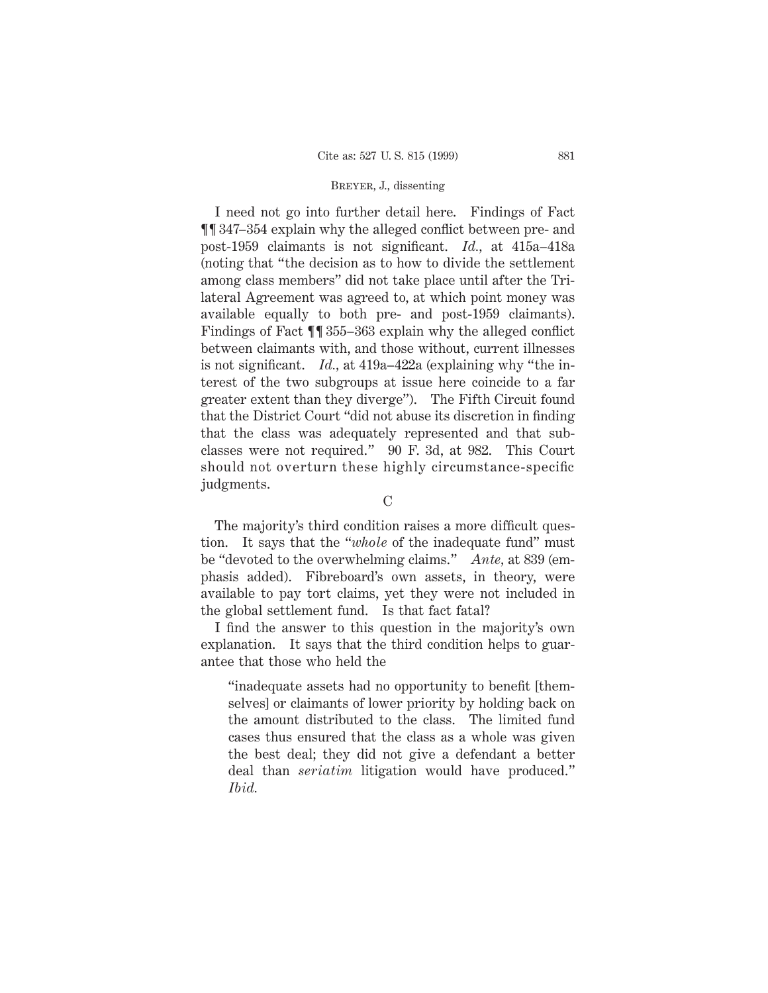I need not go into further detail here. Findings of Fact ¶¶ 347–354 explain why the alleged conflict between pre- and post-1959 claimants is not significant. *Id.,* at 415a–418a (noting that "the decision as to how to divide the settlement among class members" did not take place until after the Trilateral Agreement was agreed to, at which point money was available equally to both pre- and post-1959 claimants). Findings of Fact ¶¶ 355–363 explain why the alleged conflict between claimants with, and those without, current illnesses is not significant. *Id.,* at 419a–422a (explaining why "the interest of the two subgroups at issue here coincide to a far greater extent than they diverge"). The Fifth Circuit found that the District Court "did not abuse its discretion in finding that the class was adequately represented and that subclasses were not required." 90 F. 3d, at 982. This Court should not overturn these highly circumstance-specific judgments.

# $\mathcal{C}$

The majority's third condition raises a more difficult question. It says that the "*whole* of the inadequate fund" must be "devoted to the overwhelming claims." *Ante,* at 839 (emphasis added). Fibreboard's own assets, in theory, were available to pay tort claims, yet they were not included in the global settlement fund. Is that fact fatal?

I find the answer to this question in the majority's own explanation. It says that the third condition helps to guarantee that those who held the

"inadequate assets had no opportunity to benefit [themselves] or claimants of lower priority by holding back on the amount distributed to the class. The limited fund cases thus ensured that the class as a whole was given the best deal; they did not give a defendant a better deal than *seriatim* litigation would have produced." *Ibid.*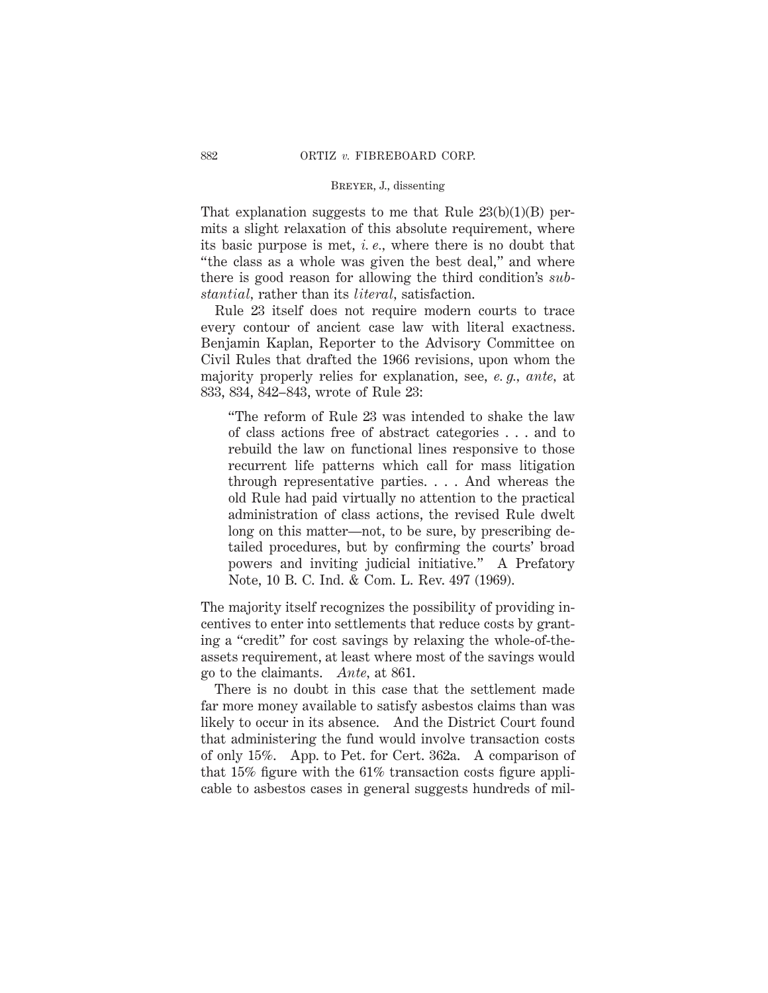That explanation suggests to me that Rule  $23(b)(1)(B)$  permits a slight relaxation of this absolute requirement, where its basic purpose is met, *i. e.,* where there is no doubt that "the class as a whole was given the best deal," and where there is good reason for allowing the third condition's *substantial,* rather than its *literal,* satisfaction.

Rule 23 itself does not require modern courts to trace every contour of ancient case law with literal exactness. Benjamin Kaplan, Reporter to the Advisory Committee on Civil Rules that drafted the 1966 revisions, upon whom the majority properly relies for explanation, see, *e. g., ante,* at 833, 834, 842–843, wrote of Rule 23:

"The reform of Rule 23 was intended to shake the law of class actions free of abstract categories . . . and to rebuild the law on functional lines responsive to those recurrent life patterns which call for mass litigation through representative parties. . . . And whereas the old Rule had paid virtually no attention to the practical administration of class actions, the revised Rule dwelt long on this matter—not, to be sure, by prescribing detailed procedures, but by confirming the courts' broad powers and inviting judicial initiative." A Prefatory Note, 10 B. C. Ind. & Com. L. Rev. 497 (1969).

The majority itself recognizes the possibility of providing incentives to enter into settlements that reduce costs by granting a "credit" for cost savings by relaxing the whole-of-theassets requirement, at least where most of the savings would go to the claimants. *Ante,* at 861.

There is no doubt in this case that the settlement made far more money available to satisfy asbestos claims than was likely to occur in its absence. And the District Court found that administering the fund would involve transaction costs of only 15%. App. to Pet. for Cert. 362a. A comparison of that 15% figure with the 61% transaction costs figure applicable to asbestos cases in general suggests hundreds of mil-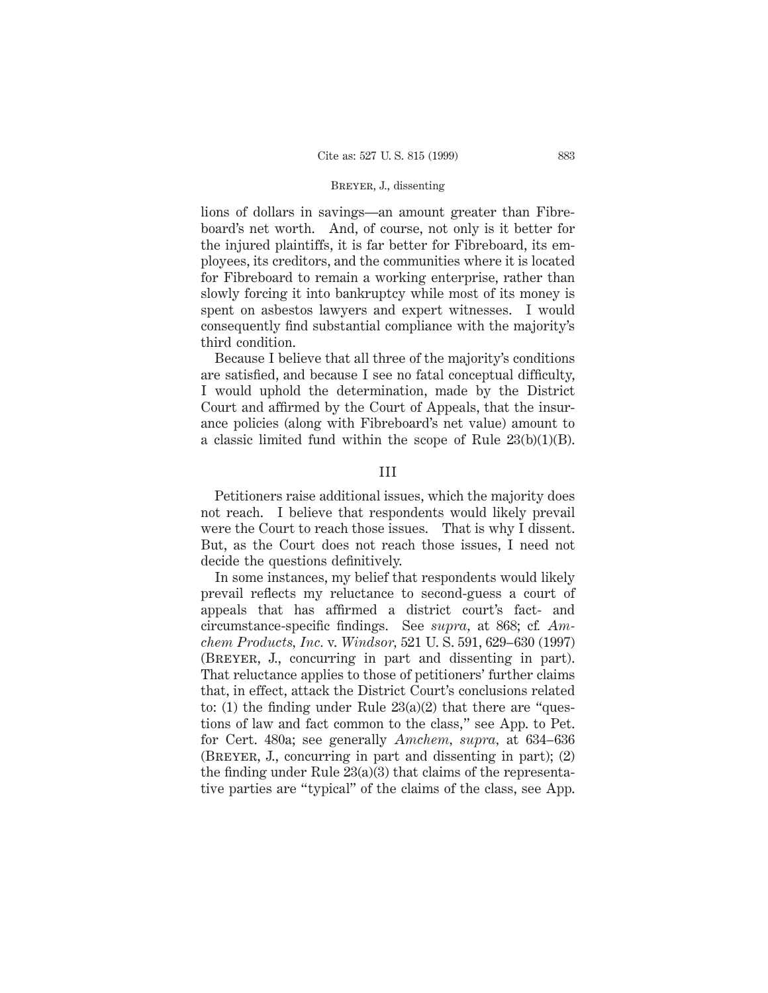lions of dollars in savings—an amount greater than Fibreboard's net worth. And, of course, not only is it better for the injured plaintiffs, it is far better for Fibreboard, its employees, its creditors, and the communities where it is located for Fibreboard to remain a working enterprise, rather than slowly forcing it into bankruptcy while most of its money is spent on asbestos lawyers and expert witnesses. I would consequently find substantial compliance with the majority's third condition.

Because I believe that all three of the majority's conditions are satisfied, and because I see no fatal conceptual difficulty, I would uphold the determination, made by the District Court and affirmed by the Court of Appeals, that the insurance policies (along with Fibreboard's net value) amount to a classic limited fund within the scope of Rule 23(b)(1)(B).

# III

Petitioners raise additional issues, which the majority does not reach. I believe that respondents would likely prevail were the Court to reach those issues. That is why I dissent. But, as the Court does not reach those issues, I need not decide the questions definitively.

In some instances, my belief that respondents would likely prevail reflects my reluctance to second-guess a court of appeals that has affirmed a district court's fact- and circumstance-specific findings. See *supra,* at 868; cf*. Amchem Products, Inc.* v. *Windsor,* 521 U. S. 591, 629–630 (1997) (Breyer, J., concurring in part and dissenting in part). That reluctance applies to those of petitioners' further claims that, in effect, attack the District Court's conclusions related to: (1) the finding under Rule  $23(a)(2)$  that there are "questions of law and fact common to the class," see App. to Pet. for Cert. 480a; see generally *Amchem, supra,* at 634–636 (Breyer, J., concurring in part and dissenting in part); (2) the finding under Rule 23(a)(3) that claims of the representative parties are "typical" of the claims of the class, see App.